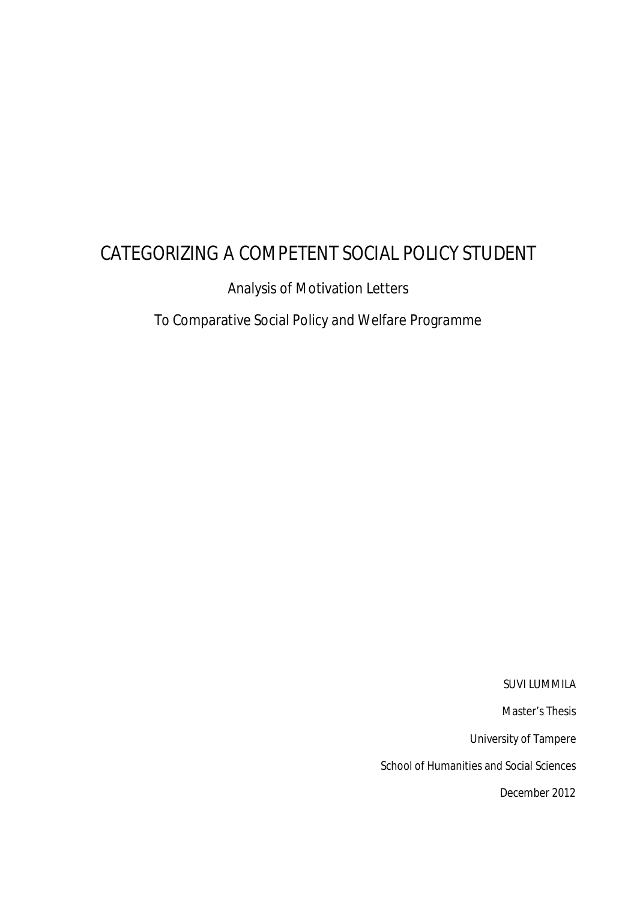# CATEGORIZING A COMPETENT SOCIAL POLICY STUDENT

Analysis of Motivation Letters

To Comparative Social Policy and Welfare Programme

SUVI LUMMILA

Master's Thesis

University of Tampere

School of Humanities and Social Sciences

December 2012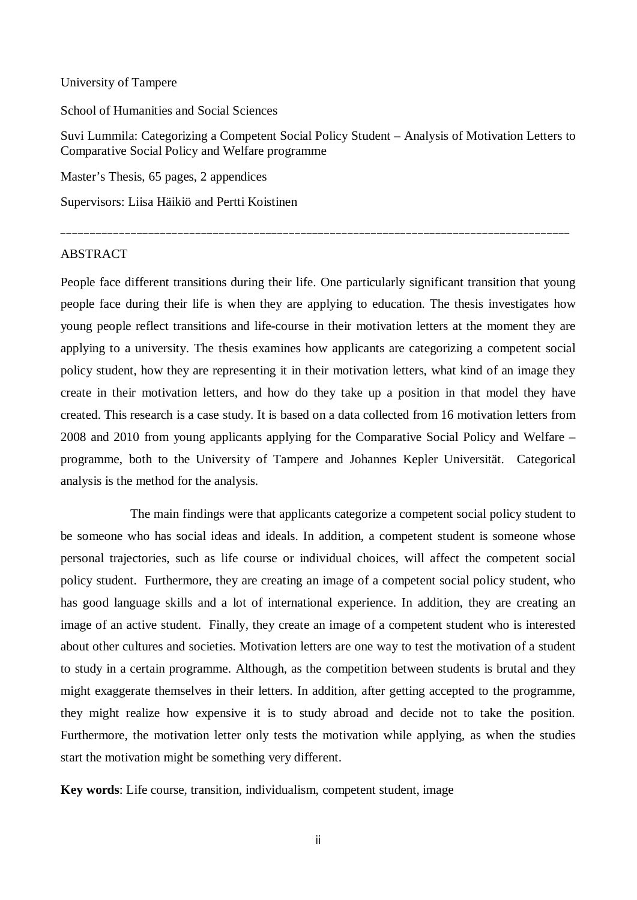### University of Tampere

School of Humanities and Social Sciences

Suvi Lummila: Categorizing a Competent Social Policy Student – Analysis of Motivation Letters to Comparative Social Policy and Welfare programme

\_\_\_\_\_\_\_\_\_\_\_\_\_\_\_\_\_\_\_\_\_\_\_\_\_\_\_\_\_\_\_\_\_\_\_\_\_\_\_\_\_\_\_\_\_\_\_\_\_\_\_\_\_\_\_\_\_\_\_\_\_\_\_\_\_\_\_\_\_\_\_\_\_\_\_\_\_\_\_\_\_\_\_\_\_\_\_

Master's Thesis, 65 pages, 2 appendices

Supervisors: Liisa Häikiö and Pertti Koistinen

### **ABSTRACT**

People face different transitions during their life. One particularly significant transition that young people face during their life is when they are applying to education. The thesis investigates how young people reflect transitions and life-course in their motivation letters at the moment they are applying to a university. The thesis examines how applicants are categorizing a competent social policy student, how they are representing it in their motivation letters, what kind of an image they create in their motivation letters, and how do they take up a position in that model they have created. This research is a case study. It is based on a data collected from 16 motivation letters from 2008 and 2010 from young applicants applying for the Comparative Social Policy and Welfare – programme, both to the University of Tampere and Johannes Kepler Universität. Categorical analysis is the method for the analysis.

The main findings were that applicants categorize a competent social policy student to be someone who has social ideas and ideals. In addition, a competent student is someone whose personal trajectories, such as life course or individual choices, will affect the competent social policy student. Furthermore, they are creating an image of a competent social policy student, who has good language skills and a lot of international experience. In addition, they are creating an image of an active student. Finally, they create an image of a competent student who is interested about other cultures and societies. Motivation letters are one way to test the motivation of a student to study in a certain programme. Although, as the competition between students is brutal and they might exaggerate themselves in their letters. In addition, after getting accepted to the programme, they might realize how expensive it is to study abroad and decide not to take the position. Furthermore, the motivation letter only tests the motivation while applying, as when the studies start the motivation might be something very different.

**Key words**: Life course, transition, individualism, competent student, image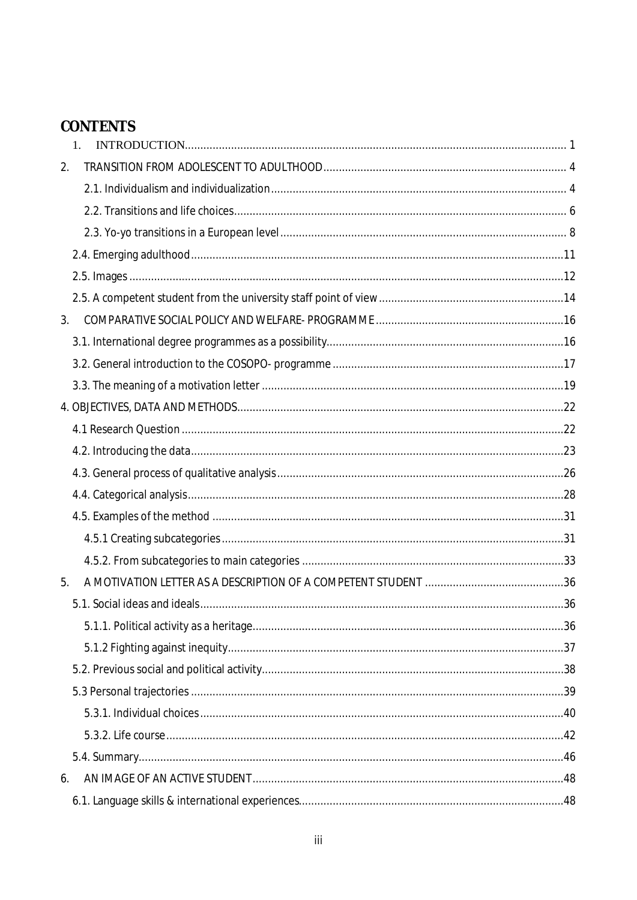# CONTENTS

| $1_{-}$ |  |
|---------|--|
| 2.      |  |
|         |  |
|         |  |
|         |  |
|         |  |
|         |  |
|         |  |
| 3.      |  |
|         |  |
|         |  |
|         |  |
|         |  |
|         |  |
|         |  |
|         |  |
|         |  |
|         |  |
|         |  |
|         |  |
| 5.      |  |
|         |  |
|         |  |
|         |  |
|         |  |
|         |  |
|         |  |
|         |  |
|         |  |
| 6.      |  |
|         |  |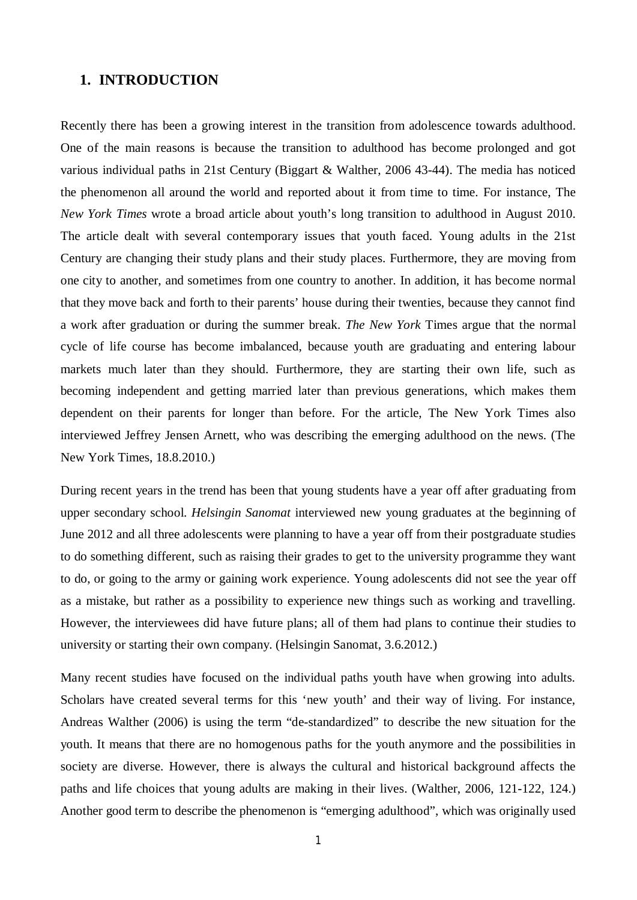## <span id="page-4-0"></span>**1. INTRODUCTION**

Recently there has been a growing interest in the transition from adolescence towards adulthood. One of the main reasons is because the transition to adulthood has become prolonged and got various individual paths in 21st Century (Biggart & Walther, 2006 43-44). The media has noticed the phenomenon all around the world and reported about it from time to time. For instance, The *New York Times* wrote a broad article about youth's long transition to adulthood in August 2010. The article dealt with several contemporary issues that youth faced. Young adults in the 21st Century are changing their study plans and their study places. Furthermore, they are moving from one city to another, and sometimes from one country to another. In addition, it has become normal that they move back and forth to their parents' house during their twenties, because they cannot find a work after graduation or during the summer break. *The New York* Times argue that the normal cycle of life course has become imbalanced, because youth are graduating and entering labour markets much later than they should. Furthermore, they are starting their own life, such as becoming independent and getting married later than previous generations, which makes them dependent on their parents for longer than before. For the article, The New York Times also interviewed Jeffrey Jensen Arnett, who was describing the emerging adulthood on the news. (The New York Times, 18.8.2010.)

During recent years in the trend has been that young students have a year off after graduating from upper secondary school. *Helsingin Sanomat* interviewed new young graduates at the beginning of June 2012 and all three adolescents were planning to have a year off from their postgraduate studies to do something different, such as raising their grades to get to the university programme they want to do, or going to the army or gaining work experience. Young adolescents did not see the year off as a mistake, but rather as a possibility to experience new things such as working and travelling. However, the interviewees did have future plans; all of them had plans to continue their studies to university or starting their own company. (Helsingin Sanomat, 3.6.2012.)

Many recent studies have focused on the individual paths youth have when growing into adults. Scholars have created several terms for this 'new youth' and their way of living. For instance, Andreas Walther (2006) is using the term "de-standardized" to describe the new situation for the youth. It means that there are no homogenous paths for the youth anymore and the possibilities in society are diverse. However, there is always the cultural and historical background affects the paths and life choices that young adults are making in their lives. (Walther, 2006, 121-122, 124.) Another good term to describe the phenomenon is "emerging adulthood", which was originally used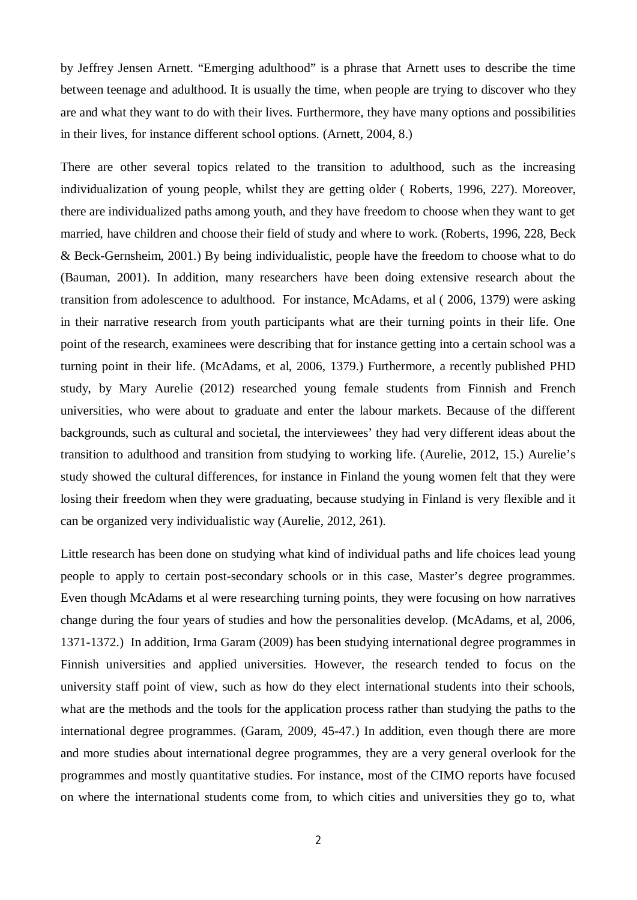by Jeffrey Jensen Arnett. "Emerging adulthood" is a phrase that Arnett uses to describe the time between teenage and adulthood. It is usually the time, when people are trying to discover who they are and what they want to do with their lives. Furthermore, they have many options and possibilities in their lives, for instance different school options. (Arnett, 2004, 8.)

There are other several topics related to the transition to adulthood, such as the increasing individualization of young people, whilst they are getting older ( Roberts, 1996, 227). Moreover, there are individualized paths among youth, and they have freedom to choose when they want to get married, have children and choose their field of study and where to work. (Roberts, 1996, 228, Beck & Beck-Gernsheim, 2001.) By being individualistic, people have the freedom to choose what to do (Bauman, 2001). In addition, many researchers have been doing extensive research about the transition from adolescence to adulthood. For instance, McAdams, et al ( 2006, 1379) were asking in their narrative research from youth participants what are their turning points in their life. One point of the research, examinees were describing that for instance getting into a certain school was a turning point in their life. (McAdams, et al, 2006, 1379.) Furthermore, a recently published PHD study, by Mary Aurelie (2012) researched young female students from Finnish and French universities, who were about to graduate and enter the labour markets. Because of the different backgrounds, such as cultural and societal, the interviewees' they had very different ideas about the transition to adulthood and transition from studying to working life. (Aurelie, 2012, 15.) Aurelie's study showed the cultural differences, for instance in Finland the young women felt that they were losing their freedom when they were graduating, because studying in Finland is very flexible and it can be organized very individualistic way (Aurelie, 2012, 261).

Little research has been done on studying what kind of individual paths and life choices lead young people to apply to certain post-secondary schools or in this case, Master's degree programmes. Even though McAdams et al were researching turning points, they were focusing on how narratives change during the four years of studies and how the personalities develop. (McAdams, et al, 2006, 1371-1372.) In addition, Irma Garam (2009) has been studying international degree programmes in Finnish universities and applied universities. However, the research tended to focus on the university staff point of view, such as how do they elect international students into their schools, what are the methods and the tools for the application process rather than studying the paths to the international degree programmes. (Garam, 2009, 45-47.) In addition, even though there are more and more studies about international degree programmes, they are a very general overlook for the programmes and mostly quantitative studies. For instance, most of the CIMO reports have focused on where the international students come from, to which cities and universities they go to, what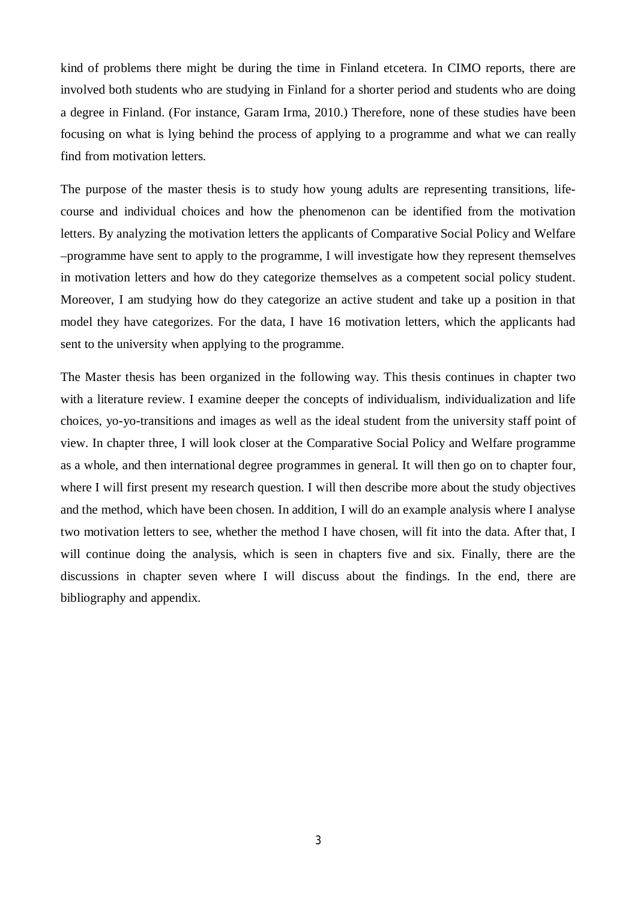kind of problems there might be during the time in Finland etcetera. In CIMO reports, there are involved both students who are studying in Finland for a shorter period and students who are doing a degree in Finland. (For instance, Garam Irma, 2010.) Therefore, none of these studies have been focusing on what is lying behind the process of applying to a programme and what we can really find from motivation letters.

The purpose of the master thesis is to study how young adults are representing transitions, lifecourse and individual choices and how the phenomenon can be identified from the motivation letters. By analyzing the motivation letters the applicants of Comparative Social Policy and Welfare –programme have sent to apply to the programme, I will investigate how they represent themselves in motivation letters and how do they categorize themselves as a competent social policy student. Moreover, I am studying how do they categorize an active student and take up a position in that model they have categorizes. For the data, I have 16 motivation letters, which the applicants had sent to the university when applying to the programme.

The Master thesis has been organized in the following way. This thesis continues in chapter two with a literature review. I examine deeper the concepts of individualism, individualization and life choices, yo-yo-transitions and images as well as the ideal student from the university staff point of view. In chapter three, I will look closer at the Comparative Social Policy and Welfare programme as a whole, and then international degree programmes in general. It will then go on to chapter four, where I will first present my research question. I will then describe more about the study objectives and the method, which have been chosen. In addition, I will do an example analysis where I analyse two motivation letters to see, whether the method I have chosen, will fit into the data. After that, I will continue doing the analysis, which is seen in chapters five and six. Finally, there are the discussions in chapter seven where I will discuss about the findings. In the end, there are bibliography and appendix.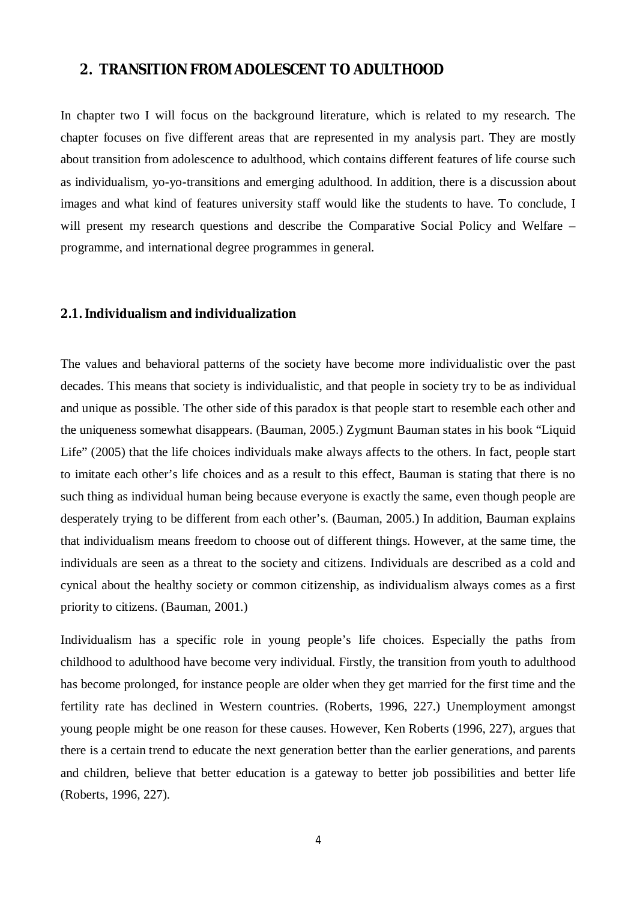## <span id="page-7-0"></span>**2. TRANSITION FROM ADOLESCENT TO ADULTHOOD**

In chapter two I will focus on the background literature, which is related to my research. The chapter focuses on five different areas that are represented in my analysis part. They are mostly about transition from adolescence to adulthood, which contains different features of life course such as individualism, yo-yo-transitions and emerging adulthood. In addition, there is a discussion about images and what kind of features university staff would like the students to have. To conclude, I will present my research questions and describe the Comparative Social Policy and Welfare – programme, and international degree programmes in general.

### <span id="page-7-1"></span>**2.1. Individualism and individualization**

The values and behavioral patterns of the society have become more individualistic over the past decades. This means that society is individualistic, and that people in society try to be as individual and unique as possible. The other side of this paradox is that people start to resemble each other and the uniqueness somewhat disappears. (Bauman, 2005.) Zygmunt Bauman states in his book "Liquid Life" (2005) that the life choices individuals make always affects to the others. In fact, people start to imitate each other's life choices and as a result to this effect, Bauman is stating that there is no such thing as individual human being because everyone is exactly the same, even though people are desperately trying to be different from each other's. (Bauman, 2005.) In addition, Bauman explains that individualism means freedom to choose out of different things. However, at the same time, the individuals are seen as a threat to the society and citizens. Individuals are described as a cold and cynical about the healthy society or common citizenship, as individualism always comes as a first priority to citizens. (Bauman, 2001.)

Individualism has a specific role in young people's life choices. Especially the paths from childhood to adulthood have become very individual. Firstly, the transition from youth to adulthood has become prolonged, for instance people are older when they get married for the first time and the fertility rate has declined in Western countries. (Roberts, 1996, 227.) Unemployment amongst young people might be one reason for these causes. However, Ken Roberts (1996, 227), argues that there is a certain trend to educate the next generation better than the earlier generations, and parents and children, believe that better education is a gateway to better job possibilities and better life (Roberts, 1996, 227).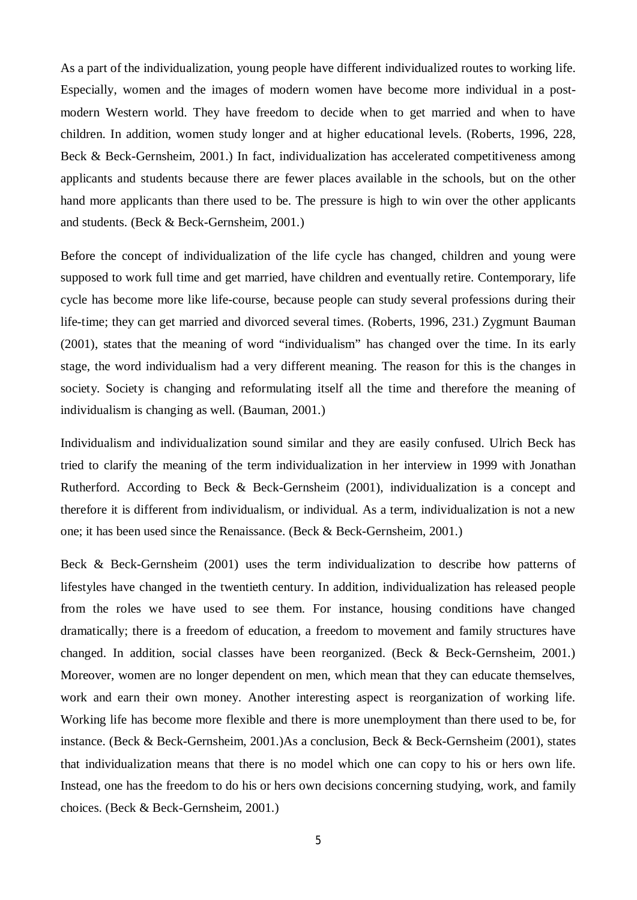As a part of the individualization, young people have different individualized routes to working life. Especially, women and the images of modern women have become more individual in a postmodern Western world. They have freedom to decide when to get married and when to have children. In addition, women study longer and at higher educational levels. (Roberts, 1996, 228, Beck & Beck-Gernsheim, 2001.) In fact, individualization has accelerated competitiveness among applicants and students because there are fewer places available in the schools, but on the other hand more applicants than there used to be. The pressure is high to win over the other applicants and students. (Beck & Beck-Gernsheim, 2001.)

Before the concept of individualization of the life cycle has changed, children and young were supposed to work full time and get married, have children and eventually retire. Contemporary, life cycle has become more like life-course, because people can study several professions during their life-time; they can get married and divorced several times. (Roberts, 1996, 231.) Zygmunt Bauman (2001), states that the meaning of word "individualism" has changed over the time. In its early stage, the word individualism had a very different meaning. The reason for this is the changes in society. Society is changing and reformulating itself all the time and therefore the meaning of individualism is changing as well. (Bauman, 2001.)

Individualism and individualization sound similar and they are easily confused. Ulrich Beck has tried to clarify the meaning of the term individualization in her interview in 1999 with Jonathan Rutherford. According to Beck & Beck-Gernsheim (2001), individualization is a concept and therefore it is different from individualism, or individual. As a term, individualization is not a new one; it has been used since the Renaissance. (Beck & Beck-Gernsheim, 2001.)

Beck & Beck-Gernsheim (2001) uses the term individualization to describe how patterns of lifestyles have changed in the twentieth century. In addition, individualization has released people from the roles we have used to see them. For instance, housing conditions have changed dramatically; there is a freedom of education, a freedom to movement and family structures have changed. In addition, social classes have been reorganized. (Beck & Beck-Gernsheim, 2001.) Moreover, women are no longer dependent on men, which mean that they can educate themselves, work and earn their own money. Another interesting aspect is reorganization of working life. Working life has become more flexible and there is more unemployment than there used to be, for instance. (Beck & Beck-Gernsheim, 2001.)As a conclusion, Beck & Beck-Gernsheim (2001), states that individualization means that there is no model which one can copy to his or hers own life. Instead, one has the freedom to do his or hers own decisions concerning studying, work, and family choices. (Beck & Beck-Gernsheim, 2001.)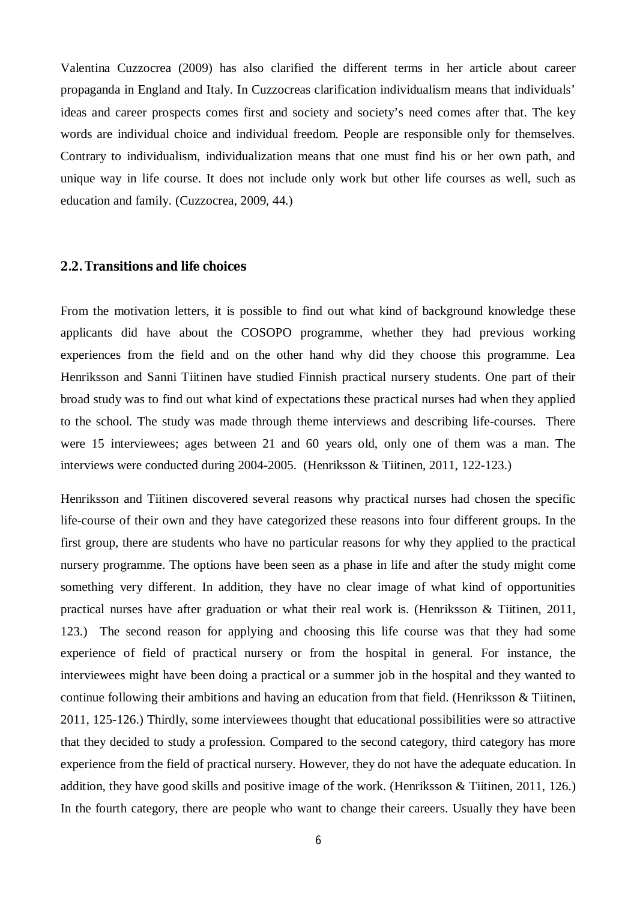Valentina Cuzzocrea (2009) has also clarified the different terms in her article about career propaganda in England and Italy. In Cuzzocreas clarification individualism means that individuals' ideas and career prospects comes first and society and society's need comes after that. The key words are individual choice and individual freedom. People are responsible only for themselves. Contrary to individualism, individualization means that one must find his or her own path, and unique way in life course. It does not include only work but other life courses as well, such as education and family. (Cuzzocrea, 2009, 44.)

### <span id="page-9-0"></span>**2.2. Transitions and life choices**

From the motivation letters, it is possible to find out what kind of background knowledge these applicants did have about the COSOPO programme, whether they had previous working experiences from the field and on the other hand why did they choose this programme. Lea Henriksson and Sanni Tiitinen have studied Finnish practical nursery students. One part of their broad study was to find out what kind of expectations these practical nurses had when they applied to the school. The study was made through theme interviews and describing life-courses. There were 15 interviewees; ages between 21 and 60 years old, only one of them was a man. The interviews were conducted during 2004-2005. (Henriksson & Tiitinen, 2011, 122-123.)

Henriksson and Tiitinen discovered several reasons why practical nurses had chosen the specific life-course of their own and they have categorized these reasons into four different groups. In the first group, there are students who have no particular reasons for why they applied to the practical nursery programme. The options have been seen as a phase in life and after the study might come something very different. In addition, they have no clear image of what kind of opportunities practical nurses have after graduation or what their real work is. (Henriksson & Tiitinen, 2011, 123.) The second reason for applying and choosing this life course was that they had some experience of field of practical nursery or from the hospital in general. For instance, the interviewees might have been doing a practical or a summer job in the hospital and they wanted to continue following their ambitions and having an education from that field. (Henriksson & Tiitinen, 2011, 125-126.) Thirdly, some interviewees thought that educational possibilities were so attractive that they decided to study a profession. Compared to the second category, third category has more experience from the field of practical nursery. However, they do not have the adequate education. In addition, they have good skills and positive image of the work. (Henriksson & Tiitinen, 2011, 126.) In the fourth category, there are people who want to change their careers. Usually they have been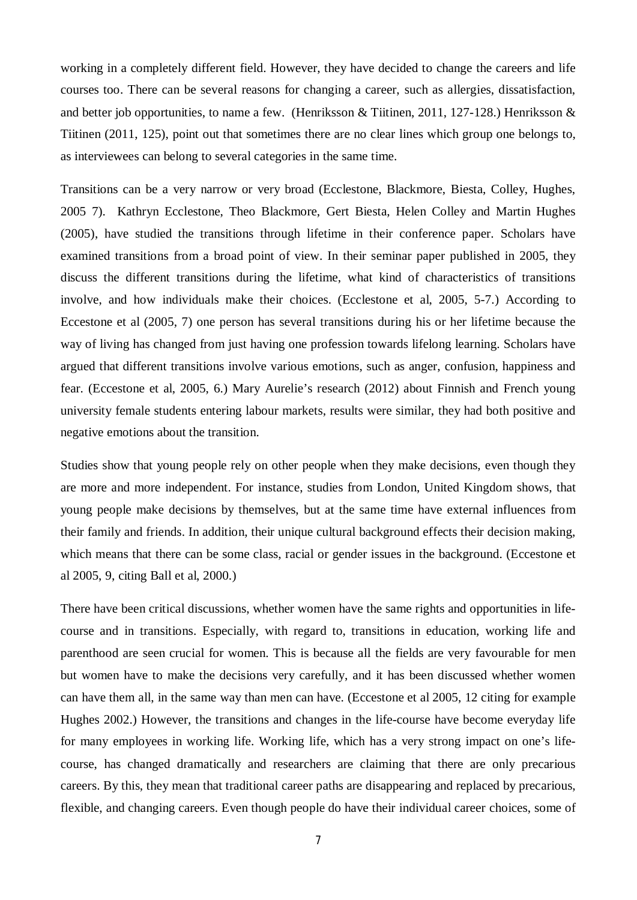working in a completely different field. However, they have decided to change the careers and life courses too. There can be several reasons for changing a career, such as allergies, dissatisfaction, and better job opportunities, to name a few. (Henriksson & Tiitinen, 2011, 127-128.) Henriksson & Tiitinen (2011, 125), point out that sometimes there are no clear lines which group one belongs to, as interviewees can belong to several categories in the same time.

Transitions can be a very narrow or very broad (Ecclestone, Blackmore, Biesta, Colley, Hughes, 2005 7). Kathryn Ecclestone, Theo Blackmore, Gert Biesta, Helen Colley and Martin Hughes (2005), have studied the transitions through lifetime in their conference paper. Scholars have examined transitions from a broad point of view. In their seminar paper published in 2005, they discuss the different transitions during the lifetime, what kind of characteristics of transitions involve, and how individuals make their choices. (Ecclestone et al, 2005, 5-7.) According to Eccestone et al (2005, 7) one person has several transitions during his or her lifetime because the way of living has changed from just having one profession towards lifelong learning. Scholars have argued that different transitions involve various emotions, such as anger, confusion, happiness and fear. (Eccestone et al, 2005, 6.) Mary Aurelie's research (2012) about Finnish and French young university female students entering labour markets, results were similar, they had both positive and negative emotions about the transition.

Studies show that young people rely on other people when they make decisions, even though they are more and more independent. For instance, studies from London, United Kingdom shows, that young people make decisions by themselves, but at the same time have external influences from their family and friends. In addition, their unique cultural background effects their decision making, which means that there can be some class, racial or gender issues in the background. (Eccestone et al 2005, 9, citing Ball et al, 2000.)

There have been critical discussions, whether women have the same rights and opportunities in lifecourse and in transitions. Especially, with regard to, transitions in education, working life and parenthood are seen crucial for women. This is because all the fields are very favourable for men but women have to make the decisions very carefully, and it has been discussed whether women can have them all, in the same way than men can have. (Eccestone et al 2005, 12 citing for example Hughes 2002.) However, the transitions and changes in the life-course have become everyday life for many employees in working life. Working life, which has a very strong impact on one's lifecourse, has changed dramatically and researchers are claiming that there are only precarious careers. By this, they mean that traditional career paths are disappearing and replaced by precarious, flexible, and changing careers. Even though people do have their individual career choices, some of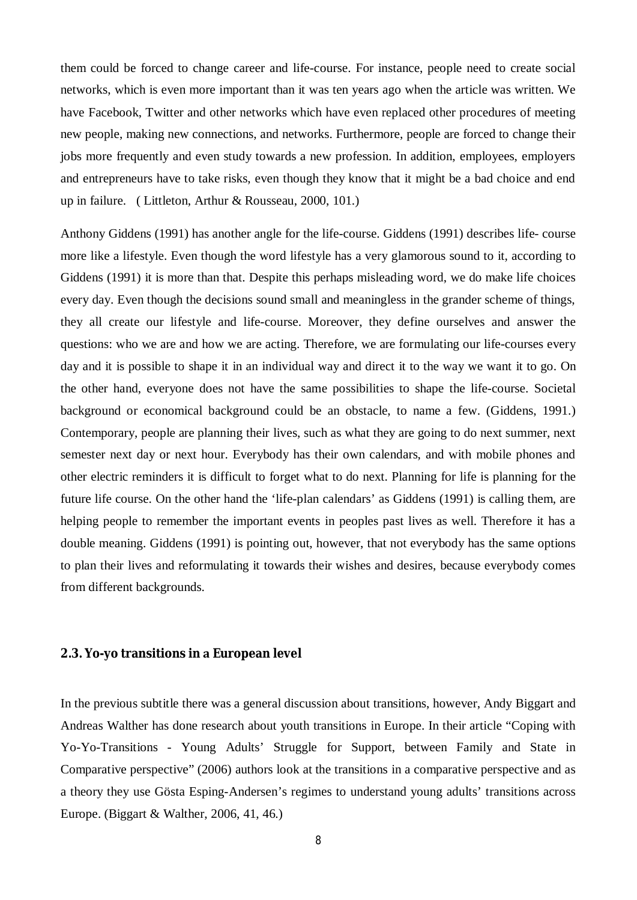them could be forced to change career and life-course. For instance, people need to create social networks, which is even more important than it was ten years ago when the article was written. We have Facebook, Twitter and other networks which have even replaced other procedures of meeting new people, making new connections, and networks. Furthermore, people are forced to change their jobs more frequently and even study towards a new profession. In addition, employees, employers and entrepreneurs have to take risks, even though they know that it might be a bad choice and end up in failure. ( Littleton, Arthur & Rousseau, 2000, 101.)

Anthony Giddens (1991) has another angle for the life-course. Giddens (1991) describes life- course more like a lifestyle. Even though the word lifestyle has a very glamorous sound to it, according to Giddens (1991) it is more than that. Despite this perhaps misleading word, we do make life choices every day. Even though the decisions sound small and meaningless in the grander scheme of things, they all create our lifestyle and life-course. Moreover, they define ourselves and answer the questions: who we are and how we are acting. Therefore, we are formulating our life-courses every day and it is possible to shape it in an individual way and direct it to the way we want it to go. On the other hand, everyone does not have the same possibilities to shape the life-course. Societal background or economical background could be an obstacle, to name a few. (Giddens, 1991.) Contemporary, people are planning their lives, such as what they are going to do next summer, next semester next day or next hour. Everybody has their own calendars, and with mobile phones and other electric reminders it is difficult to forget what to do next. Planning for life is planning for the future life course. On the other hand the 'life-plan calendars' as Giddens (1991) is calling them, are helping people to remember the important events in peoples past lives as well. Therefore it has a double meaning. Giddens (1991) is pointing out, however, that not everybody has the same options to plan their lives and reformulating it towards their wishes and desires, because everybody comes from different backgrounds.

### <span id="page-11-0"></span>**2.3. Yo-yo transitions inEuropean level**

In the previous subtitle there was a general discussion about transitions, however, Andy Biggart and Andreas Walther has done research about youth transitions in Europe. In their article "Coping with Yo-Yo-Transitions - Young Adults' Struggle for Support, between Family and State in Comparative perspective" (2006) authors look at the transitions in a comparative perspective and as a theory they use Gösta Esping-Andersen's regimes to understand young adults' transitions across Europe. (Biggart & Walther, 2006, 41, 46.)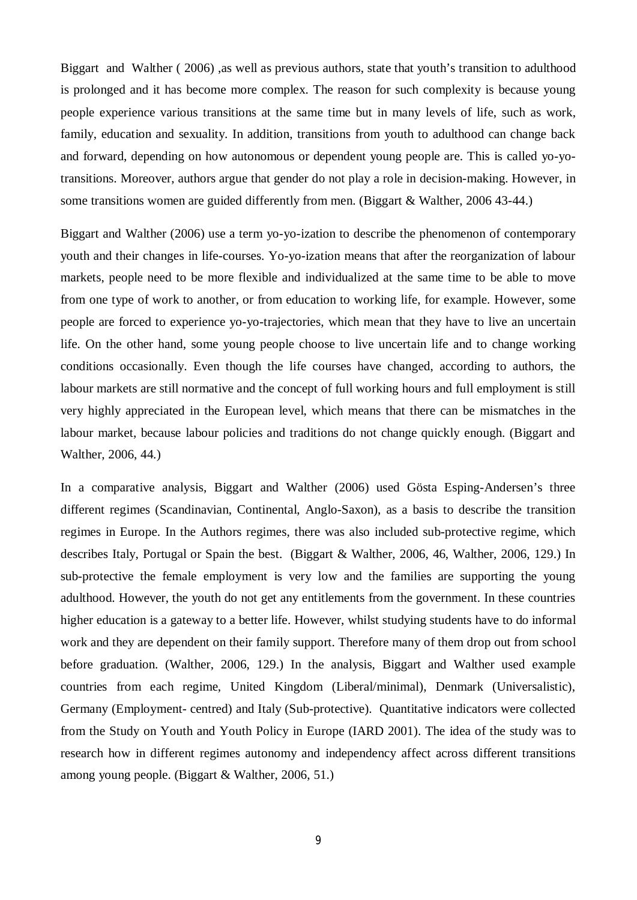Biggart and Walther ( 2006) ,as well as previous authors, state that youth's transition to adulthood is prolonged and it has become more complex. The reason for such complexity is because young people experience various transitions at the same time but in many levels of life, such as work, family, education and sexuality. In addition, transitions from youth to adulthood can change back and forward, depending on how autonomous or dependent young people are. This is called yo-yotransitions. Moreover, authors argue that gender do not play a role in decision-making. However, in some transitions women are guided differently from men. (Biggart & Walther, 2006 43-44.)

Biggart and Walther (2006) use a term yo-yo-ization to describe the phenomenon of contemporary youth and their changes in life-courses. Yo-yo-ization means that after the reorganization of labour markets, people need to be more flexible and individualized at the same time to be able to move from one type of work to another, or from education to working life, for example. However, some people are forced to experience yo-yo-trajectories, which mean that they have to live an uncertain life. On the other hand, some young people choose to live uncertain life and to change working conditions occasionally. Even though the life courses have changed, according to authors, the labour markets are still normative and the concept of full working hours and full employment is still very highly appreciated in the European level, which means that there can be mismatches in the labour market, because labour policies and traditions do not change quickly enough. (Biggart and Walther, 2006, 44.)

In a comparative analysis, Biggart and Walther (2006) used Gösta Esping-Andersen's three different regimes (Scandinavian, Continental, Anglo-Saxon), as a basis to describe the transition regimes in Europe. In the Authors regimes, there was also included sub-protective regime, which describes Italy, Portugal or Spain the best. (Biggart & Walther, 2006, 46, Walther, 2006, 129.) In sub-protective the female employment is very low and the families are supporting the young adulthood. However, the youth do not get any entitlements from the government. In these countries higher education is a gateway to a better life. However, whilst studying students have to do informal work and they are dependent on their family support. Therefore many of them drop out from school before graduation. (Walther, 2006, 129.) In the analysis, Biggart and Walther used example countries from each regime, United Kingdom (Liberal/minimal), Denmark (Universalistic), Germany (Employment- centred) and Italy (Sub-protective). Quantitative indicators were collected from the Study on Youth and Youth Policy in Europe (IARD 2001). The idea of the study was to research how in different regimes autonomy and independency affect across different transitions among young people. (Biggart & Walther, 2006, 51.)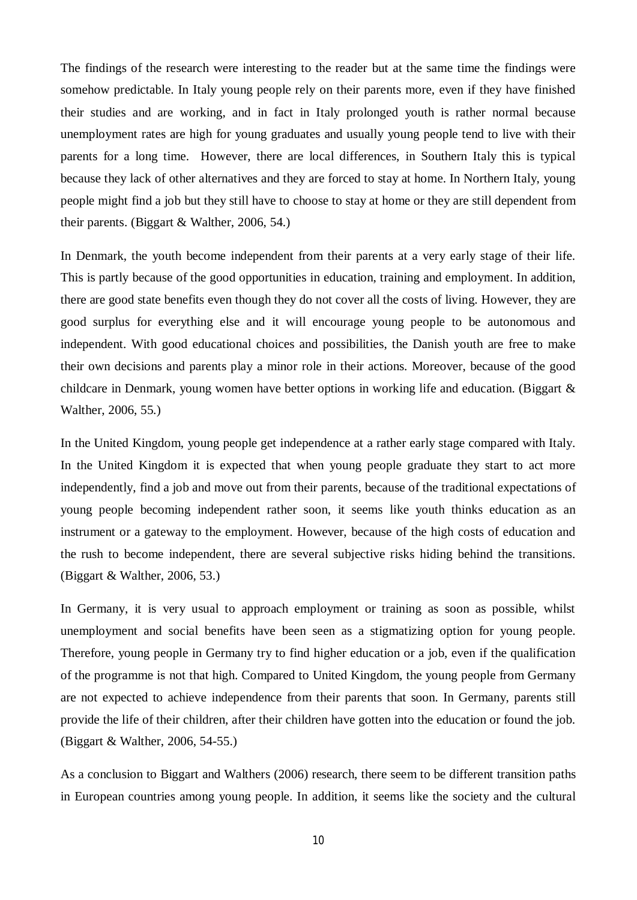The findings of the research were interesting to the reader but at the same time the findings were somehow predictable. In Italy young people rely on their parents more, even if they have finished their studies and are working, and in fact in Italy prolonged youth is rather normal because unemployment rates are high for young graduates and usually young people tend to live with their parents for a long time. However, there are local differences, in Southern Italy this is typical because they lack of other alternatives and they are forced to stay at home. In Northern Italy, young people might find a job but they still have to choose to stay at home or they are still dependent from their parents. (Biggart & Walther, 2006, 54.)

In Denmark, the youth become independent from their parents at a very early stage of their life. This is partly because of the good opportunities in education, training and employment. In addition, there are good state benefits even though they do not cover all the costs of living. However, they are good surplus for everything else and it will encourage young people to be autonomous and independent. With good educational choices and possibilities, the Danish youth are free to make their own decisions and parents play a minor role in their actions. Moreover, because of the good childcare in Denmark, young women have better options in working life and education. (Biggart & Walther, 2006, 55.)

In the United Kingdom, young people get independence at a rather early stage compared with Italy. In the United Kingdom it is expected that when young people graduate they start to act more independently, find a job and move out from their parents, because of the traditional expectations of young people becoming independent rather soon, it seems like youth thinks education as an instrument or a gateway to the employment. However, because of the high costs of education and the rush to become independent, there are several subjective risks hiding behind the transitions. (Biggart & Walther, 2006, 53.)

In Germany, it is very usual to approach employment or training as soon as possible, whilst unemployment and social benefits have been seen as a stigmatizing option for young people. Therefore, young people in Germany try to find higher education or a job, even if the qualification of the programme is not that high. Compared to United Kingdom, the young people from Germany are not expected to achieve independence from their parents that soon. In Germany, parents still provide the life of their children, after their children have gotten into the education or found the job. (Biggart & Walther, 2006, 54-55.)

As a conclusion to Biggart and Walthers (2006) research, there seem to be different transition paths in European countries among young people. In addition, it seems like the society and the cultural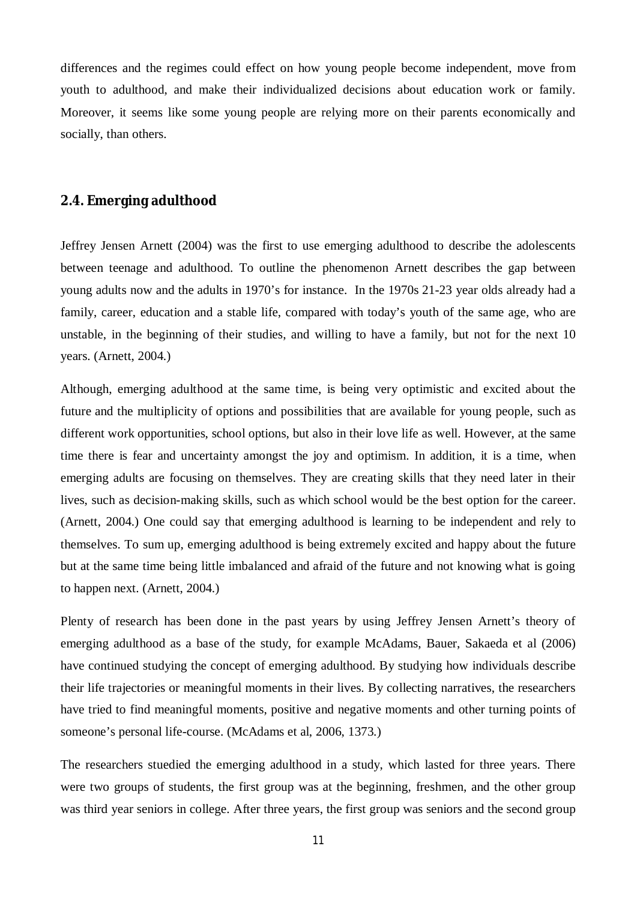differences and the regimes could effect on how young people become independent, move from youth to adulthood, and make their individualized decisions about education work or family. Moreover, it seems like some young people are relying more on their parents economically and socially, than others.

### <span id="page-14-0"></span>**2.4. Emerging adulthood**

Jeffrey Jensen Arnett (2004) was the first to use emerging adulthood to describe the adolescents between teenage and adulthood. To outline the phenomenon Arnett describes the gap between young adults now and the adults in 1970's for instance. In the 1970s 21-23 year olds already had a family, career, education and a stable life, compared with today's youth of the same age, who are unstable, in the beginning of their studies, and willing to have a family, but not for the next 10 years. (Arnett, 2004.)

Although, emerging adulthood at the same time, is being very optimistic and excited about the future and the multiplicity of options and possibilities that are available for young people, such as different work opportunities, school options, but also in their love life as well. However, at the same time there is fear and uncertainty amongst the joy and optimism. In addition, it is a time, when emerging adults are focusing on themselves. They are creating skills that they need later in their lives, such as decision-making skills, such as which school would be the best option for the career. (Arnett, 2004.) One could say that emerging adulthood is learning to be independent and rely to themselves. To sum up, emerging adulthood is being extremely excited and happy about the future but at the same time being little imbalanced and afraid of the future and not knowing what is going to happen next. (Arnett, 2004.)

Plenty of research has been done in the past years by using Jeffrey Jensen Arnett's theory of emerging adulthood as a base of the study, for example McAdams, Bauer, Sakaeda et al (2006) have continued studying the concept of emerging adulthood. By studying how individuals describe their life trajectories or meaningful moments in their lives. By collecting narratives, the researchers have tried to find meaningful moments, positive and negative moments and other turning points of someone's personal life-course. (McAdams et al, 2006, 1373.)

The researchers stuedied the emerging adulthood in a study, which lasted for three years. There were two groups of students, the first group was at the beginning, freshmen, and the other group was third year seniors in college. After three years, the first group was seniors and the second group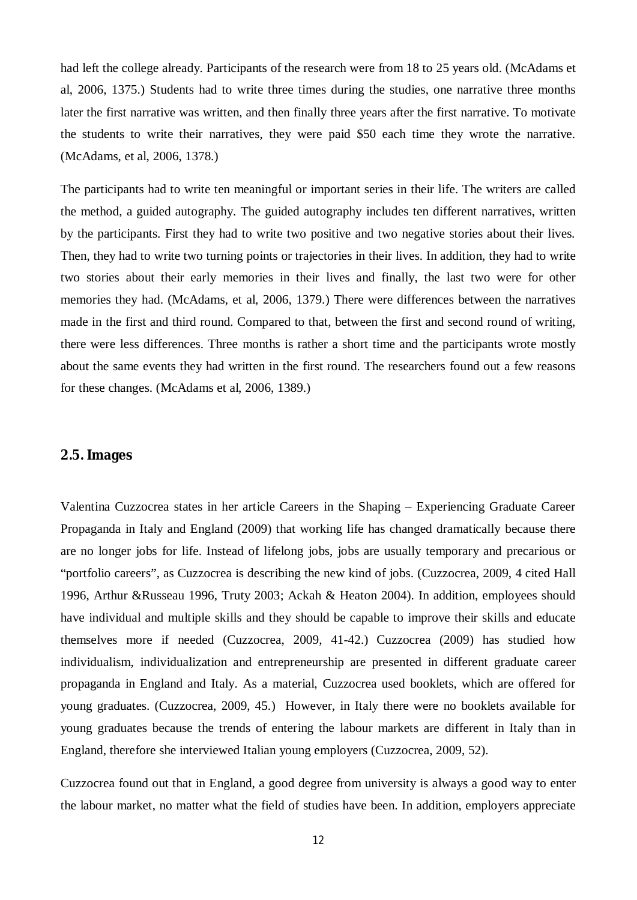had left the college already. Participants of the research were from 18 to 25 years old. (McAdams et al, 2006, 1375.) Students had to write three times during the studies, one narrative three months later the first narrative was written, and then finally three years after the first narrative. To motivate the students to write their narratives, they were paid \$50 each time they wrote the narrative. (McAdams, et al, 2006, 1378.)

The participants had to write ten meaningful or important series in their life. The writers are called the method, a guided autography. The guided autography includes ten different narratives, written by the participants. First they had to write two positive and two negative stories about their lives. Then, they had to write two turning points or trajectories in their lives. In addition, they had to write two stories about their early memories in their lives and finally, the last two were for other memories they had. (McAdams, et al, 2006, 1379.) There were differences between the narratives made in the first and third round. Compared to that, between the first and second round of writing, there were less differences. Three months is rather a short time and the participants wrote mostly about the same events they had written in the first round. The researchers found out a few reasons for these changes. (McAdams et al, 2006, 1389.)

## <span id="page-15-0"></span>**2.5. Images**

Valentina Cuzzocrea states in her article Careers in the Shaping – Experiencing Graduate Career Propaganda in Italy and England (2009) that working life has changed dramatically because there are no longer jobs for life. Instead of lifelong jobs, jobs are usually temporary and precarious or "portfolio careers", as Cuzzocrea is describing the new kind of jobs. (Cuzzocrea, 2009, 4 cited Hall 1996, Arthur &Russeau 1996, Truty 2003; Ackah & Heaton 2004). In addition, employees should have individual and multiple skills and they should be capable to improve their skills and educate themselves more if needed (Cuzzocrea, 2009, 41-42.) Cuzzocrea (2009) has studied how individualism, individualization and entrepreneurship are presented in different graduate career propaganda in England and Italy. As a material, Cuzzocrea used booklets, which are offered for young graduates. (Cuzzocrea, 2009, 45.) However, in Italy there were no booklets available for young graduates because the trends of entering the labour markets are different in Italy than in England, therefore she interviewed Italian young employers (Cuzzocrea, 2009, 52).

Cuzzocrea found out that in England, a good degree from university is always a good way to enter the labour market, no matter what the field of studies have been. In addition, employers appreciate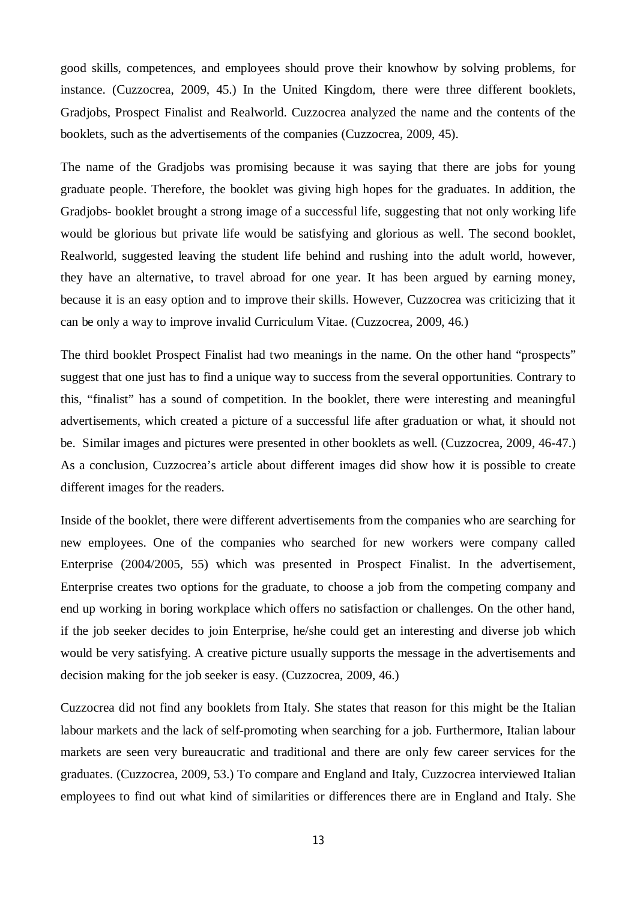good skills, competences, and employees should prove their knowhow by solving problems, for instance. (Cuzzocrea, 2009, 45.) In the United Kingdom, there were three different booklets, Gradjobs, Prospect Finalist and Realworld. Cuzzocrea analyzed the name and the contents of the booklets, such as the advertisements of the companies (Cuzzocrea, 2009, 45).

The name of the Gradjobs was promising because it was saying that there are jobs for young graduate people. Therefore, the booklet was giving high hopes for the graduates. In addition, the Gradjobs- booklet brought a strong image of a successful life, suggesting that not only working life would be glorious but private life would be satisfying and glorious as well. The second booklet, Realworld, suggested leaving the student life behind and rushing into the adult world, however, they have an alternative, to travel abroad for one year. It has been argued by earning money, because it is an easy option and to improve their skills. However, Cuzzocrea was criticizing that it can be only a way to improve invalid Curriculum Vitae. (Cuzzocrea, 2009, 46.)

The third booklet Prospect Finalist had two meanings in the name. On the other hand "prospects" suggest that one just has to find a unique way to success from the several opportunities. Contrary to this, "finalist" has a sound of competition. In the booklet, there were interesting and meaningful advertisements, which created a picture of a successful life after graduation or what, it should not be. Similar images and pictures were presented in other booklets as well. (Cuzzocrea, 2009, 46-47.) As a conclusion, Cuzzocrea's article about different images did show how it is possible to create different images for the readers.

Inside of the booklet, there were different advertisements from the companies who are searching for new employees. One of the companies who searched for new workers were company called Enterprise (2004/2005, 55) which was presented in Prospect Finalist. In the advertisement, Enterprise creates two options for the graduate, to choose a job from the competing company and end up working in boring workplace which offers no satisfaction or challenges. On the other hand, if the job seeker decides to join Enterprise, he/she could get an interesting and diverse job which would be very satisfying. A creative picture usually supports the message in the advertisements and decision making for the job seeker is easy. (Cuzzocrea, 2009, 46.)

Cuzzocrea did not find any booklets from Italy. She states that reason for this might be the Italian labour markets and the lack of self-promoting when searching for a job. Furthermore, Italian labour markets are seen very bureaucratic and traditional and there are only few career services for the graduates. (Cuzzocrea, 2009, 53.) To compare and England and Italy, Cuzzocrea interviewed Italian employees to find out what kind of similarities or differences there are in England and Italy. She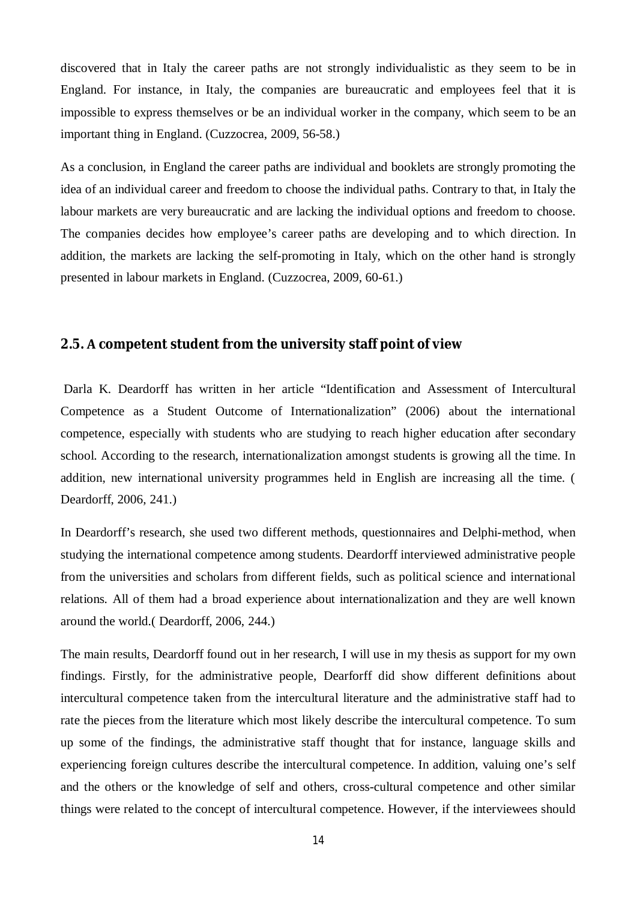discovered that in Italy the career paths are not strongly individualistic as they seem to be in England. For instance, in Italy, the companies are bureaucratic and employees feel that it is impossible to express themselves or be an individual worker in the company, which seem to be an important thing in England. (Cuzzocrea, 2009, 56-58.)

As a conclusion, in England the career paths are individual and booklets are strongly promoting the idea of an individual career and freedom to choose the individual paths. Contrary to that, in Italy the labour markets are very bureaucratic and are lacking the individual options and freedom to choose. The companies decides how employee's career paths are developing and to which direction. In addition, the markets are lacking the self-promoting in Italy, which on the other hand is strongly presented in labour markets in England. (Cuzzocrea, 2009, 60-61.)

## <span id="page-17-0"></span>**2.5.competent student from the university staff point of view**

 Darla K. Deardorff has written in her article "Identification and Assessment of Intercultural Competence as a Student Outcome of Internationalization" (2006) about the international competence, especially with students who are studying to reach higher education after secondary school. According to the research, internationalization amongst students is growing all the time. In addition, new international university programmes held in English are increasing all the time. ( Deardorff, 2006, 241.)

In Deardorff's research, she used two different methods, questionnaires and Delphi-method, when studying the international competence among students. Deardorff interviewed administrative people from the universities and scholars from different fields, such as political science and international relations. All of them had a broad experience about internationalization and they are well known around the world.( Deardorff, 2006, 244.)

The main results, Deardorff found out in her research, I will use in my thesis as support for my own findings. Firstly, for the administrative people, Dearforff did show different definitions about intercultural competence taken from the intercultural literature and the administrative staff had to rate the pieces from the literature which most likely describe the intercultural competence. To sum up some of the findings, the administrative staff thought that for instance, language skills and experiencing foreign cultures describe the intercultural competence. In addition, valuing one's self and the others or the knowledge of self and others, cross-cultural competence and other similar things were related to the concept of intercultural competence. However, if the interviewees should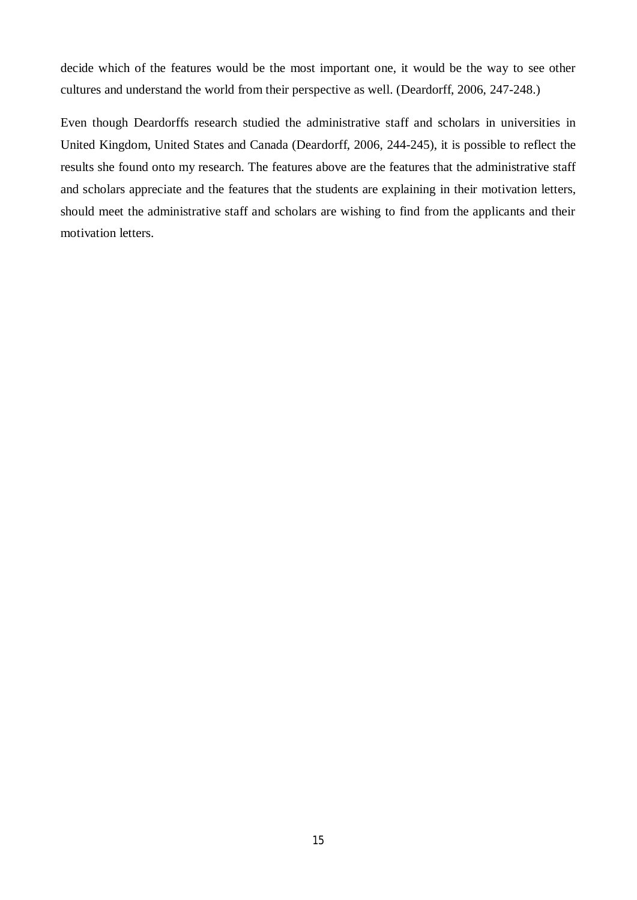decide which of the features would be the most important one, it would be the way to see other cultures and understand the world from their perspective as well. (Deardorff, 2006, 247-248.)

Even though Deardorffs research studied the administrative staff and scholars in universities in United Kingdom, United States and Canada (Deardorff, 2006, 244-245), it is possible to reflect the results she found onto my research. The features above are the features that the administrative staff and scholars appreciate and the features that the students are explaining in their motivation letters, should meet the administrative staff and scholars are wishing to find from the applicants and their motivation letters.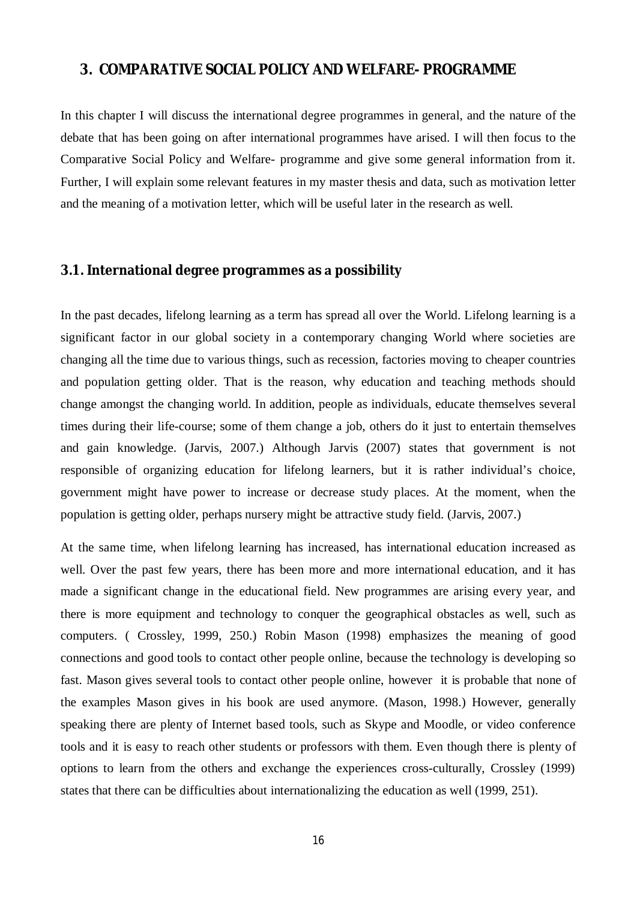## <span id="page-19-0"></span>**3. COMPARATIVE SOCIAL POLICY AND WELFARE- PROGRAMME**

In this chapter I will discuss the international degree programmes in general, and the nature of the debate that has been going on after international programmes have arised. I will then focus to the Comparative Social Policy and Welfare- programme and give some general information from it. Further, I will explain some relevant features in my master thesis and data, such as motivation letter and the meaning of a motivation letter, which will be useful later in the research as well.

## <span id="page-19-1"></span>**3.1. International degree programmes aspossibility**

In the past decades, lifelong learning as a term has spread all over the World. Lifelong learning is a significant factor in our global society in a contemporary changing World where societies are changing all the time due to various things, such as recession, factories moving to cheaper countries and population getting older. That is the reason, why education and teaching methods should change amongst the changing world. In addition, people as individuals, educate themselves several times during their life-course; some of them change a job, others do it just to entertain themselves and gain knowledge. (Jarvis, 2007.) Although Jarvis (2007) states that government is not responsible of organizing education for lifelong learners, but it is rather individual's choice, government might have power to increase or decrease study places. At the moment, when the population is getting older, perhaps nursery might be attractive study field. (Jarvis, 2007.)

At the same time, when lifelong learning has increased, has international education increased as well. Over the past few years, there has been more and more international education, and it has made a significant change in the educational field. New programmes are arising every year, and there is more equipment and technology to conquer the geographical obstacles as well, such as computers. ( Crossley, 1999, 250.) Robin Mason (1998) emphasizes the meaning of good connections and good tools to contact other people online, because the technology is developing so fast. Mason gives several tools to contact other people online, however it is probable that none of the examples Mason gives in his book are used anymore. (Mason, 1998.) However, generally speaking there are plenty of Internet based tools, such as Skype and Moodle, or video conference tools and it is easy to reach other students or professors with them. Even though there is plenty of options to learn from the others and exchange the experiences cross-culturally, Crossley (1999) states that there can be difficulties about internationalizing the education as well (1999, 251).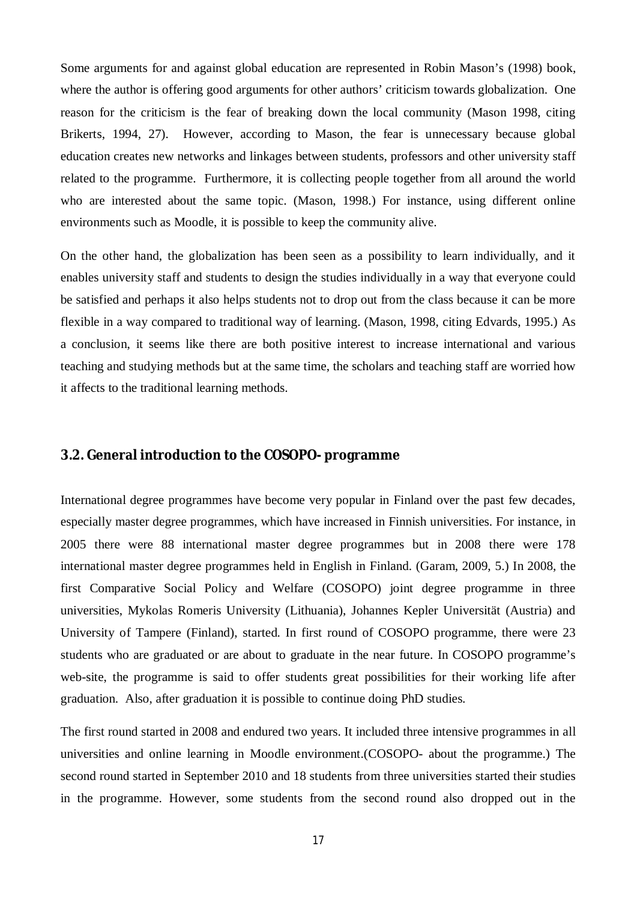Some arguments for and against global education are represented in Robin Mason's (1998) book, where the author is offering good arguments for other authors' criticism towards globalization. One reason for the criticism is the fear of breaking down the local community (Mason 1998, citing Brikerts, 1994, 27). However, according to Mason, the fear is unnecessary because global education creates new networks and linkages between students, professors and other university staff related to the programme. Furthermore, it is collecting people together from all around the world who are interested about the same topic. (Mason, 1998.) For instance, using different online environments such as Moodle, it is possible to keep the community alive.

On the other hand, the globalization has been seen as a possibility to learn individually, and it enables university staff and students to design the studies individually in a way that everyone could be satisfied and perhaps it also helps students not to drop out from the class because it can be more flexible in a way compared to traditional way of learning. (Mason, 1998, citing Edvards, 1995.) As a conclusion, it seems like there are both positive interest to increase international and various teaching and studying methods but at the same time, the scholars and teaching staff are worried how it affects to the traditional learning methods.

## <span id="page-20-0"></span>**3.2. General introduction to the COSOPO- programme**

International degree programmes have become very popular in Finland over the past few decades, especially master degree programmes, which have increased in Finnish universities. For instance, in 2005 there were 88 international master degree programmes but in 2008 there were 178 international master degree programmes held in English in Finland. (Garam, 2009, 5.) In 2008, the first Comparative Social Policy and Welfare (COSOPO) joint degree programme in three universities, Mykolas Romeris University (Lithuania), Johannes Kepler Universität (Austria) and University of Tampere (Finland), started. In first round of COSOPO programme, there were 23 students who are graduated or are about to graduate in the near future. In COSOPO programme's web-site, the programme is said to offer students great possibilities for their working life after graduation. Also, after graduation it is possible to continue doing PhD studies.

The first round started in 2008 and endured two years. It included three intensive programmes in all universities and online learning in Moodle environment.(COSOPO- about the programme.) The second round started in September 2010 and 18 students from three universities started their studies in the programme. However, some students from the second round also dropped out in the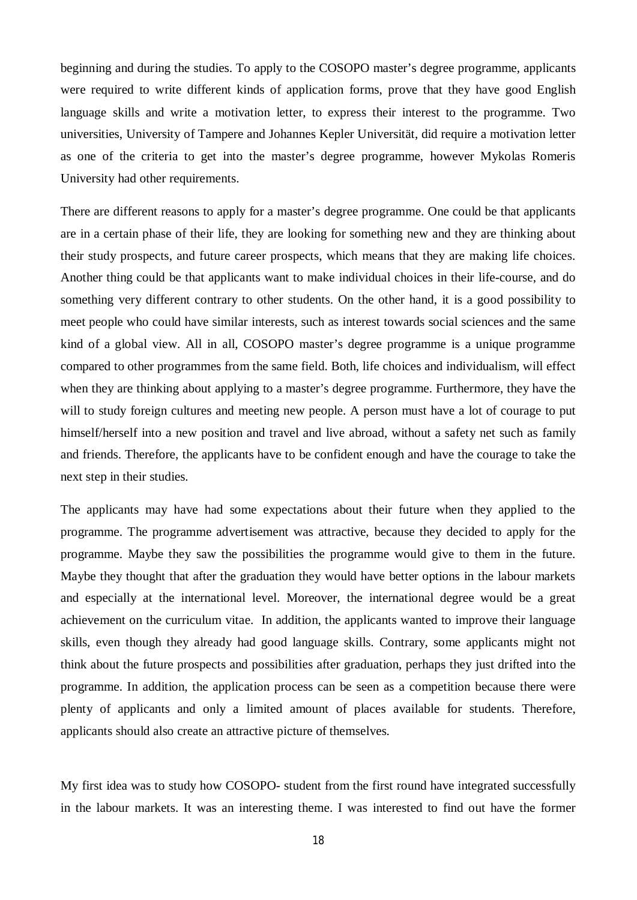beginning and during the studies. To apply to the COSOPO master's degree programme, applicants were required to write different kinds of application forms, prove that they have good English language skills and write a motivation letter, to express their interest to the programme. Two universities, University of Tampere and Johannes Kepler Universität, did require a motivation letter as one of the criteria to get into the master's degree programme, however Mykolas Romeris University had other requirements.

There are different reasons to apply for a master's degree programme. One could be that applicants are in a certain phase of their life, they are looking for something new and they are thinking about their study prospects, and future career prospects, which means that they are making life choices. Another thing could be that applicants want to make individual choices in their life-course, and do something very different contrary to other students. On the other hand, it is a good possibility to meet people who could have similar interests, such as interest towards social sciences and the same kind of a global view. All in all, COSOPO master's degree programme is a unique programme compared to other programmes from the same field. Both, life choices and individualism, will effect when they are thinking about applying to a master's degree programme. Furthermore, they have the will to study foreign cultures and meeting new people. A person must have a lot of courage to put himself/herself into a new position and travel and live abroad, without a safety net such as family and friends. Therefore, the applicants have to be confident enough and have the courage to take the next step in their studies.

The applicants may have had some expectations about their future when they applied to the programme. The programme advertisement was attractive, because they decided to apply for the programme. Maybe they saw the possibilities the programme would give to them in the future. Maybe they thought that after the graduation they would have better options in the labour markets and especially at the international level. Moreover, the international degree would be a great achievement on the curriculum vitae. In addition, the applicants wanted to improve their language skills, even though they already had good language skills. Contrary, some applicants might not think about the future prospects and possibilities after graduation, perhaps they just drifted into the programme. In addition, the application process can be seen as a competition because there were plenty of applicants and only a limited amount of places available for students. Therefore, applicants should also create an attractive picture of themselves.

My first idea was to study how COSOPO- student from the first round have integrated successfully in the labour markets. It was an interesting theme. I was interested to find out have the former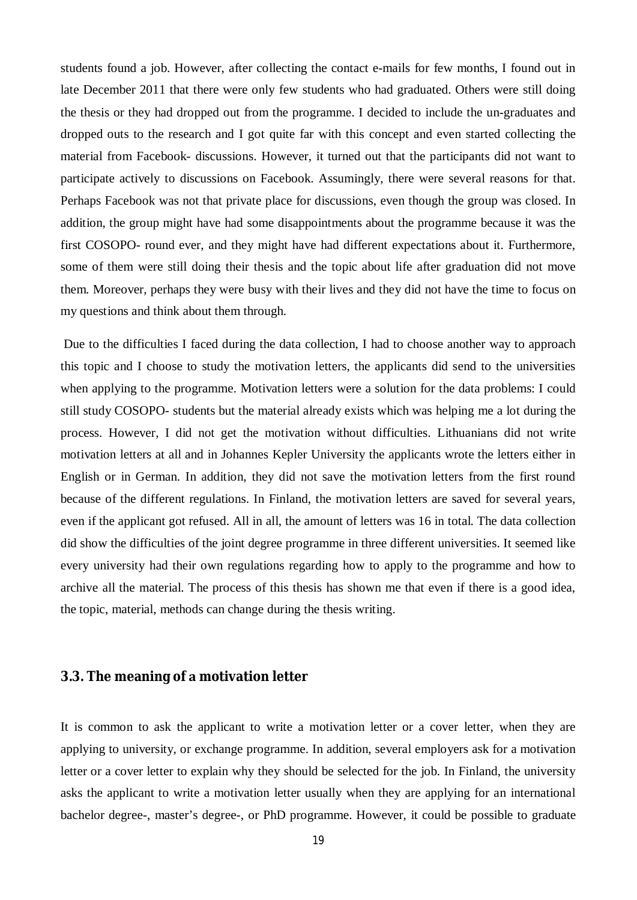students found a job. However, after collecting the contact e-mails for few months, I found out in late December 2011 that there were only few students who had graduated. Others were still doing the thesis or they had dropped out from the programme. I decided to include the un-graduates and dropped outs to the research and I got quite far with this concept and even started collecting the material from Facebook- discussions. However, it turned out that the participants did not want to participate actively to discussions on Facebook. Assumingly, there were several reasons for that. Perhaps Facebook was not that private place for discussions, even though the group was closed. In addition, the group might have had some disappointments about the programme because it was the first COSOPO- round ever, and they might have had different expectations about it. Furthermore, some of them were still doing their thesis and the topic about life after graduation did not move them. Moreover, perhaps they were busy with their lives and they did not have the time to focus on my questions and think about them through.

 Due to the difficulties I faced during the data collection, I had to choose another way to approach this topic and I choose to study the motivation letters, the applicants did send to the universities when applying to the programme. Motivation letters were a solution for the data problems: I could still study COSOPO- students but the material already exists which was helping me a lot during the process. However, I did not get the motivation without difficulties. Lithuanians did not write motivation letters at all and in Johannes Kepler University the applicants wrote the letters either in English or in German. In addition, they did not save the motivation letters from the first round because of the different regulations. In Finland, the motivation letters are saved for several years, even if the applicant got refused. All in all, the amount of letters was 16 in total. The data collection did show the difficulties of the joint degree programme in three different universities. It seemed like every university had their own regulations regarding how to apply to the programme and how to archive all the material. The process of this thesis has shown me that even if there is a good idea, the topic, material, methods can change during the thesis writing.

## <span id="page-22-0"></span>**3.3. The meaning ofmotivation letter**

It is common to ask the applicant to write a motivation letter or a cover letter, when they are applying to university, or exchange programme. In addition, several employers ask for a motivation letter or a cover letter to explain why they should be selected for the job. In Finland, the university asks the applicant to write a motivation letter usually when they are applying for an international bachelor degree-, master's degree-, or PhD programme. However, it could be possible to graduate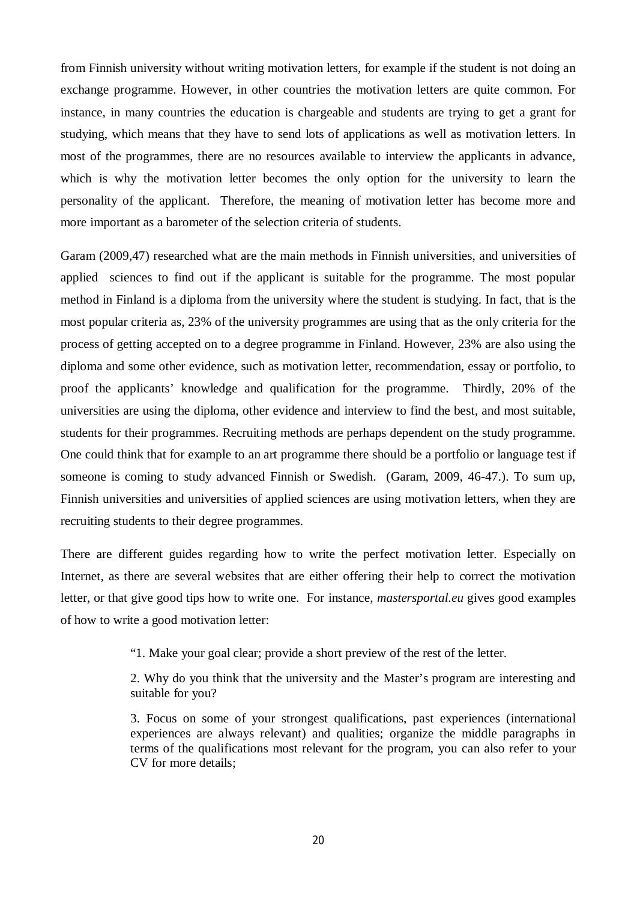from Finnish university without writing motivation letters, for example if the student is not doing an exchange programme. However, in other countries the motivation letters are quite common. For instance, in many countries the education is chargeable and students are trying to get a grant for studying, which means that they have to send lots of applications as well as motivation letters. In most of the programmes, there are no resources available to interview the applicants in advance, which is why the motivation letter becomes the only option for the university to learn the personality of the applicant. Therefore, the meaning of motivation letter has become more and more important as a barometer of the selection criteria of students.

Garam (2009,47) researched what are the main methods in Finnish universities, and universities of applied sciences to find out if the applicant is suitable for the programme. The most popular method in Finland is a diploma from the university where the student is studying. In fact, that is the most popular criteria as, 23% of the university programmes are using that as the only criteria for the process of getting accepted on to a degree programme in Finland. However, 23% are also using the diploma and some other evidence, such as motivation letter, recommendation, essay or portfolio, to proof the applicants' knowledge and qualification for the programme. Thirdly, 20% of the universities are using the diploma, other evidence and interview to find the best, and most suitable, students for their programmes. Recruiting methods are perhaps dependent on the study programme. One could think that for example to an art programme there should be a portfolio or language test if someone is coming to study advanced Finnish or Swedish. (Garam, 2009, 46-47.). To sum up, Finnish universities and universities of applied sciences are using motivation letters, when they are recruiting students to their degree programmes.

There are different guides regarding how to write the perfect motivation letter. Especially on Internet, as there are several websites that are either offering their help to correct the motivation letter, or that give good tips how to write one. For instance, *mastersportal.eu* gives good examples of how to write a good motivation letter:

"1. Make your goal clear; provide a short preview of the rest of the letter.

2. Why do you think that the university and the Master's program are interesting and suitable for you?

3. Focus on some of your strongest qualifications, past experiences (international experiences are always relevant) and qualities; organize the middle paragraphs in terms of the qualifications most relevant for the program, you can also refer to your CV for more details;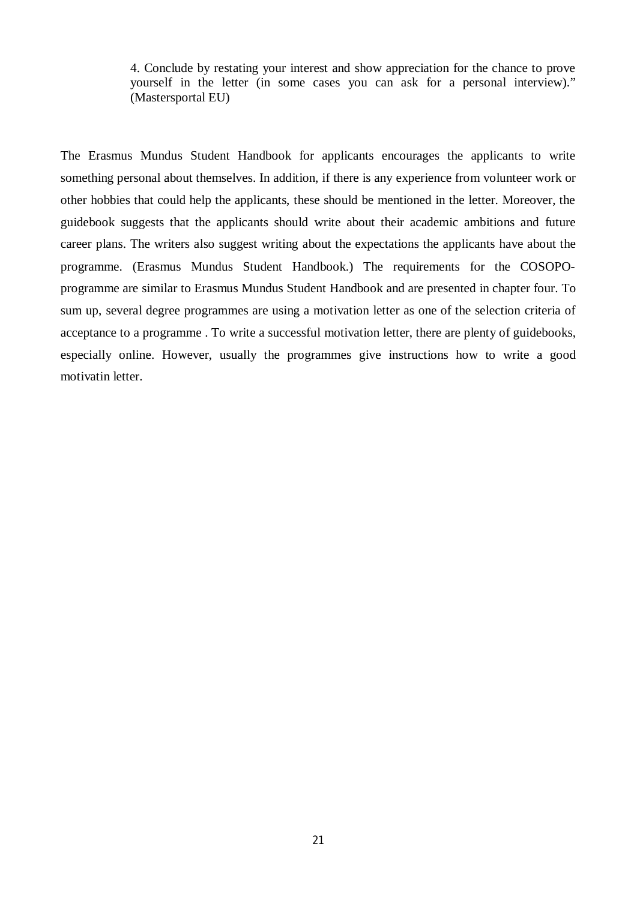4. Conclude by restating your interest and show appreciation for the chance to prove yourself in the letter (in some cases you can ask for a personal interview)." (Mastersportal EU)

The Erasmus Mundus Student Handbook for applicants encourages the applicants to write something personal about themselves. In addition, if there is any experience from volunteer work or other hobbies that could help the applicants, these should be mentioned in the letter. Moreover, the guidebook suggests that the applicants should write about their academic ambitions and future career plans. The writers also suggest writing about the expectations the applicants have about the programme. (Erasmus Mundus Student Handbook.) The requirements for the COSOPOprogramme are similar to Erasmus Mundus Student Handbook and are presented in chapter four. To sum up, several degree programmes are using a motivation letter as one of the selection criteria of acceptance to a programme . To write a successful motivation letter, there are plenty of guidebooks, especially online. However, usually the programmes give instructions how to write a good motivatin letter.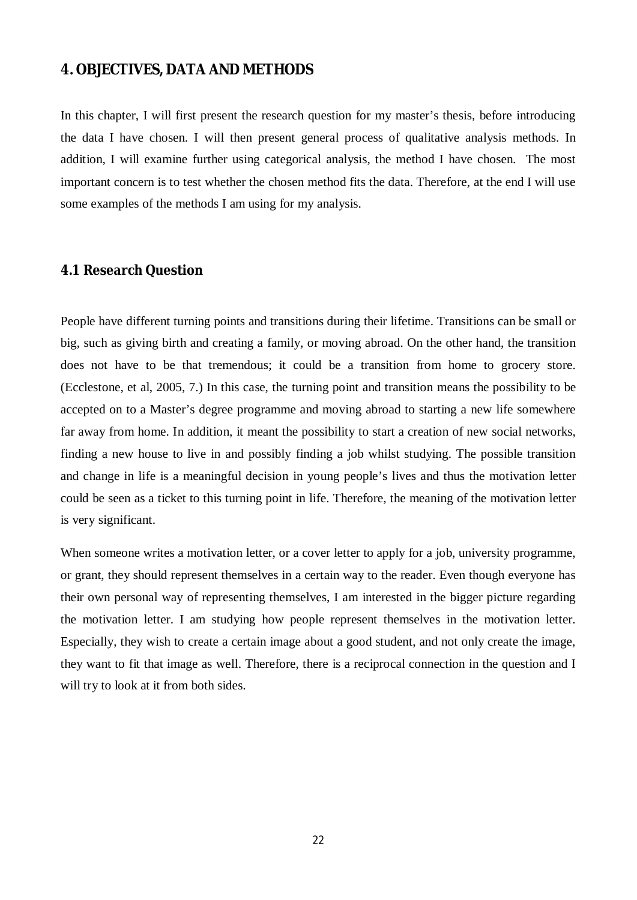## <span id="page-25-0"></span>**4. OBJECTIVES, DATA AND METHODS**

In this chapter, I will first present the research question for my master's thesis, before introducing the data I have chosen. I will then present general process of qualitative analysis methods. In addition, I will examine further using categorical analysis, the method I have chosen. The most important concern is to test whether the chosen method fits the data. Therefore, at the end I will use some examples of the methods I am using for my analysis.

### <span id="page-25-1"></span>**4.1 Research Question**

People have different turning points and transitions during their lifetime. Transitions can be small or big, such as giving birth and creating a family, or moving abroad. On the other hand, the transition does not have to be that tremendous; it could be a transition from home to grocery store. (Ecclestone, et al, 2005, 7.) In this case, the turning point and transition means the possibility to be accepted on to a Master's degree programme and moving abroad to starting a new life somewhere far away from home. In addition, it meant the possibility to start a creation of new social networks, finding a new house to live in and possibly finding a job whilst studying. The possible transition and change in life is a meaningful decision in young people's lives and thus the motivation letter could be seen as a ticket to this turning point in life. Therefore, the meaning of the motivation letter is very significant.

When someone writes a motivation letter, or a cover letter to apply for a job, university programme, or grant, they should represent themselves in a certain way to the reader. Even though everyone has their own personal way of representing themselves, I am interested in the bigger picture regarding the motivation letter. I am studying how people represent themselves in the motivation letter. Especially, they wish to create a certain image about a good student, and not only create the image, they want to fit that image as well. Therefore, there is a reciprocal connection in the question and I will try to look at it from both sides.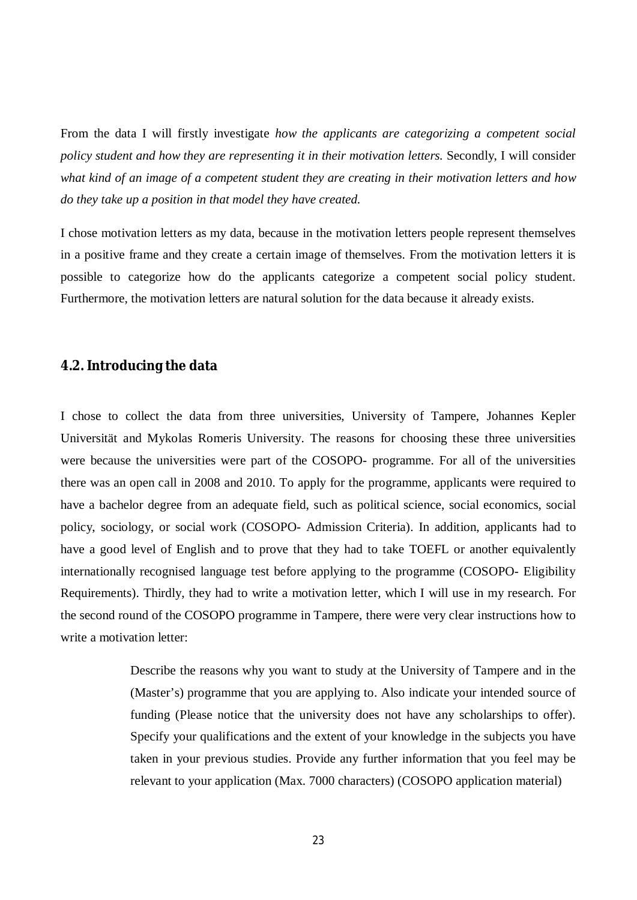From the data I will firstly investigate *how the applicants are categorizing a competent social policy student and how they are representing it in their motivation letters.* Secondly, I will consider *what kind of an image of a competent student they are creating in their motivation letters and how do they take up a position in that model they have created.* 

I chose motivation letters as my data, because in the motivation letters people represent themselves in a positive frame and they create a certain image of themselves. From the motivation letters it is possible to categorize how do the applicants categorize a competent social policy student. Furthermore, the motivation letters are natural solution for the data because it already exists.

### <span id="page-26-0"></span>**4.2. Introducing the data**

I chose to collect the data from three universities, University of Tampere, Johannes Kepler Universität and Mykolas Romeris University. The reasons for choosing these three universities were because the universities were part of the COSOPO- programme. For all of the universities there was an open call in 2008 and 2010. To apply for the programme, applicants were required to have a bachelor degree from an adequate field, such as political science, social economics, social policy, sociology, or social work (COSOPO- Admission Criteria). In addition, applicants had to have a good level of English and to prove that they had to take TOEFL or another equivalently internationally recognised language test before applying to the programme (COSOPO- Eligibility Requirements). Thirdly, they had to write a motivation letter, which I will use in my research. For the second round of the COSOPO programme in Tampere, there were very clear instructions how to write a motivation letter:

> Describe the reasons why you want to study at the University of Tampere and in the (Master's) programme that you are applying to. Also indicate your intended source of funding (Please notice that the university does not have any scholarships to offer). Specify your qualifications and the extent of your knowledge in the subjects you have taken in your previous studies. Provide any further information that you feel may be relevant to your application (Max. 7000 characters) (COSOPO application material)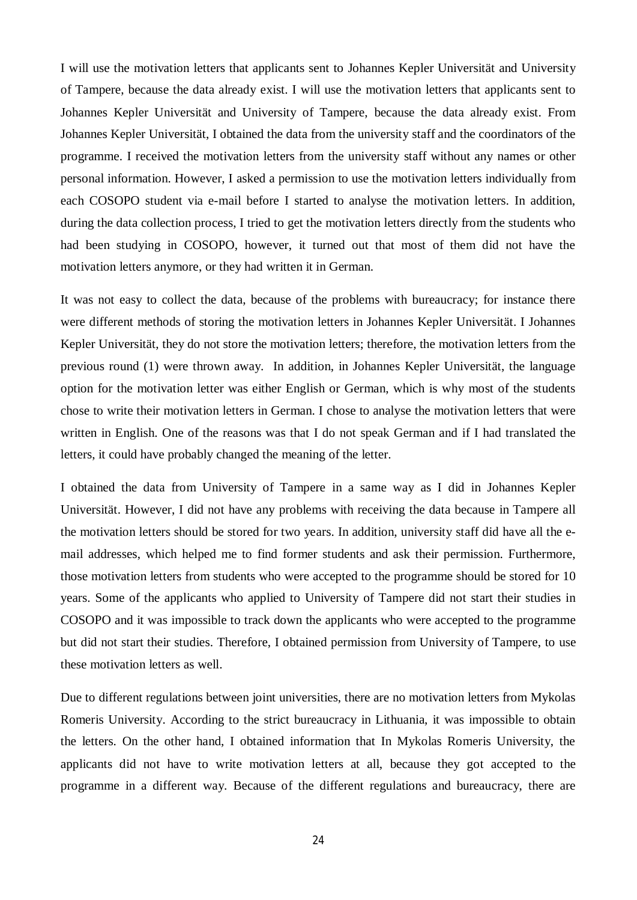I will use the motivation letters that applicants sent to Johannes Kepler Universität and University of Tampere, because the data already exist. I will use the motivation letters that applicants sent to Johannes Kepler Universität and University of Tampere, because the data already exist. From Johannes Kepler Universität, I obtained the data from the university staff and the coordinators of the programme. I received the motivation letters from the university staff without any names or other personal information. However, I asked a permission to use the motivation letters individually from each COSOPO student via e-mail before I started to analyse the motivation letters. In addition, during the data collection process, I tried to get the motivation letters directly from the students who had been studying in COSOPO, however, it turned out that most of them did not have the motivation letters anymore, or they had written it in German.

It was not easy to collect the data, because of the problems with bureaucracy; for instance there were different methods of storing the motivation letters in Johannes Kepler Universität. I Johannes Kepler Universität, they do not store the motivation letters; therefore, the motivation letters from the previous round (1) were thrown away. In addition, in Johannes Kepler Universität, the language option for the motivation letter was either English or German, which is why most of the students chose to write their motivation letters in German. I chose to analyse the motivation letters that were written in English. One of the reasons was that I do not speak German and if I had translated the letters, it could have probably changed the meaning of the letter.

I obtained the data from University of Tampere in a same way as I did in Johannes Kepler Universität. However, I did not have any problems with receiving the data because in Tampere all the motivation letters should be stored for two years. In addition, university staff did have all the email addresses, which helped me to find former students and ask their permission. Furthermore, those motivation letters from students who were accepted to the programme should be stored for 10 years. Some of the applicants who applied to University of Tampere did not start their studies in COSOPO and it was impossible to track down the applicants who were accepted to the programme but did not start their studies. Therefore, I obtained permission from University of Tampere, to use these motivation letters as well.

Due to different regulations between joint universities, there are no motivation letters from Mykolas Romeris University. According to the strict bureaucracy in Lithuania, it was impossible to obtain the letters. On the other hand, I obtained information that In Mykolas Romeris University, the applicants did not have to write motivation letters at all, because they got accepted to the programme in a different way. Because of the different regulations and bureaucracy, there are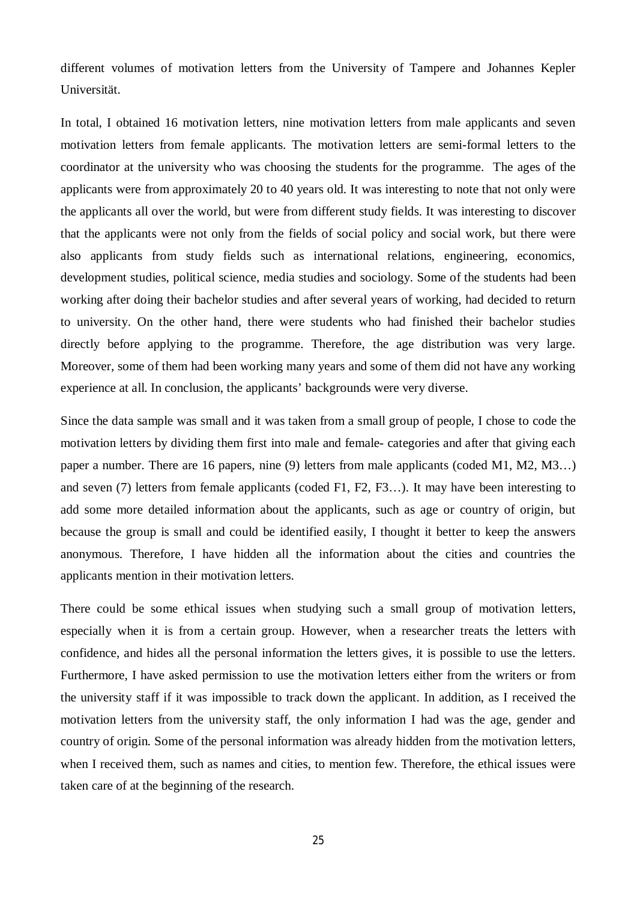different volumes of motivation letters from the University of Tampere and Johannes Kepler Universität.

In total, I obtained 16 motivation letters, nine motivation letters from male applicants and seven motivation letters from female applicants. The motivation letters are semi-formal letters to the coordinator at the university who was choosing the students for the programme. The ages of the applicants were from approximately 20 to 40 years old. It was interesting to note that not only were the applicants all over the world, but were from different study fields. It was interesting to discover that the applicants were not only from the fields of social policy and social work, but there were also applicants from study fields such as international relations, engineering, economics, development studies, political science, media studies and sociology. Some of the students had been working after doing their bachelor studies and after several years of working, had decided to return to university. On the other hand, there were students who had finished their bachelor studies directly before applying to the programme. Therefore, the age distribution was very large. Moreover, some of them had been working many years and some of them did not have any working experience at all. In conclusion, the applicants' backgrounds were very diverse.

Since the data sample was small and it was taken from a small group of people, I chose to code the motivation letters by dividing them first into male and female- categories and after that giving each paper a number. There are 16 papers, nine (9) letters from male applicants (coded M1, M2, M3…) and seven (7) letters from female applicants (coded F1, F2, F3…). It may have been interesting to add some more detailed information about the applicants, such as age or country of origin, but because the group is small and could be identified easily, I thought it better to keep the answers anonymous. Therefore, I have hidden all the information about the cities and countries the applicants mention in their motivation letters.

There could be some ethical issues when studying such a small group of motivation letters, especially when it is from a certain group. However, when a researcher treats the letters with confidence, and hides all the personal information the letters gives, it is possible to use the letters. Furthermore, I have asked permission to use the motivation letters either from the writers or from the university staff if it was impossible to track down the applicant. In addition, as I received the motivation letters from the university staff, the only information I had was the age, gender and country of origin. Some of the personal information was already hidden from the motivation letters, when I received them, such as names and cities, to mention few. Therefore, the ethical issues were taken care of at the beginning of the research.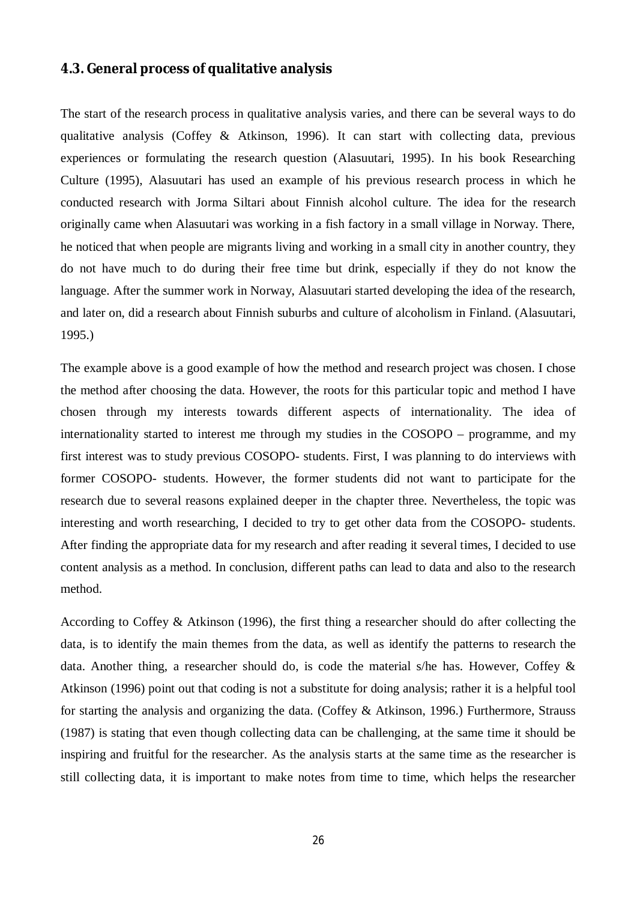## <span id="page-29-0"></span>**4.3. General process of qualitative analysis**

The start of the research process in qualitative analysis varies, and there can be several ways to do qualitative analysis (Coffey & Atkinson, 1996). It can start with collecting data, previous experiences or formulating the research question (Alasuutari, 1995). In his book Researching Culture (1995), Alasuutari has used an example of his previous research process in which he conducted research with Jorma Siltari about Finnish alcohol culture. The idea for the research originally came when Alasuutari was working in a fish factory in a small village in Norway. There, he noticed that when people are migrants living and working in a small city in another country, they do not have much to do during their free time but drink, especially if they do not know the language. After the summer work in Norway, Alasuutari started developing the idea of the research, and later on, did a research about Finnish suburbs and culture of alcoholism in Finland. (Alasuutari, 1995.)

The example above is a good example of how the method and research project was chosen. I chose the method after choosing the data. However, the roots for this particular topic and method I have chosen through my interests towards different aspects of internationality. The idea of internationality started to interest me through my studies in the COSOPO – programme, and my first interest was to study previous COSOPO- students. First, I was planning to do interviews with former COSOPO- students. However, the former students did not want to participate for the research due to several reasons explained deeper in the chapter three. Nevertheless, the topic was interesting and worth researching, I decided to try to get other data from the COSOPO- students. After finding the appropriate data for my research and after reading it several times, I decided to use content analysis as a method. In conclusion, different paths can lead to data and also to the research method.

According to Coffey & Atkinson (1996), the first thing a researcher should do after collecting the data, is to identify the main themes from the data, as well as identify the patterns to research the data. Another thing, a researcher should do, is code the material s/he has. However, Coffey & Atkinson (1996) point out that coding is not a substitute for doing analysis; rather it is a helpful tool for starting the analysis and organizing the data. (Coffey & Atkinson, 1996.) Furthermore, Strauss (1987) is stating that even though collecting data can be challenging, at the same time it should be inspiring and fruitful for the researcher. As the analysis starts at the same time as the researcher is still collecting data, it is important to make notes from time to time, which helps the researcher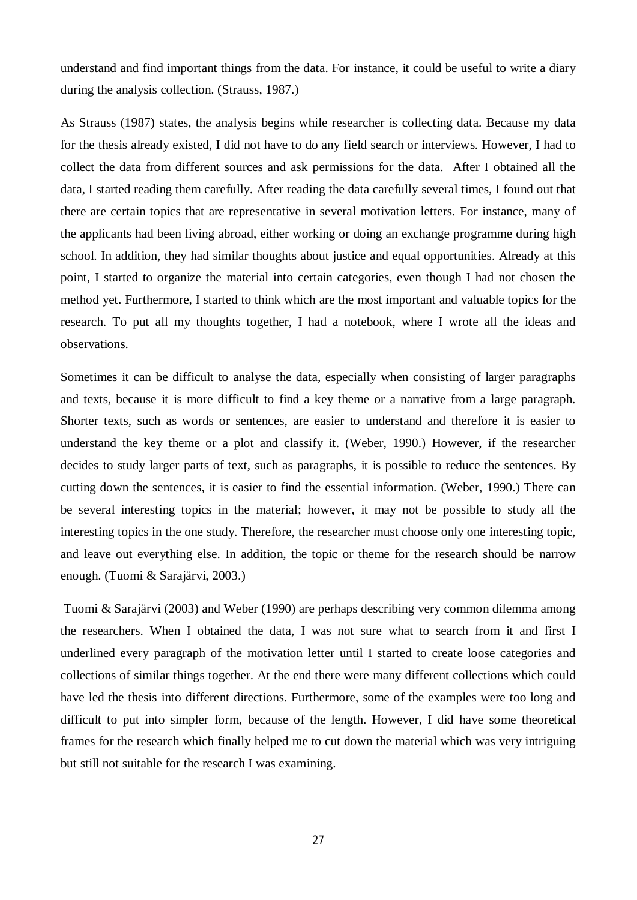understand and find important things from the data. For instance, it could be useful to write a diary during the analysis collection. (Strauss, 1987.)

As Strauss (1987) states, the analysis begins while researcher is collecting data. Because my data for the thesis already existed, I did not have to do any field search or interviews. However, I had to collect the data from different sources and ask permissions for the data. After I obtained all the data, I started reading them carefully. After reading the data carefully several times, I found out that there are certain topics that are representative in several motivation letters. For instance, many of the applicants had been living abroad, either working or doing an exchange programme during high school. In addition, they had similar thoughts about justice and equal opportunities. Already at this point, I started to organize the material into certain categories, even though I had not chosen the method yet. Furthermore, I started to think which are the most important and valuable topics for the research. To put all my thoughts together, I had a notebook, where I wrote all the ideas and observations.

Sometimes it can be difficult to analyse the data, especially when consisting of larger paragraphs and texts, because it is more difficult to find a key theme or a narrative from a large paragraph. Shorter texts, such as words or sentences, are easier to understand and therefore it is easier to understand the key theme or a plot and classify it. (Weber, 1990.) However, if the researcher decides to study larger parts of text, such as paragraphs, it is possible to reduce the sentences. By cutting down the sentences, it is easier to find the essential information. (Weber, 1990.) There can be several interesting topics in the material; however, it may not be possible to study all the interesting topics in the one study. Therefore, the researcher must choose only one interesting topic, and leave out everything else. In addition, the topic or theme for the research should be narrow enough. (Tuomi & Sarajärvi, 2003.)

 Tuomi & Sarajärvi (2003) and Weber (1990) are perhaps describing very common dilemma among the researchers. When I obtained the data, I was not sure what to search from it and first I underlined every paragraph of the motivation letter until I started to create loose categories and collections of similar things together. At the end there were many different collections which could have led the thesis into different directions. Furthermore, some of the examples were too long and difficult to put into simpler form, because of the length. However, I did have some theoretical frames for the research which finally helped me to cut down the material which was very intriguing but still not suitable for the research I was examining.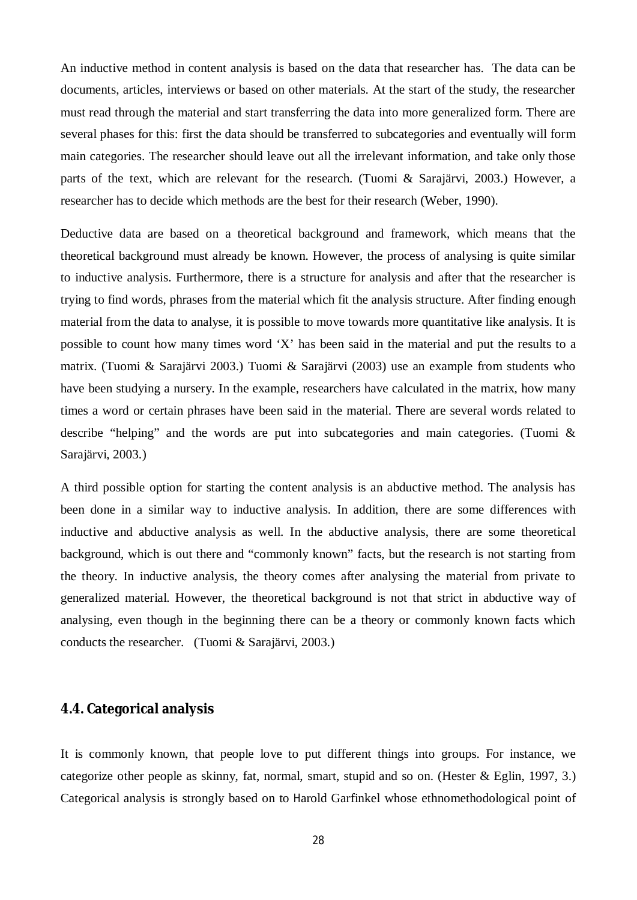An inductive method in content analysis is based on the data that researcher has. The data can be documents, articles, interviews or based on other materials. At the start of the study, the researcher must read through the material and start transferring the data into more generalized form. There are several phases for this: first the data should be transferred to subcategories and eventually will form main categories. The researcher should leave out all the irrelevant information, and take only those parts of the text, which are relevant for the research. (Tuomi & Sarajärvi, 2003.) However, a researcher has to decide which methods are the best for their research (Weber, 1990).

Deductive data are based on a theoretical background and framework, which means that the theoretical background must already be known. However, the process of analysing is quite similar to inductive analysis. Furthermore, there is a structure for analysis and after that the researcher is trying to find words, phrases from the material which fit the analysis structure. After finding enough material from the data to analyse, it is possible to move towards more quantitative like analysis. It is possible to count how many times word 'X' has been said in the material and put the results to a matrix. (Tuomi & Sarajärvi 2003.) Tuomi & Sarajärvi (2003) use an example from students who have been studying a nursery. In the example, researchers have calculated in the matrix, how many times a word or certain phrases have been said in the material. There are several words related to describe "helping" and the words are put into subcategories and main categories. (Tuomi & Sarajärvi, 2003.)

A third possible option for starting the content analysis is an abductive method. The analysis has been done in a similar way to inductive analysis. In addition, there are some differences with inductive and abductive analysis as well. In the abductive analysis, there are some theoretical background, which is out there and "commonly known" facts, but the research is not starting from the theory. In inductive analysis, the theory comes after analysing the material from private to generalized material. However, the theoretical background is not that strict in abductive way of analysing, even though in the beginning there can be a theory or commonly known facts which conducts the researcher. (Tuomi & Sarajärvi, 2003.)

## <span id="page-31-0"></span>**4.4. Categorical analysis**

It is commonly known, that people love to put different things into groups. For instance, we categorize other people as skinny, fat, normal, smart, stupid and so on. (Hester & Eglin, 1997, 3.) Categorical analysis is strongly based on to Harold Garfinkel whose ethnomethodological point of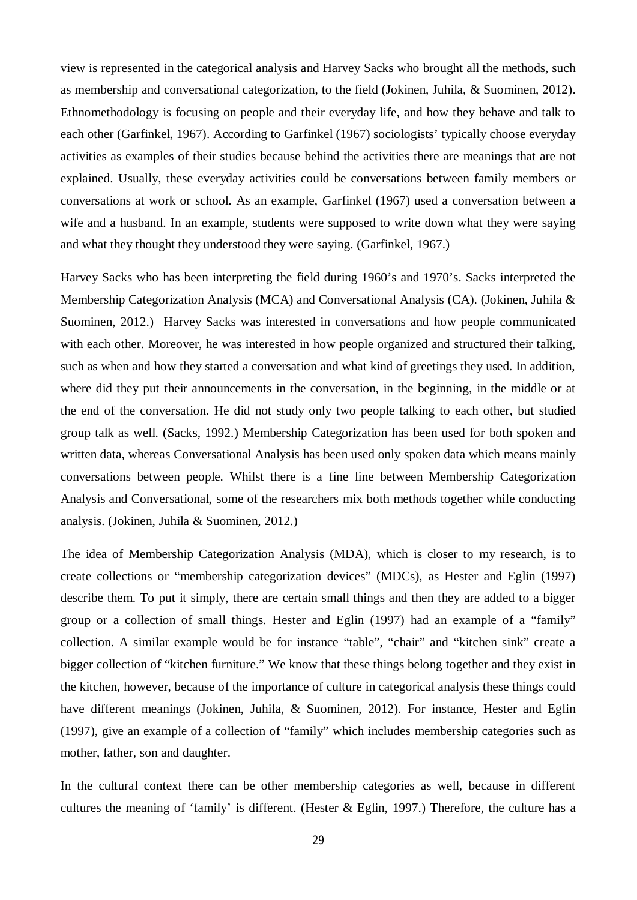view is represented in the categorical analysis and Harvey Sacks who brought all the methods, such as membership and conversational categorization, to the field (Jokinen, Juhila, & Suominen, 2012). Ethnomethodology is focusing on people and their everyday life, and how they behave and talk to each other (Garfinkel, 1967). According to Garfinkel (1967) sociologists' typically choose everyday activities as examples of their studies because behind the activities there are meanings that are not explained. Usually, these everyday activities could be conversations between family members or conversations at work or school. As an example, Garfinkel (1967) used a conversation between a wife and a husband. In an example, students were supposed to write down what they were saying and what they thought they understood they were saying. (Garfinkel, 1967.)

Harvey Sacks who has been interpreting the field during 1960's and 1970's. Sacks interpreted the Membership Categorization Analysis (MCA) and Conversational Analysis (CA). (Jokinen, Juhila & Suominen, 2012.) Harvey Sacks was interested in conversations and how people communicated with each other. Moreover, he was interested in how people organized and structured their talking, such as when and how they started a conversation and what kind of greetings they used. In addition, where did they put their announcements in the conversation, in the beginning, in the middle or at the end of the conversation. He did not study only two people talking to each other, but studied group talk as well. (Sacks, 1992.) Membership Categorization has been used for both spoken and written data, whereas Conversational Analysis has been used only spoken data which means mainly conversations between people. Whilst there is a fine line between Membership Categorization Analysis and Conversational, some of the researchers mix both methods together while conducting analysis. (Jokinen, Juhila & Suominen, 2012.)

The idea of Membership Categorization Analysis (MDA), which is closer to my research, is to create collections or "membership categorization devices" (MDCs), as Hester and Eglin (1997) describe them. To put it simply, there are certain small things and then they are added to a bigger group or a collection of small things. Hester and Eglin (1997) had an example of a "family" collection. A similar example would be for instance "table", "chair" and "kitchen sink" create a bigger collection of "kitchen furniture." We know that these things belong together and they exist in the kitchen, however, because of the importance of culture in categorical analysis these things could have different meanings (Jokinen, Juhila, & Suominen, 2012). For instance, Hester and Eglin (1997), give an example of a collection of "family" which includes membership categories such as mother, father, son and daughter.

In the cultural context there can be other membership categories as well, because in different cultures the meaning of 'family' is different. (Hester & Eglin, 1997.) Therefore, the culture has a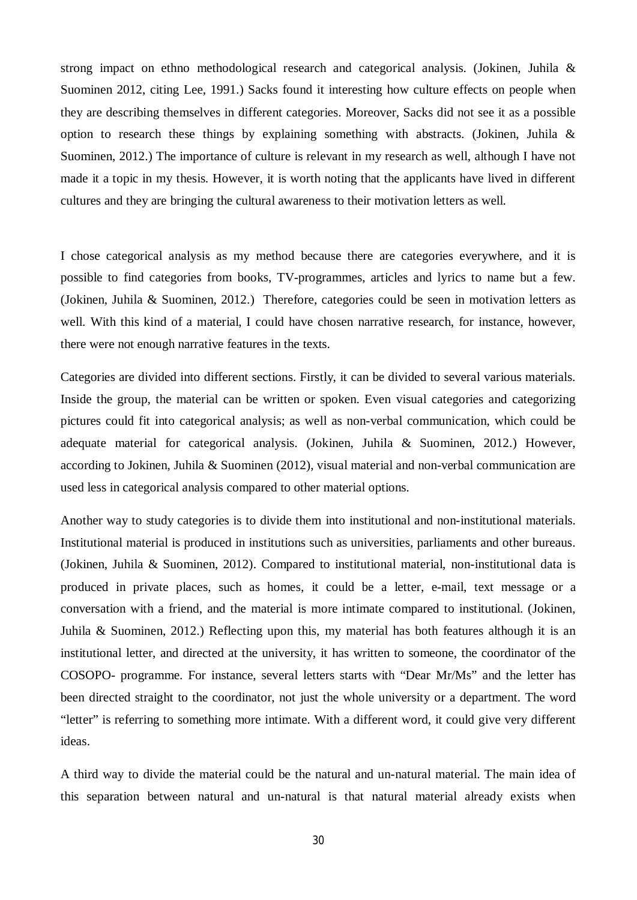strong impact on ethno methodological research and categorical analysis. (Jokinen, Juhila & Suominen 2012, citing Lee, 1991.) Sacks found it interesting how culture effects on people when they are describing themselves in different categories. Moreover, Sacks did not see it as a possible option to research these things by explaining something with abstracts. (Jokinen, Juhila & Suominen, 2012.) The importance of culture is relevant in my research as well, although I have not made it a topic in my thesis. However, it is worth noting that the applicants have lived in different cultures and they are bringing the cultural awareness to their motivation letters as well.

I chose categorical analysis as my method because there are categories everywhere, and it is possible to find categories from books, TV-programmes, articles and lyrics to name but a few. (Jokinen, Juhila & Suominen, 2012.) Therefore, categories could be seen in motivation letters as well. With this kind of a material, I could have chosen narrative research, for instance, however, there were not enough narrative features in the texts.

Categories are divided into different sections. Firstly, it can be divided to several various materials. Inside the group, the material can be written or spoken. Even visual categories and categorizing pictures could fit into categorical analysis; as well as non-verbal communication, which could be adequate material for categorical analysis. (Jokinen, Juhila & Suominen, 2012.) However, according to Jokinen, Juhila & Suominen (2012), visual material and non-verbal communication are used less in categorical analysis compared to other material options.

Another way to study categories is to divide them into institutional and non-institutional materials. Institutional material is produced in institutions such as universities, parliaments and other bureaus. (Jokinen, Juhila & Suominen, 2012). Compared to institutional material, non-institutional data is produced in private places, such as homes, it could be a letter, e-mail, text message or a conversation with a friend, and the material is more intimate compared to institutional. (Jokinen, Juhila & Suominen, 2012.) Reflecting upon this, my material has both features although it is an institutional letter, and directed at the university, it has written to someone, the coordinator of the COSOPO- programme. For instance, several letters starts with "Dear Mr/Ms" and the letter has been directed straight to the coordinator, not just the whole university or a department. The word "letter" is referring to something more intimate. With a different word, it could give very different ideas.

A third way to divide the material could be the natural and un-natural material. The main idea of this separation between natural and un-natural is that natural material already exists when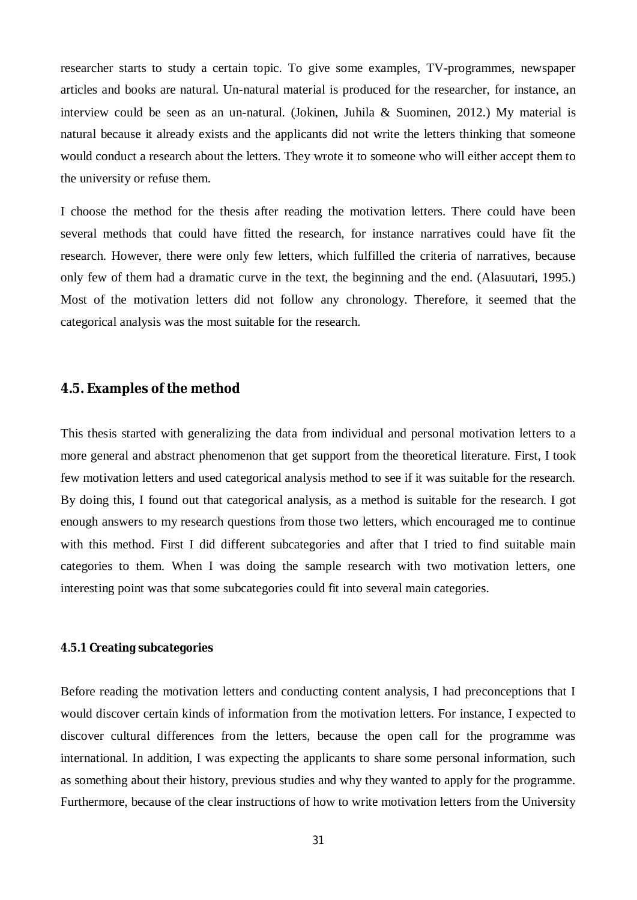researcher starts to study a certain topic. To give some examples, TV-programmes, newspaper articles and books are natural. Un-natural material is produced for the researcher, for instance, an interview could be seen as an un-natural. (Jokinen, Juhila & Suominen, 2012.) My material is natural because it already exists and the applicants did not write the letters thinking that someone would conduct a research about the letters. They wrote it to someone who will either accept them to the university or refuse them.

I choose the method for the thesis after reading the motivation letters. There could have been several methods that could have fitted the research, for instance narratives could have fit the research. However, there were only few letters, which fulfilled the criteria of narratives, because only few of them had a dramatic curve in the text, the beginning and the end. (Alasuutari, 1995.) Most of the motivation letters did not follow any chronology. Therefore, it seemed that the categorical analysis was the most suitable for the research.

### <span id="page-34-0"></span>**4.5. Examples of the method**

This thesis started with generalizing the data from individual and personal motivation letters to a more general and abstract phenomenon that get support from the theoretical literature. First, I took few motivation letters and used categorical analysis method to see if it was suitable for the research. By doing this, I found out that categorical analysis, as a method is suitable for the research. I got enough answers to my research questions from those two letters, which encouraged me to continue with this method. First I did different subcategories and after that I tried to find suitable main categories to them. When I was doing the sample research with two motivation letters, one interesting point was that some subcategories could fit into several main categories.

### <span id="page-34-1"></span>**4.5.1 Creating subcategories**

Before reading the motivation letters and conducting content analysis, I had preconceptions that I would discover certain kinds of information from the motivation letters. For instance, I expected to discover cultural differences from the letters, because the open call for the programme was international. In addition, I was expecting the applicants to share some personal information, such as something about their history, previous studies and why they wanted to apply for the programme. Furthermore, because of the clear instructions of how to write motivation letters from the University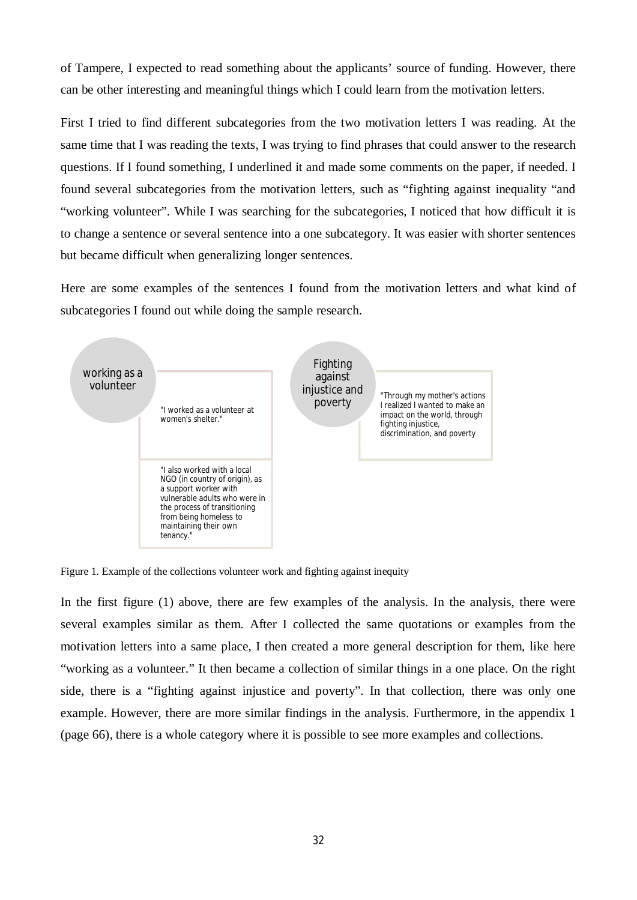of Tampere, I expected to read something about the applicants' source of funding. However, there can be other interesting and meaningful things which I could learn from the motivation letters.

First I tried to find different subcategories from the two motivation letters I was reading. At the same time that I was reading the texts, I was trying to find phrases that could answer to the research questions. If I found something, I underlined it and made some comments on the paper, if needed. I found several subcategories from the motivation letters, such as "fighting against inequality "and "working volunteer". While I was searching for the subcategories, I noticed that how difficult it is to change a sentence or several sentence into a one subcategory. It was easier with shorter sentences but became difficult when generalizing longer sentences.

Here are some examples of the sentences I found from the motivation letters and what kind of subcategories I found out while doing the sample research.



Figure 1. Example of the collections volunteer work and fighting against inequity

In the first figure (1) above, there are few examples of the analysis. In the analysis, there were several examples similar as them. After I collected the same quotations or examples from the motivation letters into a same place, I then created a more general description for them, like here "working as a volunteer." It then became a collection of similar things in a one place. On the right side, there is a "fighting against injustice and poverty". In that collection, there was only one example. However, there are more similar findings in the analysis. Furthermore, in the appendix 1 (page 66), there is a whole category where it is possible to see more examples and collections.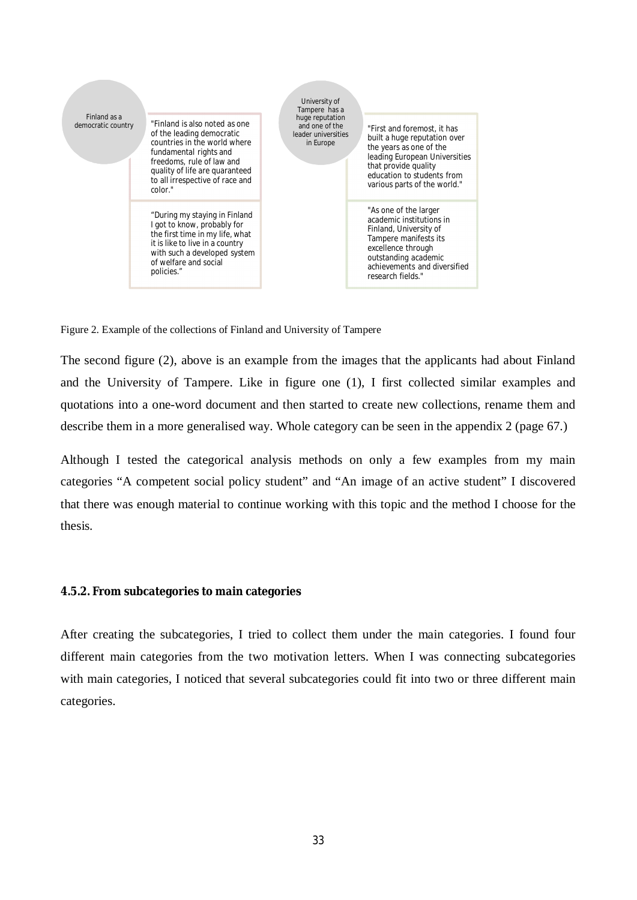

Figure 2. Example of the collections of Finland and University of Tampere

The second figure (2), above is an example from the images that the applicants had about Finland and the University of Tampere. Like in figure one (1), I first collected similar examples and quotations into a one-word document and then started to create new collections, rename them and describe them in a more generalised way. Whole category can be seen in the appendix 2 (page 67.)

Although I tested the categorical analysis methods on only a few examples from my main categories "A competent social policy student" and "An image of an active student" I discovered that there was enough material to continue working with this topic and the method I choose for the thesis.

### <span id="page-36-0"></span>**4.5.2. From subcategories to main categories**

After creating the subcategories, I tried to collect them under the main categories. I found four different main categories from the two motivation letters. When I was connecting subcategories with main categories, I noticed that several subcategories could fit into two or three different main categories.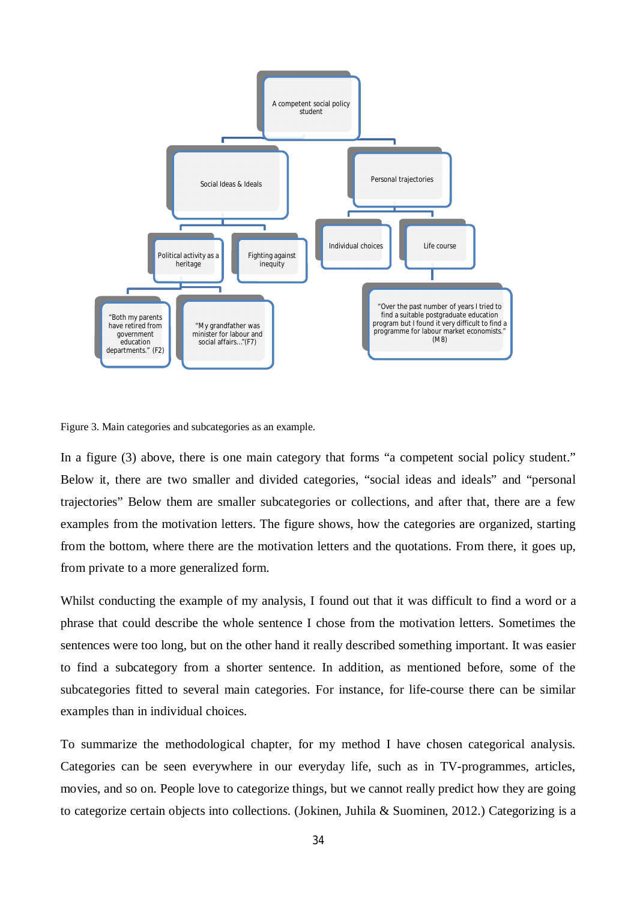

Figure 3. Main categories and subcategories as an example.

In a figure (3) above, there is one main category that forms "a competent social policy student." Below it, there are two smaller and divided categories, "social ideas and ideals" and "personal trajectories" Below them are smaller subcategories or collections, and after that, there are a few examples from the motivation letters. The figure shows, how the categories are organized, starting from the bottom, where there are the motivation letters and the quotations. From there, it goes up, from private to a more generalized form.

Whilst conducting the example of my analysis, I found out that it was difficult to find a word or a phrase that could describe the whole sentence I chose from the motivation letters. Sometimes the sentences were too long, but on the other hand it really described something important. It was easier to find a subcategory from a shorter sentence. In addition, as mentioned before, some of the subcategories fitted to several main categories. For instance, for life-course there can be similar examples than in individual choices.

To summarize the methodological chapter, for my method I have chosen categorical analysis. Categories can be seen everywhere in our everyday life, such as in TV-programmes, articles, movies, and so on. People love to categorize things, but we cannot really predict how they are going to categorize certain objects into collections. (Jokinen, Juhila & Suominen, 2012.) Categorizing is a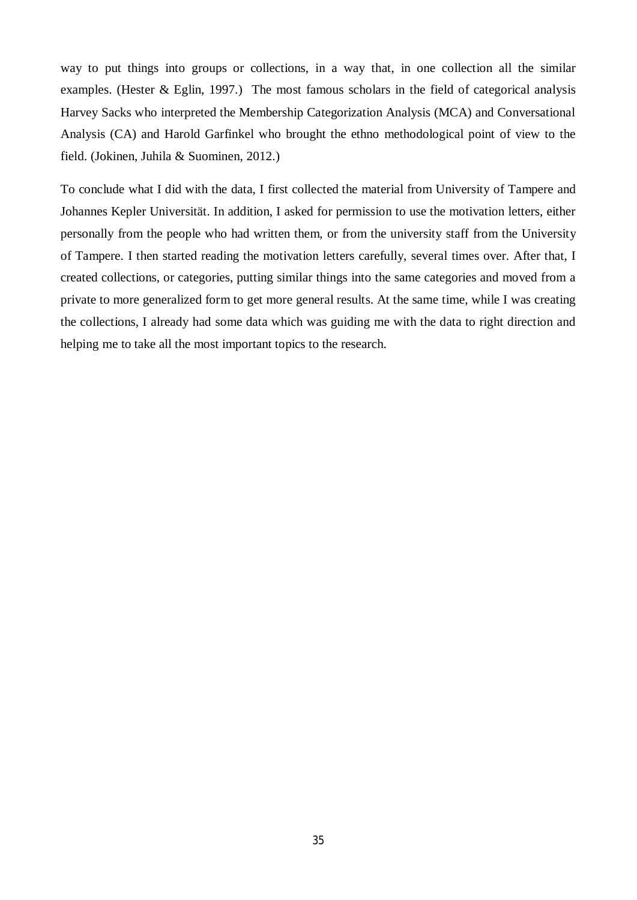way to put things into groups or collections, in a way that, in one collection all the similar examples. (Hester & Eglin, 1997.) The most famous scholars in the field of categorical analysis Harvey Sacks who interpreted the Membership Categorization Analysis (MCA) and Conversational Analysis (CA) and Harold Garfinkel who brought the ethno methodological point of view to the field. (Jokinen, Juhila & Suominen, 2012.)

To conclude what I did with the data, I first collected the material from University of Tampere and Johannes Kepler Universität. In addition, I asked for permission to use the motivation letters, either personally from the people who had written them, or from the university staff from the University of Tampere. I then started reading the motivation letters carefully, several times over. After that, I created collections, or categories, putting similar things into the same categories and moved from a private to more generalized form to get more general results. At the same time, while I was creating the collections, I already had some data which was guiding me with the data to right direction and helping me to take all the most important topics to the research.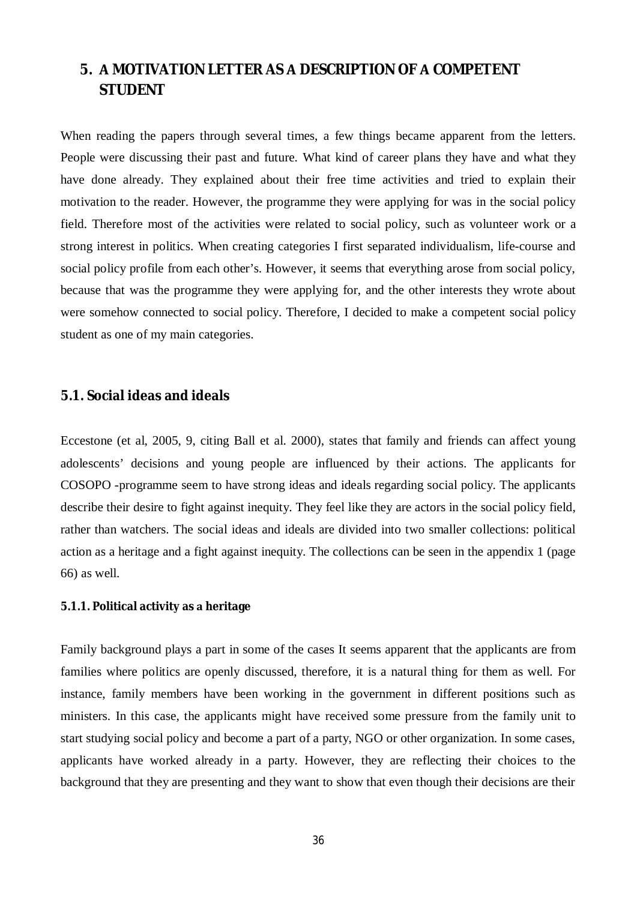## <span id="page-39-0"></span>**5. MOTIVATION LETTER ASDESCRIPTION OFCOMPETENT STUDENT**

When reading the papers through several times, a few things became apparent from the letters. People were discussing their past and future. What kind of career plans they have and what they have done already. They explained about their free time activities and tried to explain their motivation to the reader. However, the programme they were applying for was in the social policy field. Therefore most of the activities were related to social policy, such as volunteer work or a strong interest in politics. When creating categories I first separated individualism, life-course and social policy profile from each other's. However, it seems that everything arose from social policy, because that was the programme they were applying for, and the other interests they wrote about were somehow connected to social policy. Therefore, I decided to make a competent social policy student as one of my main categories.

## <span id="page-39-1"></span>**5.1. Social ideas and ideals**

Eccestone (et al, 2005, 9, citing Ball et al. 2000), states that family and friends can affect young adolescents' decisions and young people are influenced by their actions. The applicants for COSOPO -programme seem to have strong ideas and ideals regarding social policy. The applicants describe their desire to fight against inequity. They feel like they are actors in the social policy field, rather than watchers. The social ideas and ideals are divided into two smaller collections: political action as a heritage and a fight against inequity. The collections can be seen in the appendix 1 (page 66) as well.

### <span id="page-39-2"></span>**5.1.1. Political activity asheritage**

Family background plays a part in some of the cases It seems apparent that the applicants are from families where politics are openly discussed, therefore, it is a natural thing for them as well. For instance, family members have been working in the government in different positions such as ministers. In this case, the applicants might have received some pressure from the family unit to start studying social policy and become a part of a party, NGO or other organization. In some cases, applicants have worked already in a party. However, they are reflecting their choices to the background that they are presenting and they want to show that even though their decisions are their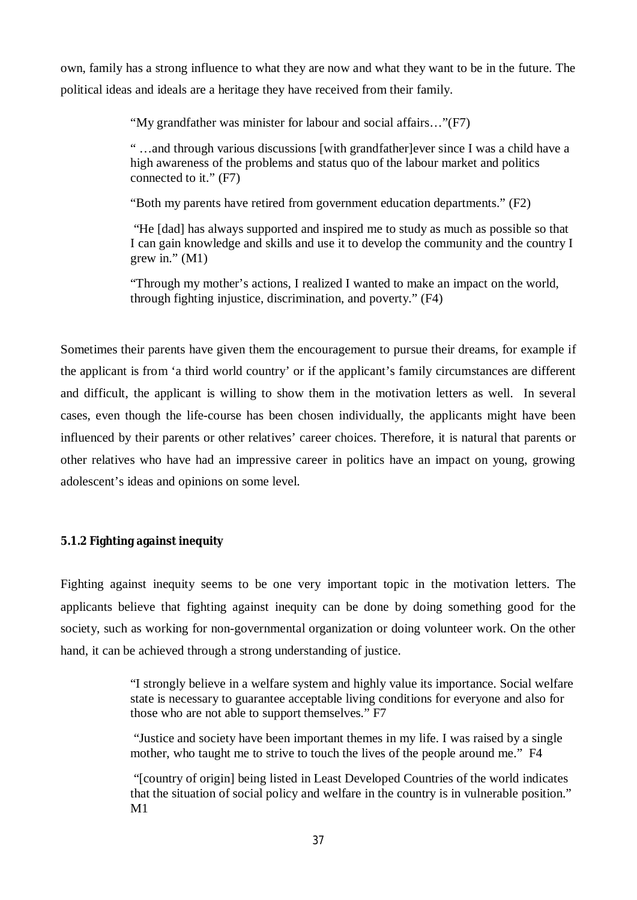own, family has a strong influence to what they are now and what they want to be in the future. The political ideas and ideals are a heritage they have received from their family.

"My grandfather was minister for labour and social affairs…"(F7)

" …and through various discussions [with grandfather]ever since I was a child have a high awareness of the problems and status quo of the labour market and politics connected to it." (F7)

"Both my parents have retired from government education departments." (F2)

 "He [dad] has always supported and inspired me to study as much as possible so that I can gain knowledge and skills and use it to develop the community and the country I grew in."  $(M1)$ 

"Through my mother's actions, I realized I wanted to make an impact on the world, through fighting injustice, discrimination, and poverty." (F4)

Sometimes their parents have given them the encouragement to pursue their dreams, for example if the applicant is from 'a third world country' or if the applicant's family circumstances are different and difficult, the applicant is willing to show them in the motivation letters as well. In several cases, even though the life-course has been chosen individually, the applicants might have been influenced by their parents or other relatives' career choices. Therefore, it is natural that parents or other relatives who have had an impressive career in politics have an impact on young, growing adolescent's ideas and opinions on some level.

<span id="page-40-0"></span>**5.1.2 Fighting against inequity**

Fighting against inequity seems to be one very important topic in the motivation letters. The applicants believe that fighting against inequity can be done by doing something good for the society, such as working for non-governmental organization or doing volunteer work. On the other hand, it can be achieved through a strong understanding of justice.

> "I strongly believe in a welfare system and highly value its importance. Social welfare state is necessary to guarantee acceptable living conditions for everyone and also for those who are not able to support themselves." F7

 "Justice and society have been important themes in my life. I was raised by a single mother, who taught me to strive to touch the lives of the people around me." F4

 "[country of origin] being listed in Least Developed Countries of the world indicates that the situation of social policy and welfare in the country is in vulnerable position." M1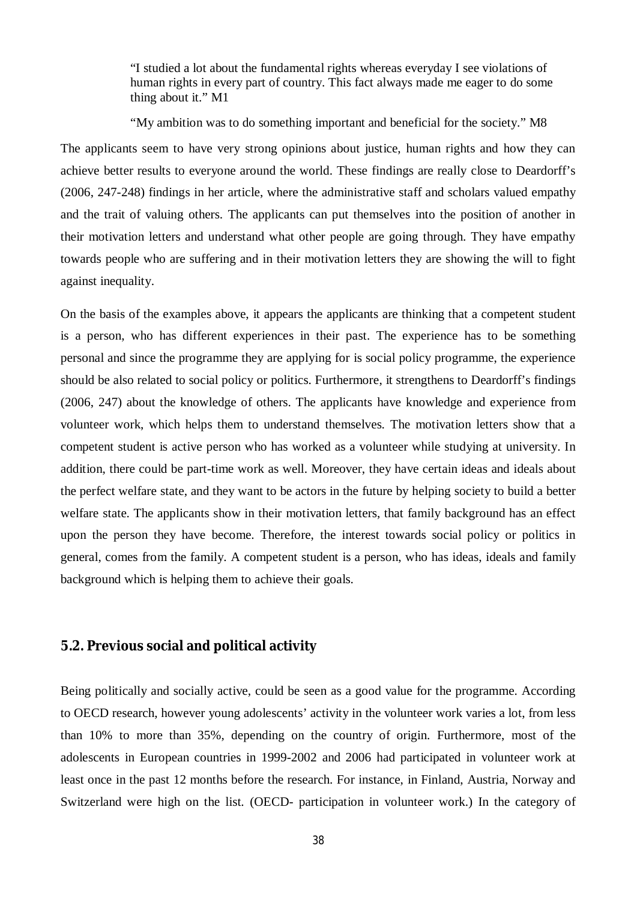"I studied a lot about the fundamental rights whereas everyday I see violations of human rights in every part of country. This fact always made me eager to do some thing about it." M1

"My ambition was to do something important and beneficial for the society." M8 The applicants seem to have very strong opinions about justice, human rights and how they can achieve better results to everyone around the world. These findings are really close to Deardorff's (2006, 247-248) findings in her article, where the administrative staff and scholars valued empathy and the trait of valuing others. The applicants can put themselves into the position of another in their motivation letters and understand what other people are going through. They have empathy towards people who are suffering and in their motivation letters they are showing the will to fight against inequality.

On the basis of the examples above, it appears the applicants are thinking that a competent student is a person, who has different experiences in their past. The experience has to be something personal and since the programme they are applying for is social policy programme, the experience should be also related to social policy or politics. Furthermore, it strengthens to Deardorff's findings (2006, 247) about the knowledge of others. The applicants have knowledge and experience from volunteer work, which helps them to understand themselves. The motivation letters show that a competent student is active person who has worked as a volunteer while studying at university. In addition, there could be part-time work as well. Moreover, they have certain ideas and ideals about the perfect welfare state, and they want to be actors in the future by helping society to build a better welfare state. The applicants show in their motivation letters, that family background has an effect upon the person they have become. Therefore, the interest towards social policy or politics in general, comes from the family. A competent student is a person, who has ideas, ideals and family background which is helping them to achieve their goals.

## <span id="page-41-0"></span>**5.2. Previous social and political activity**

Being politically and socially active, could be seen as a good value for the programme. According to OECD research, however young adolescents' activity in the volunteer work varies a lot, from less than 10% to more than 35%, depending on the country of origin. Furthermore, most of the adolescents in European countries in 1999-2002 and 2006 had participated in volunteer work at least once in the past 12 months before the research. For instance, in Finland, Austria, Norway and Switzerland were high on the list. (OECD- participation in volunteer work.) In the category of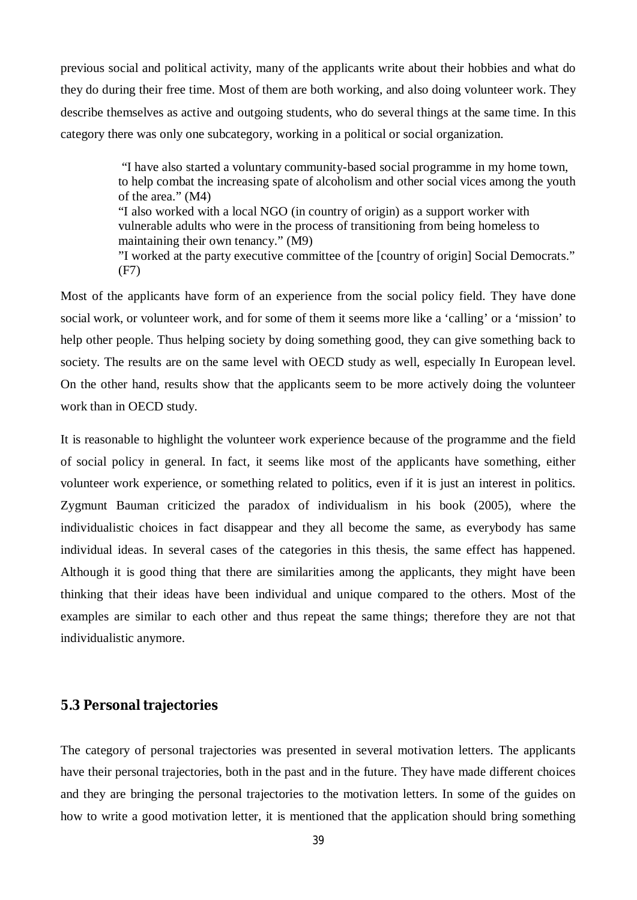previous social and political activity, many of the applicants write about their hobbies and what do they do during their free time. Most of them are both working, and also doing volunteer work. They describe themselves as active and outgoing students, who do several things at the same time. In this category there was only one subcategory, working in a political or social organization.

> "I have also started a voluntary community-based social programme in my home town, to help combat the increasing spate of alcoholism and other social vices among the youth of the area." (M4) "I also worked with a local NGO (in country of origin) as a support worker with vulnerable adults who were in the process of transitioning from being homeless to maintaining their own tenancy." (M9) "I worked at the party executive committee of the [country of origin] Social Democrats." (F7)

Most of the applicants have form of an experience from the social policy field. They have done social work, or volunteer work, and for some of them it seems more like a 'calling' or a 'mission' to help other people. Thus helping society by doing something good, they can give something back to society. The results are on the same level with OECD study as well, especially In European level. On the other hand, results show that the applicants seem to be more actively doing the volunteer work than in OECD study.

It is reasonable to highlight the volunteer work experience because of the programme and the field of social policy in general. In fact, it seems like most of the applicants have something, either volunteer work experience, or something related to politics, even if it is just an interest in politics. Zygmunt Bauman criticized the paradox of individualism in his book (2005), where the individualistic choices in fact disappear and they all become the same, as everybody has same individual ideas. In several cases of the categories in this thesis, the same effect has happened. Although it is good thing that there are similarities among the applicants, they might have been thinking that their ideas have been individual and unique compared to the others. Most of the examples are similar to each other and thus repeat the same things; therefore they are not that individualistic anymore.

## <span id="page-42-0"></span>**5.3 Personal trajectories**

The category of personal trajectories was presented in several motivation letters. The applicants have their personal trajectories, both in the past and in the future. They have made different choices and they are bringing the personal trajectories to the motivation letters. In some of the guides on how to write a good motivation letter, it is mentioned that the application should bring something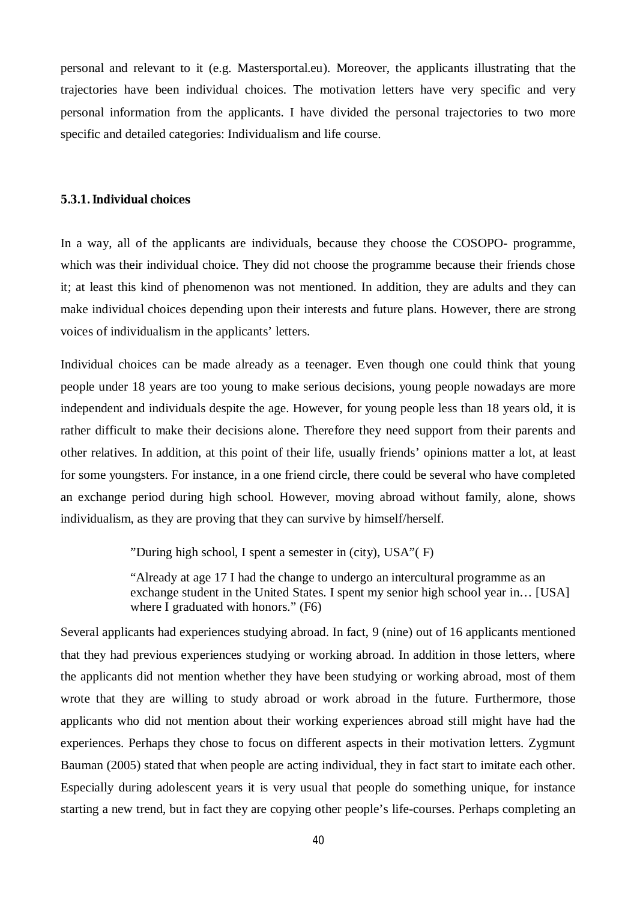personal and relevant to it (e.g. Mastersportal.eu). Moreover, the applicants illustrating that the trajectories have been individual choices. The motivation letters have very specific and very personal information from the applicants. I have divided the personal trajectories to two more specific and detailed categories: Individualism and life course.

### <span id="page-43-0"></span>**5.3.1. Individual choices**

In a way, all of the applicants are individuals, because they choose the COSOPO- programme, which was their individual choice. They did not choose the programme because their friends chose it; at least this kind of phenomenon was not mentioned. In addition, they are adults and they can make individual choices depending upon their interests and future plans. However, there are strong voices of individualism in the applicants' letters.

Individual choices can be made already as a teenager. Even though one could think that young people under 18 years are too young to make serious decisions, young people nowadays are more independent and individuals despite the age. However, for young people less than 18 years old, it is rather difficult to make their decisions alone. Therefore they need support from their parents and other relatives. In addition, at this point of their life, usually friends' opinions matter a lot, at least for some youngsters. For instance, in a one friend circle, there could be several who have completed an exchange period during high school. However, moving abroad without family, alone, shows individualism, as they are proving that they can survive by himself/herself.

"During high school, I spent a semester in (city), USA"( F)

"Already at age 17 I had the change to undergo an intercultural programme as an exchange student in the United States. I spent my senior high school year in… [USA] where I graduated with honors." (F6)

Several applicants had experiences studying abroad. In fact, 9 (nine) out of 16 applicants mentioned that they had previous experiences studying or working abroad. In addition in those letters, where the applicants did not mention whether they have been studying or working abroad, most of them wrote that they are willing to study abroad or work abroad in the future. Furthermore, those applicants who did not mention about their working experiences abroad still might have had the experiences. Perhaps they chose to focus on different aspects in their motivation letters. Zygmunt Bauman (2005) stated that when people are acting individual, they in fact start to imitate each other. Especially during adolescent years it is very usual that people do something unique, for instance starting a new trend, but in fact they are copying other people's life-courses. Perhaps completing an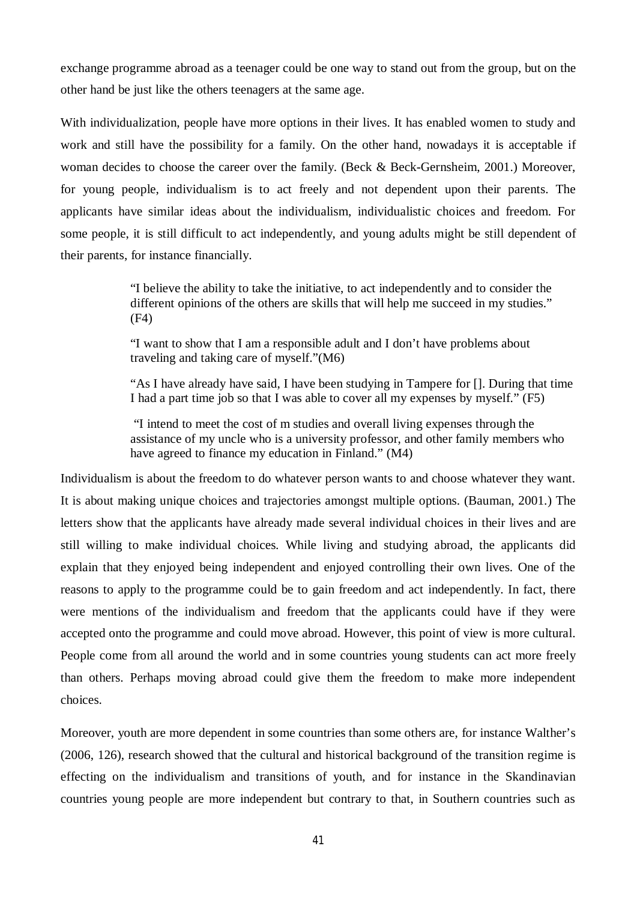exchange programme abroad as a teenager could be one way to stand out from the group, but on the other hand be just like the others teenagers at the same age.

With individualization, people have more options in their lives. It has enabled women to study and work and still have the possibility for a family. On the other hand, nowadays it is acceptable if woman decides to choose the career over the family. (Beck & Beck-Gernsheim, 2001.) Moreover, for young people, individualism is to act freely and not dependent upon their parents. The applicants have similar ideas about the individualism, individualistic choices and freedom. For some people, it is still difficult to act independently, and young adults might be still dependent of their parents, for instance financially.

> "I believe the ability to take the initiative, to act independently and to consider the different opinions of the others are skills that will help me succeed in my studies." (F4)

"I want to show that I am a responsible adult and I don't have problems about traveling and taking care of myself."(M6)

"As I have already have said, I have been studying in Tampere for []. During that time I had a part time job so that I was able to cover all my expenses by myself." (F5)

 "I intend to meet the cost of m studies and overall living expenses through the assistance of my uncle who is a university professor, and other family members who have agreed to finance my education in Finland." (M4)

Individualism is about the freedom to do whatever person wants to and choose whatever they want. It is about making unique choices and trajectories amongst multiple options. (Bauman, 2001.) The letters show that the applicants have already made several individual choices in their lives and are still willing to make individual choices. While living and studying abroad, the applicants did explain that they enjoyed being independent and enjoyed controlling their own lives. One of the reasons to apply to the programme could be to gain freedom and act independently. In fact, there were mentions of the individualism and freedom that the applicants could have if they were accepted onto the programme and could move abroad. However, this point of view is more cultural. People come from all around the world and in some countries young students can act more freely than others. Perhaps moving abroad could give them the freedom to make more independent choices.

Moreover, youth are more dependent in some countries than some others are, for instance Walther's (2006, 126), research showed that the cultural and historical background of the transition regime is effecting on the individualism and transitions of youth, and for instance in the Skandinavian countries young people are more independent but contrary to that, in Southern countries such as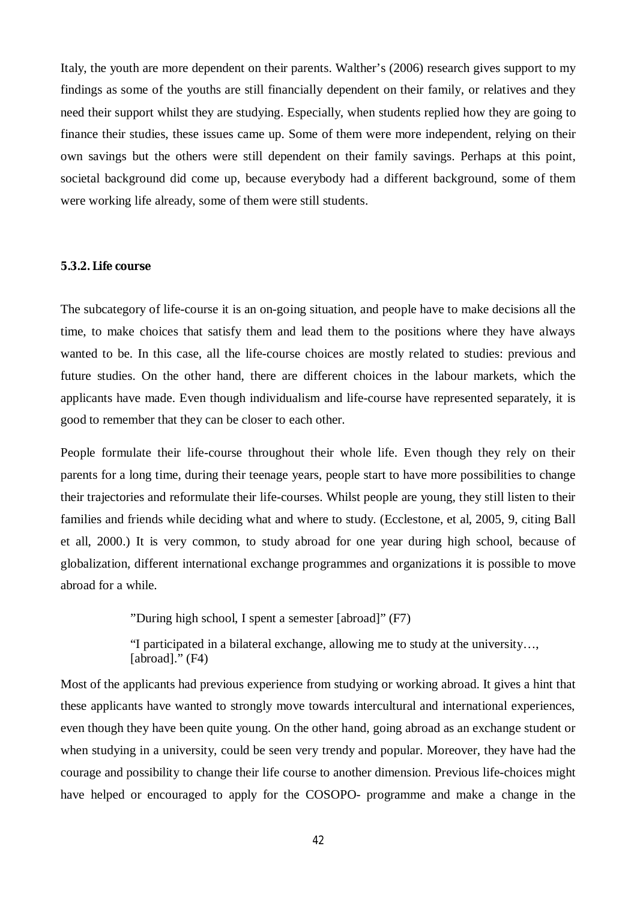Italy, the youth are more dependent on their parents. Walther's (2006) research gives support to my findings as some of the youths are still financially dependent on their family, or relatives and they need their support whilst they are studying. Especially, when students replied how they are going to finance their studies, these issues came up. Some of them were more independent, relying on their own savings but the others were still dependent on their family savings. Perhaps at this point, societal background did come up, because everybody had a different background, some of them were working life already, some of them were still students.

### <span id="page-45-0"></span>**5.3.2. Life course**

The subcategory of life-course it is an on-going situation, and people have to make decisions all the time, to make choices that satisfy them and lead them to the positions where they have always wanted to be. In this case, all the life-course choices are mostly related to studies: previous and future studies. On the other hand, there are different choices in the labour markets, which the applicants have made. Even though individualism and life-course have represented separately, it is good to remember that they can be closer to each other.

People formulate their life-course throughout their whole life. Even though they rely on their parents for a long time, during their teenage years, people start to have more possibilities to change their trajectories and reformulate their life-courses. Whilst people are young, they still listen to their families and friends while deciding what and where to study. (Ecclestone, et al, 2005, 9, citing Ball et all, 2000.) It is very common, to study abroad for one year during high school, because of globalization, different international exchange programmes and organizations it is possible to move abroad for a while.

"During high school, I spent a semester [abroad]" (F7)

"I participated in a bilateral exchange, allowing me to study at the university…, [abroad]." (F4)

Most of the applicants had previous experience from studying or working abroad. It gives a hint that these applicants have wanted to strongly move towards intercultural and international experiences, even though they have been quite young. On the other hand, going abroad as an exchange student or when studying in a university, could be seen very trendy and popular. Moreover, they have had the courage and possibility to change their life course to another dimension. Previous life-choices might have helped or encouraged to apply for the COSOPO- programme and make a change in the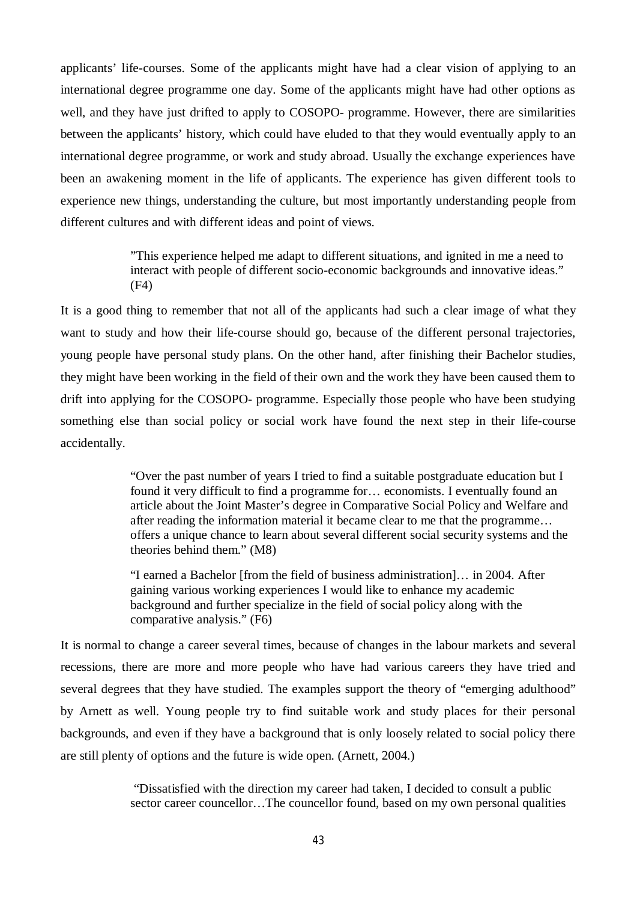applicants' life-courses. Some of the applicants might have had a clear vision of applying to an international degree programme one day. Some of the applicants might have had other options as well, and they have just drifted to apply to COSOPO- programme. However, there are similarities between the applicants' history, which could have eluded to that they would eventually apply to an international degree programme, or work and study abroad. Usually the exchange experiences have been an awakening moment in the life of applicants. The experience has given different tools to experience new things, understanding the culture, but most importantly understanding people from different cultures and with different ideas and point of views.

> "This experience helped me adapt to different situations, and ignited in me a need to interact with people of different socio-economic backgrounds and innovative ideas." (F4)

It is a good thing to remember that not all of the applicants had such a clear image of what they want to study and how their life-course should go, because of the different personal trajectories, young people have personal study plans. On the other hand, after finishing their Bachelor studies, they might have been working in the field of their own and the work they have been caused them to drift into applying for the COSOPO- programme. Especially those people who have been studying something else than social policy or social work have found the next step in their life-course accidentally.

> "Over the past number of years I tried to find a suitable postgraduate education but I found it very difficult to find a programme for… economists. I eventually found an article about the Joint Master's degree in Comparative Social Policy and Welfare and after reading the information material it became clear to me that the programme… offers a unique chance to learn about several different social security systems and the theories behind them." (M8)

"I earned a Bachelor [from the field of business administration]… in 2004. After gaining various working experiences I would like to enhance my academic background and further specialize in the field of social policy along with the comparative analysis." (F6)

It is normal to change a career several times, because of changes in the labour markets and several recessions, there are more and more people who have had various careers they have tried and several degrees that they have studied. The examples support the theory of "emerging adulthood" by Arnett as well. Young people try to find suitable work and study places for their personal backgrounds, and even if they have a background that is only loosely related to social policy there are still plenty of options and the future is wide open. (Arnett, 2004.)

> "Dissatisfied with the direction my career had taken, I decided to consult a public sector career councellor…The councellor found, based on my own personal qualities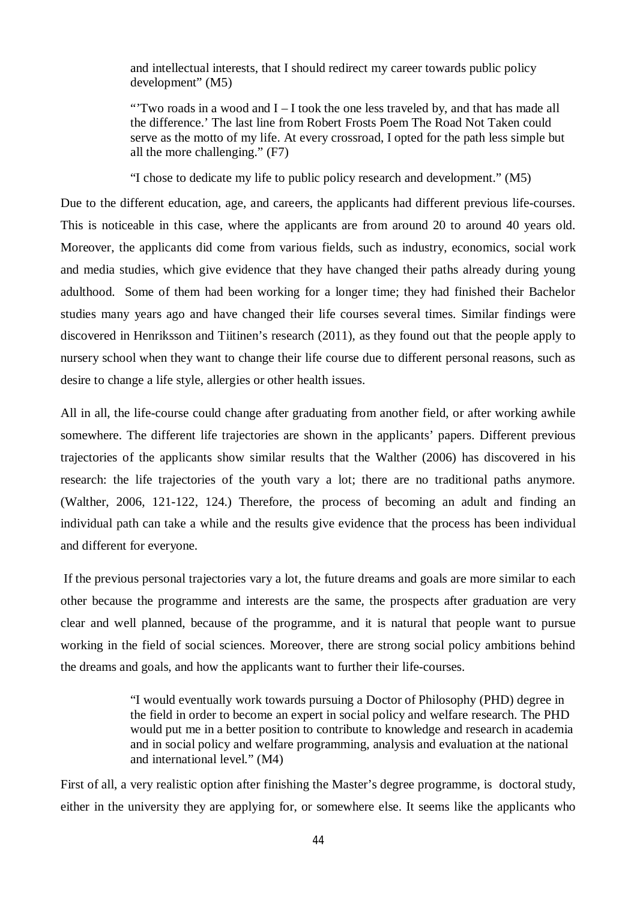and intellectual interests, that I should redirect my career towards public policy development" (M5)

"'Two roads in a wood and I – I took the one less traveled by, and that has made all the difference.' The last line from Robert Frosts Poem The Road Not Taken could serve as the motto of my life. At every crossroad, I opted for the path less simple but all the more challenging." (F7)

"I chose to dedicate my life to public policy research and development." (M5)

Due to the different education, age, and careers, the applicants had different previous life-courses. This is noticeable in this case, where the applicants are from around 20 to around 40 years old. Moreover, the applicants did come from various fields, such as industry, economics, social work and media studies, which give evidence that they have changed their paths already during young adulthood. Some of them had been working for a longer time; they had finished their Bachelor studies many years ago and have changed their life courses several times. Similar findings were discovered in Henriksson and Tiitinen's research (2011), as they found out that the people apply to nursery school when they want to change their life course due to different personal reasons, such as desire to change a life style, allergies or other health issues.

All in all, the life-course could change after graduating from another field, or after working awhile somewhere. The different life trajectories are shown in the applicants' papers. Different previous trajectories of the applicants show similar results that the Walther (2006) has discovered in his research: the life trajectories of the youth vary a lot; there are no traditional paths anymore. (Walther, 2006, 121-122, 124.) Therefore, the process of becoming an adult and finding an individual path can take a while and the results give evidence that the process has been individual and different for everyone.

 If the previous personal trajectories vary a lot, the future dreams and goals are more similar to each other because the programme and interests are the same, the prospects after graduation are very clear and well planned, because of the programme, and it is natural that people want to pursue working in the field of social sciences. Moreover, there are strong social policy ambitions behind the dreams and goals, and how the applicants want to further their life-courses.

> "I would eventually work towards pursuing a Doctor of Philosophy (PHD) degree in the field in order to become an expert in social policy and welfare research. The PHD would put me in a better position to contribute to knowledge and research in academia and in social policy and welfare programming, analysis and evaluation at the national and international level." (M4)

First of all, a very realistic option after finishing the Master's degree programme, is doctoral study, either in the university they are applying for, or somewhere else. It seems like the applicants who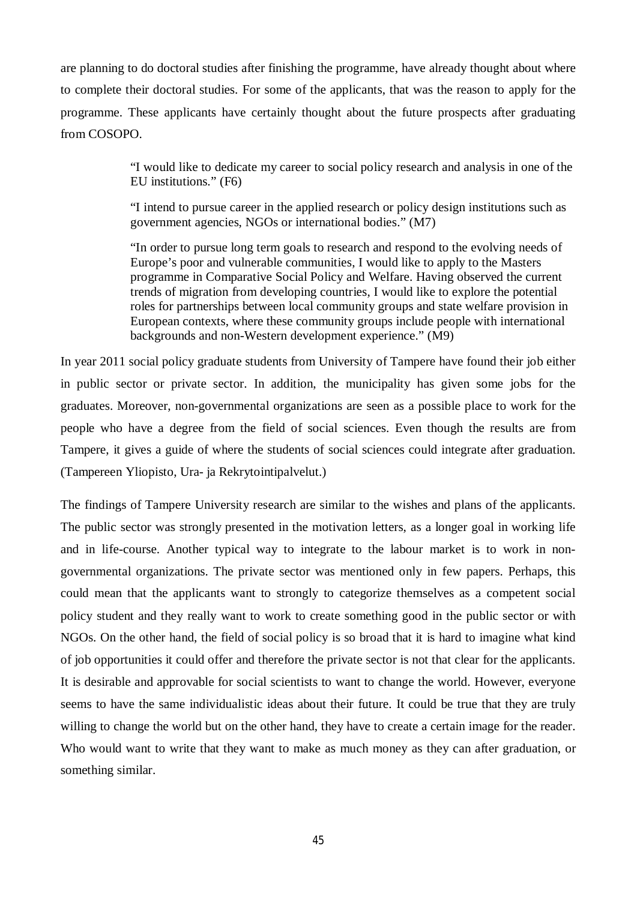are planning to do doctoral studies after finishing the programme, have already thought about where to complete their doctoral studies. For some of the applicants, that was the reason to apply for the programme. These applicants have certainly thought about the future prospects after graduating from COSOPO.

> "I would like to dedicate my career to social policy research and analysis in one of the EU institutions." (F6)

"I intend to pursue career in the applied research or policy design institutions such as government agencies, NGOs or international bodies." (M7)

"In order to pursue long term goals to research and respond to the evolving needs of Europe's poor and vulnerable communities, I would like to apply to the Masters programme in Comparative Social Policy and Welfare. Having observed the current trends of migration from developing countries, I would like to explore the potential roles for partnerships between local community groups and state welfare provision in European contexts, where these community groups include people with international backgrounds and non-Western development experience." (M9)

In year 2011 social policy graduate students from University of Tampere have found their job either in public sector or private sector. In addition, the municipality has given some jobs for the graduates. Moreover, non-governmental organizations are seen as a possible place to work for the people who have a degree from the field of social sciences. Even though the results are from Tampere, it gives a guide of where the students of social sciences could integrate after graduation. (Tampereen Yliopisto, Ura- ja Rekrytointipalvelut.)

The findings of Tampere University research are similar to the wishes and plans of the applicants. The public sector was strongly presented in the motivation letters, as a longer goal in working life and in life-course. Another typical way to integrate to the labour market is to work in nongovernmental organizations. The private sector was mentioned only in few papers. Perhaps, this could mean that the applicants want to strongly to categorize themselves as a competent social policy student and they really want to work to create something good in the public sector or with NGOs. On the other hand, the field of social policy is so broad that it is hard to imagine what kind of job opportunities it could offer and therefore the private sector is not that clear for the applicants. It is desirable and approvable for social scientists to want to change the world. However, everyone seems to have the same individualistic ideas about their future. It could be true that they are truly willing to change the world but on the other hand, they have to create a certain image for the reader. Who would want to write that they want to make as much money as they can after graduation, or something similar.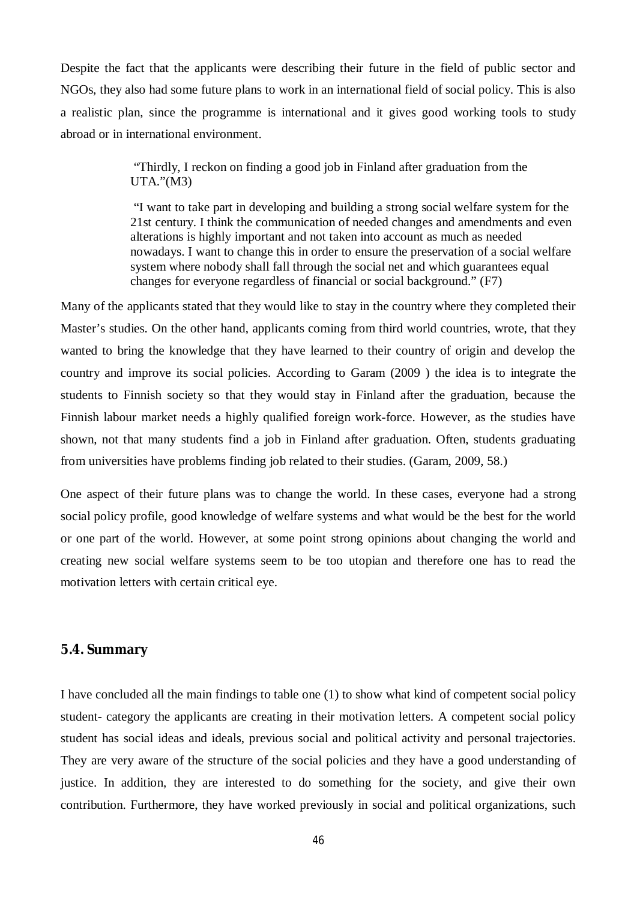Despite the fact that the applicants were describing their future in the field of public sector and NGOs, they also had some future plans to work in an international field of social policy. This is also a realistic plan, since the programme is international and it gives good working tools to study abroad or in international environment.

> "Thirdly, I reckon on finding a good job in Finland after graduation from the UTA."(M3)

 "I want to take part in developing and building a strong social welfare system for the 21st century. I think the communication of needed changes and amendments and even alterations is highly important and not taken into account as much as needed nowadays. I want to change this in order to ensure the preservation of a social welfare system where nobody shall fall through the social net and which guarantees equal changes for everyone regardless of financial or social background." (F7)

Many of the applicants stated that they would like to stay in the country where they completed their Master's studies. On the other hand, applicants coming from third world countries, wrote, that they wanted to bring the knowledge that they have learned to their country of origin and develop the country and improve its social policies. According to Garam (2009 ) the idea is to integrate the students to Finnish society so that they would stay in Finland after the graduation, because the Finnish labour market needs a highly qualified foreign work-force. However, as the studies have shown, not that many students find a job in Finland after graduation. Often, students graduating from universities have problems finding job related to their studies. (Garam, 2009, 58.)

One aspect of their future plans was to change the world. In these cases, everyone had a strong social policy profile, good knowledge of welfare systems and what would be the best for the world or one part of the world. However, at some point strong opinions about changing the world and creating new social welfare systems seem to be too utopian and therefore one has to read the motivation letters with certain critical eye.

### <span id="page-49-0"></span>**5.4. Summary**

I have concluded all the main findings to table one (1) to show what kind of competent social policy student- category the applicants are creating in their motivation letters. A competent social policy student has social ideas and ideals, previous social and political activity and personal trajectories. They are very aware of the structure of the social policies and they have a good understanding of justice. In addition, they are interested to do something for the society, and give their own contribution. Furthermore, they have worked previously in social and political organizations, such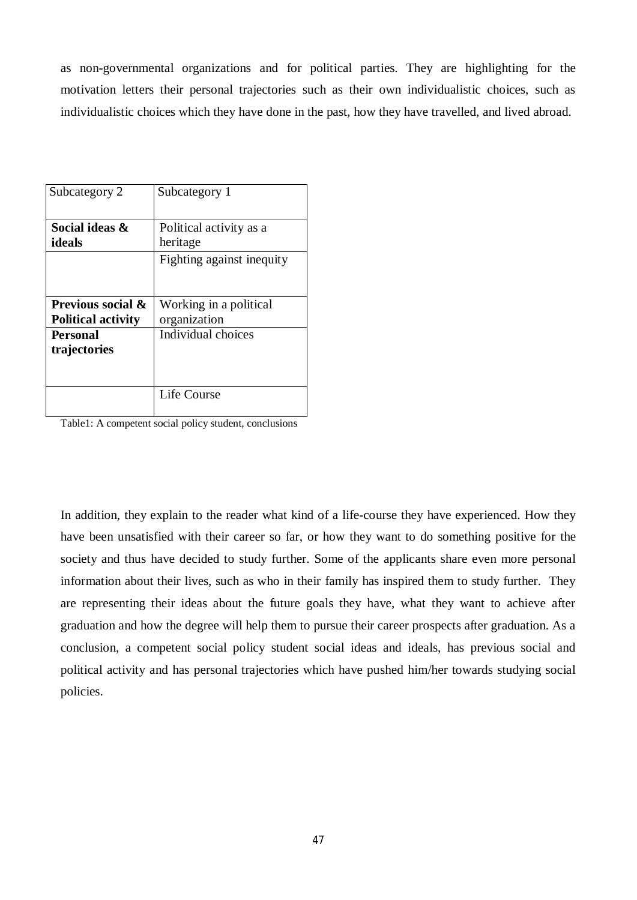as non-governmental organizations and for political parties. They are highlighting for the motivation letters their personal trajectories such as their own individualistic choices, such as individualistic choices which they have done in the past, how they have travelled, and lived abroad.

| Subcategory 2                | Subcategory 1             |
|------------------------------|---------------------------|
|                              |                           |
| Social ideas &               | Political activity as a   |
| ideals                       | heritage                  |
|                              | Fighting against inequity |
|                              |                           |
|                              |                           |
| <b>Previous social &amp;</b> | Working in a political    |
| <b>Political activity</b>    | organization              |
| <b>Personal</b>              | Individual choices        |
| trajectories                 |                           |
|                              |                           |
|                              |                           |
|                              | <b>Life Course</b>        |
|                              |                           |

Table1: A competent social policy student, conclusions

In addition, they explain to the reader what kind of a life-course they have experienced. How they have been unsatisfied with their career so far, or how they want to do something positive for the society and thus have decided to study further. Some of the applicants share even more personal information about their lives, such as who in their family has inspired them to study further. They are representing their ideas about the future goals they have, what they want to achieve after graduation and how the degree will help them to pursue their career prospects after graduation. As a conclusion, a competent social policy student social ideas and ideals, has previous social and political activity and has personal trajectories which have pushed him/her towards studying social policies.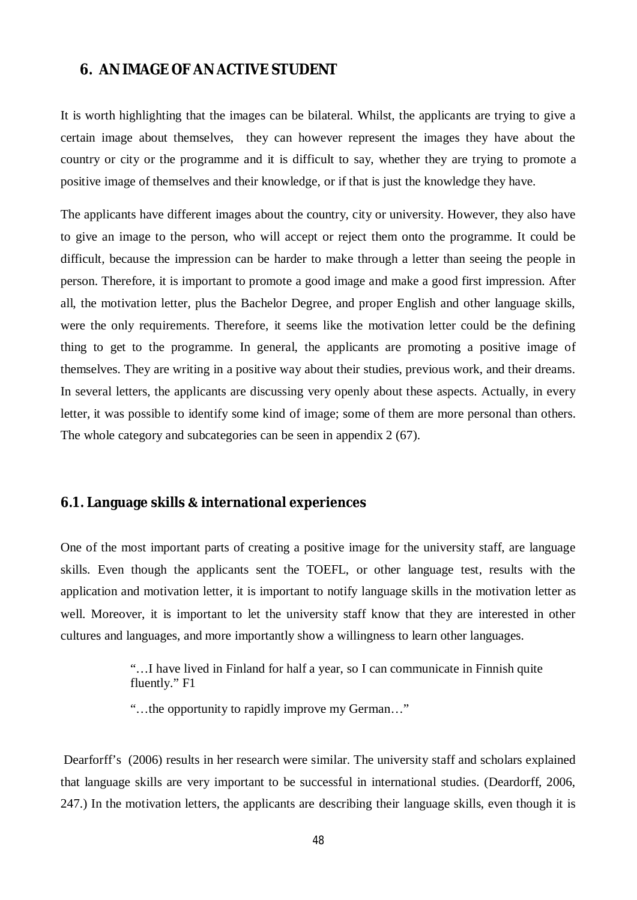## <span id="page-51-0"></span>**6. AN IMAGE OF AN ACTIVE STUDENT**

It is worth highlighting that the images can be bilateral. Whilst, the applicants are trying to give a certain image about themselves, they can however represent the images they have about the country or city or the programme and it is difficult to say, whether they are trying to promote a positive image of themselves and their knowledge, or if that is just the knowledge they have.

The applicants have different images about the country, city or university. However, they also have to give an image to the person, who will accept or reject them onto the programme. It could be difficult, because the impression can be harder to make through a letter than seeing the people in person. Therefore, it is important to promote a good image and make a good first impression. After all, the motivation letter, plus the Bachelor Degree, and proper English and other language skills, were the only requirements. Therefore, it seems like the motivation letter could be the defining thing to get to the programme. In general, the applicants are promoting a positive image of themselves. They are writing in a positive way about their studies, previous work, and their dreams. In several letters, the applicants are discussing very openly about these aspects. Actually, in every letter, it was possible to identify some kind of image; some of them are more personal than others. The whole category and subcategories can be seen in appendix 2 (67).

### <span id="page-51-1"></span>**6.1. Language skillsƬinternational experiences**

One of the most important parts of creating a positive image for the university staff, are language skills. Even though the applicants sent the TOEFL, or other language test, results with the application and motivation letter, it is important to notify language skills in the motivation letter as well. Moreover, it is important to let the university staff know that they are interested in other cultures and languages, and more importantly show a willingness to learn other languages.

> "…I have lived in Finland for half a year, so I can communicate in Finnish quite fluently." F1

"…the opportunity to rapidly improve my German…"

 Dearforff's (2006) results in her research were similar. The university staff and scholars explained that language skills are very important to be successful in international studies. (Deardorff, 2006, 247.) In the motivation letters, the applicants are describing their language skills, even though it is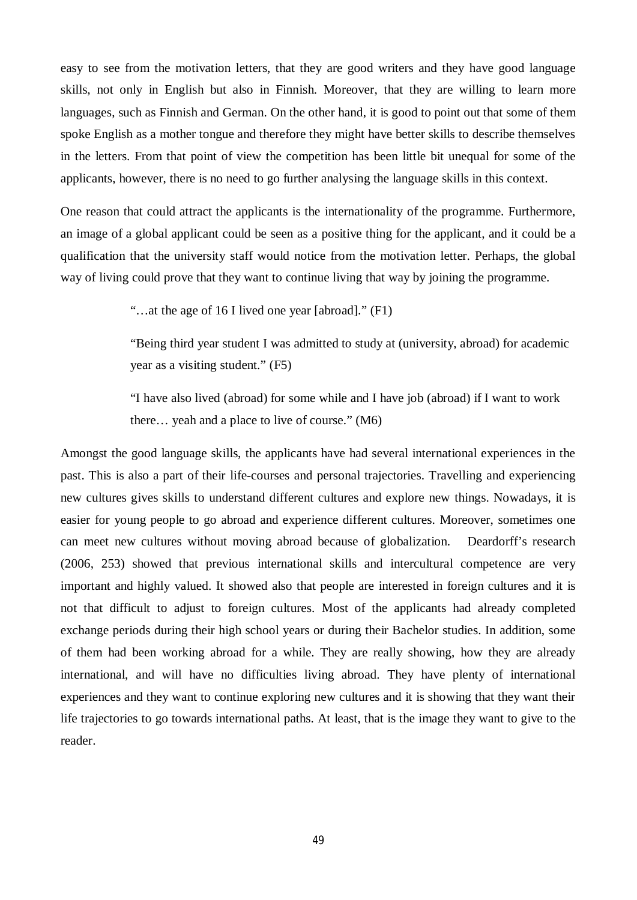easy to see from the motivation letters, that they are good writers and they have good language skills, not only in English but also in Finnish. Moreover, that they are willing to learn more languages, such as Finnish and German. On the other hand, it is good to point out that some of them spoke English as a mother tongue and therefore they might have better skills to describe themselves in the letters. From that point of view the competition has been little bit unequal for some of the applicants, however, there is no need to go further analysing the language skills in this context.

One reason that could attract the applicants is the internationality of the programme. Furthermore, an image of a global applicant could be seen as a positive thing for the applicant, and it could be a qualification that the university staff would notice from the motivation letter. Perhaps, the global way of living could prove that they want to continue living that way by joining the programme.

"…at the age of 16 I lived one year [abroad]." (F1)

"Being third year student I was admitted to study at (university, abroad) for academic year as a visiting student." (F5)

"I have also lived (abroad) for some while and I have job (abroad) if I want to work there… yeah and a place to live of course." (M6)

Amongst the good language skills, the applicants have had several international experiences in the past. This is also a part of their life-courses and personal trajectories. Travelling and experiencing new cultures gives skills to understand different cultures and explore new things. Nowadays, it is easier for young people to go abroad and experience different cultures. Moreover, sometimes one can meet new cultures without moving abroad because of globalization. Deardorff's research (2006, 253) showed that previous international skills and intercultural competence are very important and highly valued. It showed also that people are interested in foreign cultures and it is not that difficult to adjust to foreign cultures. Most of the applicants had already completed exchange periods during their high school years or during their Bachelor studies. In addition, some of them had been working abroad for a while. They are really showing, how they are already international, and will have no difficulties living abroad. They have plenty of international experiences and they want to continue exploring new cultures and it is showing that they want their life trajectories to go towards international paths. At least, that is the image they want to give to the reader.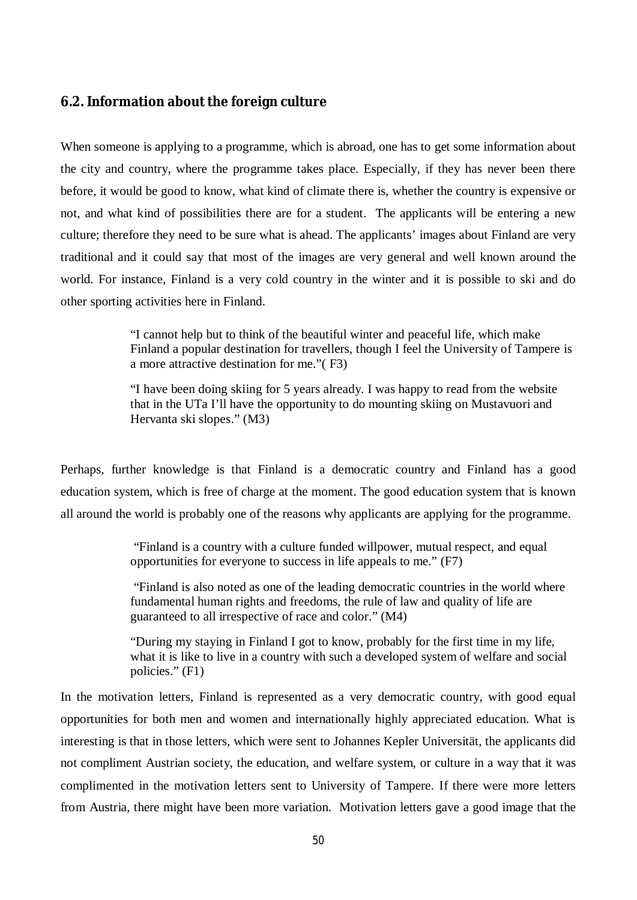## <span id="page-53-0"></span>**6.2. Information about the foreign culture**

When someone is applying to a programme, which is abroad, one has to get some information about the city and country, where the programme takes place. Especially, if they has never been there before, it would be good to know, what kind of climate there is, whether the country is expensive or not, and what kind of possibilities there are for a student. The applicants will be entering a new culture; therefore they need to be sure what is ahead. The applicants' images about Finland are very traditional and it could say that most of the images are very general and well known around the world. For instance, Finland is a very cold country in the winter and it is possible to ski and do other sporting activities here in Finland.

> "I cannot help but to think of the beautiful winter and peaceful life, which make Finland a popular destination for travellers, though I feel the University of Tampere is a more attractive destination for me."( F3)

"I have been doing skiing for 5 years already. I was happy to read from the website that in the UTa I'll have the opportunity to do mounting skiing on Mustavuori and Hervanta ski slopes." (M3)

Perhaps, further knowledge is that Finland is a democratic country and Finland has a good education system, which is free of charge at the moment. The good education system that is known all around the world is probably one of the reasons why applicants are applying for the programme.

> "Finland is a country with a culture funded willpower, mutual respect, and equal opportunities for everyone to success in life appeals to me." (F7)

 "Finland is also noted as one of the leading democratic countries in the world where fundamental human rights and freedoms, the rule of law and quality of life are guaranteed to all irrespective of race and color." (M4)

"During my staying in Finland I got to know, probably for the first time in my life, what it is like to live in a country with such a developed system of welfare and social policies." (F1)

In the motivation letters, Finland is represented as a very democratic country, with good equal opportunities for both men and women and internationally highly appreciated education. What is interesting is that in those letters, which were sent to Johannes Kepler Universität, the applicants did not compliment Austrian society, the education, and welfare system, or culture in a way that it was complimented in the motivation letters sent to University of Tampere. If there were more letters from Austria, there might have been more variation. Motivation letters gave a good image that the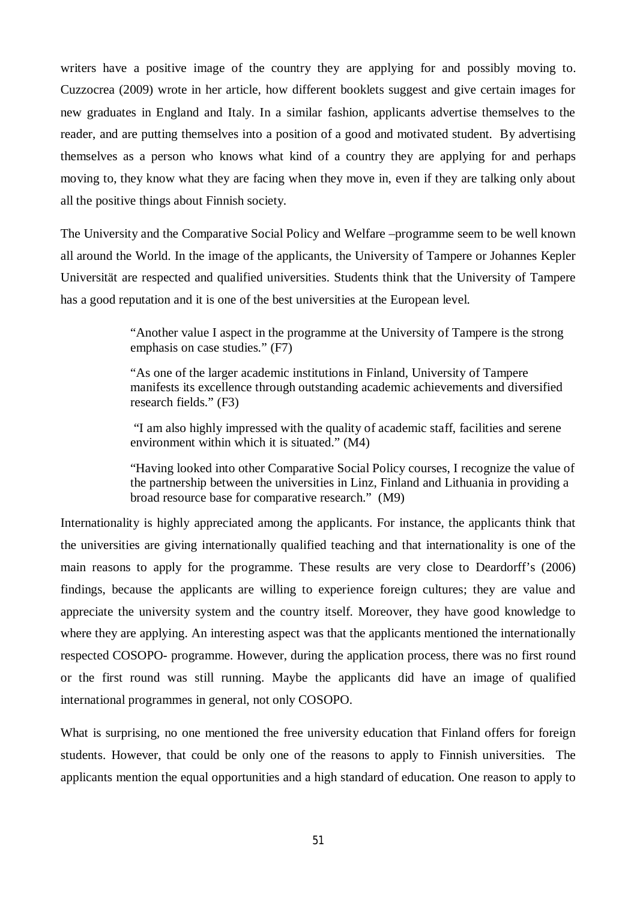writers have a positive image of the country they are applying for and possibly moving to. Cuzzocrea (2009) wrote in her article, how different booklets suggest and give certain images for new graduates in England and Italy. In a similar fashion, applicants advertise themselves to the reader, and are putting themselves into a position of a good and motivated student. By advertising themselves as a person who knows what kind of a country they are applying for and perhaps moving to, they know what they are facing when they move in, even if they are talking only about all the positive things about Finnish society.

The University and the Comparative Social Policy and Welfare –programme seem to be well known all around the World. In the image of the applicants, the University of Tampere or Johannes Kepler Universität are respected and qualified universities. Students think that the University of Tampere has a good reputation and it is one of the best universities at the European level.

> "Another value I aspect in the programme at the University of Tampere is the strong emphasis on case studies." (F7)

> "As one of the larger academic institutions in Finland, University of Tampere manifests its excellence through outstanding academic achievements and diversified research fields." (F3)

> "I am also highly impressed with the quality of academic staff, facilities and serene environment within which it is situated." (M4)

"Having looked into other Comparative Social Policy courses, I recognize the value of the partnership between the universities in Linz, Finland and Lithuania in providing a broad resource base for comparative research." (M9)

Internationality is highly appreciated among the applicants. For instance, the applicants think that the universities are giving internationally qualified teaching and that internationality is one of the main reasons to apply for the programme. These results are very close to Deardorff's (2006) findings, because the applicants are willing to experience foreign cultures; they are value and appreciate the university system and the country itself. Moreover, they have good knowledge to where they are applying. An interesting aspect was that the applicants mentioned the internationally respected COSOPO- programme. However, during the application process, there was no first round or the first round was still running. Maybe the applicants did have an image of qualified international programmes in general, not only COSOPO.

What is surprising, no one mentioned the free university education that Finland offers for foreign students. However, that could be only one of the reasons to apply to Finnish universities. The applicants mention the equal opportunities and a high standard of education. One reason to apply to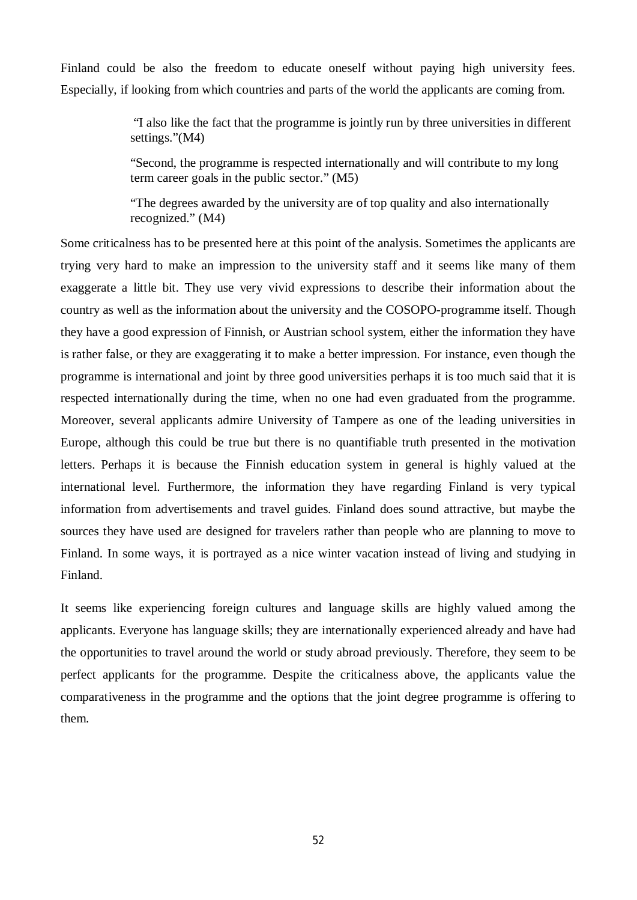Finland could be also the freedom to educate oneself without paying high university fees. Especially, if looking from which countries and parts of the world the applicants are coming from.

> "I also like the fact that the programme is jointly run by three universities in different settings."(M4)

"Second, the programme is respected internationally and will contribute to my long term career goals in the public sector." (M5)

"The degrees awarded by the university are of top quality and also internationally recognized." (M4)

Some criticalness has to be presented here at this point of the analysis. Sometimes the applicants are trying very hard to make an impression to the university staff and it seems like many of them exaggerate a little bit. They use very vivid expressions to describe their information about the country as well as the information about the university and the COSOPO-programme itself. Though they have a good expression of Finnish, or Austrian school system, either the information they have is rather false, or they are exaggerating it to make a better impression. For instance, even though the programme is international and joint by three good universities perhaps it is too much said that it is respected internationally during the time, when no one had even graduated from the programme. Moreover, several applicants admire University of Tampere as one of the leading universities in Europe, although this could be true but there is no quantifiable truth presented in the motivation letters. Perhaps it is because the Finnish education system in general is highly valued at the international level. Furthermore, the information they have regarding Finland is very typical information from advertisements and travel guides. Finland does sound attractive, but maybe the sources they have used are designed for travelers rather than people who are planning to move to Finland. In some ways, it is portrayed as a nice winter vacation instead of living and studying in Finland.

It seems like experiencing foreign cultures and language skills are highly valued among the applicants. Everyone has language skills; they are internationally experienced already and have had the opportunities to travel around the world or study abroad previously. Therefore, they seem to be perfect applicants for the programme. Despite the criticalness above, the applicants value the comparativeness in the programme and the options that the joint degree programme is offering to them.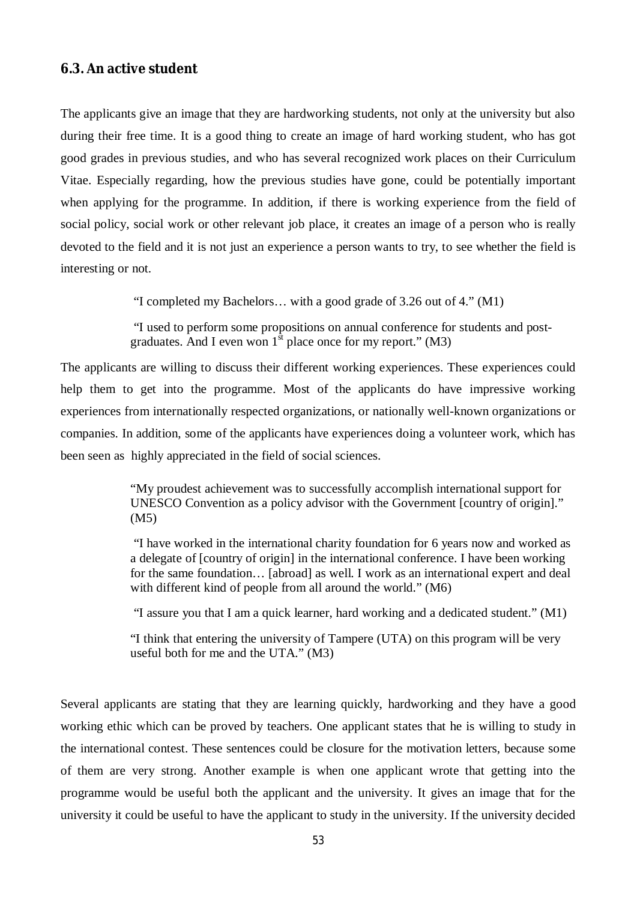### <span id="page-56-0"></span>**6.3. An active student**

The applicants give an image that they are hardworking students, not only at the university but also during their free time. It is a good thing to create an image of hard working student, who has got good grades in previous studies, and who has several recognized work places on their Curriculum Vitae. Especially regarding, how the previous studies have gone, could be potentially important when applying for the programme. In addition, if there is working experience from the field of social policy, social work or other relevant job place, it creates an image of a person who is really devoted to the field and it is not just an experience a person wants to try, to see whether the field is interesting or not.

"I completed my Bachelors… with a good grade of 3.26 out of 4." (M1)

 "I used to perform some propositions on annual conference for students and postgraduates. And I even won  $1<sup>st</sup>$  place once for my report." (M3)

The applicants are willing to discuss their different working experiences. These experiences could help them to get into the programme. Most of the applicants do have impressive working experiences from internationally respected organizations, or nationally well-known organizations or companies. In addition, some of the applicants have experiences doing a volunteer work, which has been seen as highly appreciated in the field of social sciences.

> "My proudest achievement was to successfully accomplish international support for UNESCO Convention as a policy advisor with the Government [country of origin]." (M5)

 "I have worked in the international charity foundation for 6 years now and worked as a delegate of [country of origin] in the international conference. I have been working for the same foundation... [abroad] as well. I work as an international expert and deal with different kind of people from all around the world." (M6)

"I assure you that I am a quick learner, hard working and a dedicated student." (M1)

"I think that entering the university of Tampere (UTA) on this program will be very useful both for me and the UTA." (M3)

Several applicants are stating that they are learning quickly, hardworking and they have a good working ethic which can be proved by teachers. One applicant states that he is willing to study in the international contest. These sentences could be closure for the motivation letters, because some of them are very strong. Another example is when one applicant wrote that getting into the programme would be useful both the applicant and the university. It gives an image that for the university it could be useful to have the applicant to study in the university. If the university decided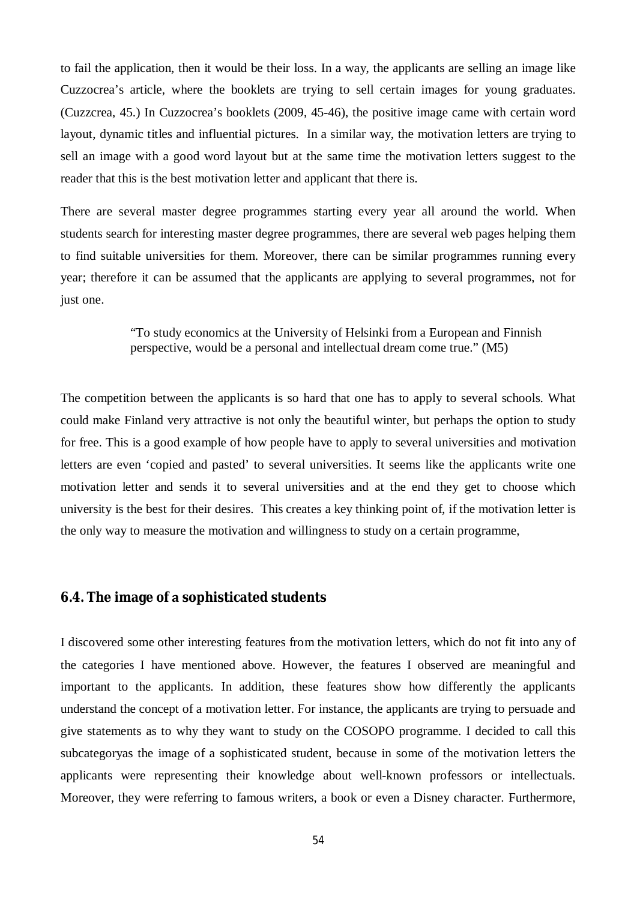to fail the application, then it would be their loss. In a way, the applicants are selling an image like Cuzzocrea's article, where the booklets are trying to sell certain images for young graduates. (Cuzzcrea, 45.) In Cuzzocrea's booklets (2009, 45-46), the positive image came with certain word layout, dynamic titles and influential pictures. In a similar way, the motivation letters are trying to sell an image with a good word layout but at the same time the motivation letters suggest to the reader that this is the best motivation letter and applicant that there is.

There are several master degree programmes starting every year all around the world. When students search for interesting master degree programmes, there are several web pages helping them to find suitable universities for them. Moreover, there can be similar programmes running every year; therefore it can be assumed that the applicants are applying to several programmes, not for just one.

### "To study economics at the University of Helsinki from a European and Finnish perspective, would be a personal and intellectual dream come true." (M5)

The competition between the applicants is so hard that one has to apply to several schools. What could make Finland very attractive is not only the beautiful winter, but perhaps the option to study for free. This is a good example of how people have to apply to several universities and motivation letters are even 'copied and pasted' to several universities. It seems like the applicants write one motivation letter and sends it to several universities and at the end they get to choose which university is the best for their desires. This creates a key thinking point of, if the motivation letter is the only way to measure the motivation and willingness to study on a certain programme,

### <span id="page-57-0"></span>**6.4. The image ofsophisticated students**

I discovered some other interesting features from the motivation letters, which do not fit into any of the categories I have mentioned above. However, the features I observed are meaningful and important to the applicants. In addition, these features show how differently the applicants understand the concept of a motivation letter. For instance, the applicants are trying to persuade and give statements as to why they want to study on the COSOPO programme. I decided to call this subcategoryas the image of a sophisticated student, because in some of the motivation letters the applicants were representing their knowledge about well-known professors or intellectuals. Moreover, they were referring to famous writers, a book or even a Disney character. Furthermore,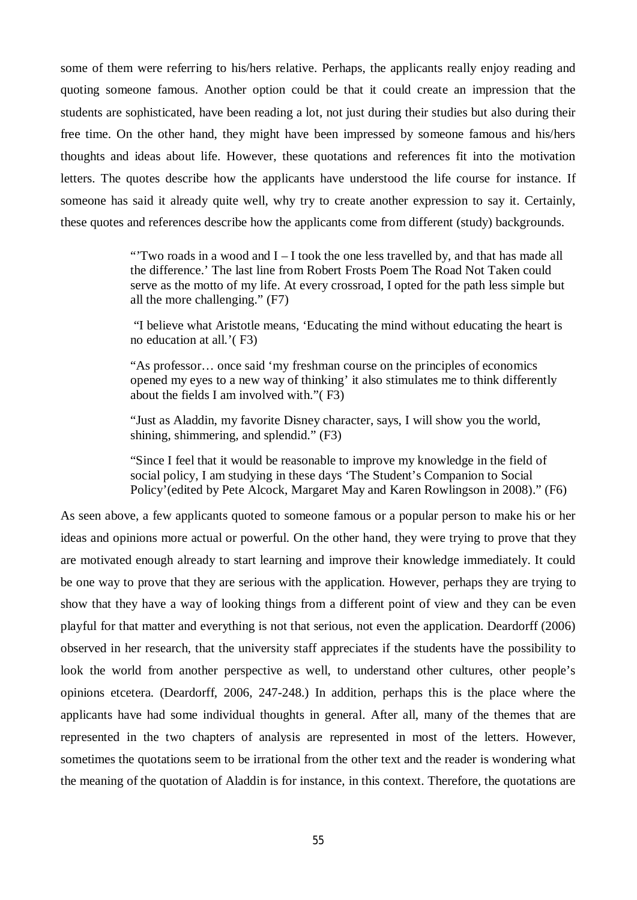some of them were referring to his/hers relative. Perhaps, the applicants really enjoy reading and quoting someone famous. Another option could be that it could create an impression that the students are sophisticated, have been reading a lot, not just during their studies but also during their free time. On the other hand, they might have been impressed by someone famous and his/hers thoughts and ideas about life. However, these quotations and references fit into the motivation letters. The quotes describe how the applicants have understood the life course for instance. If someone has said it already quite well, why try to create another expression to say it. Certainly, these quotes and references describe how the applicants come from different (study) backgrounds.

> "Two roads in a wood and  $I - I$  took the one less travelled by, and that has made all the difference.' The last line from Robert Frosts Poem The Road Not Taken could serve as the motto of my life. At every crossroad, I opted for the path less simple but all the more challenging." (F7)

> "I believe what Aristotle means, 'Educating the mind without educating the heart is no education at all.'( F3)

"As professor… once said 'my freshman course on the principles of economics opened my eyes to a new way of thinking' it also stimulates me to think differently about the fields I am involved with."( F3)

"Just as Aladdin, my favorite Disney character, says, I will show you the world, shining, shimmering, and splendid." (F3)

"Since I feel that it would be reasonable to improve my knowledge in the field of social policy, I am studying in these days 'The Student's Companion to Social Policy'(edited by Pete Alcock, Margaret May and Karen Rowlingson in 2008)." (F6)

As seen above, a few applicants quoted to someone famous or a popular person to make his or her ideas and opinions more actual or powerful. On the other hand, they were trying to prove that they are motivated enough already to start learning and improve their knowledge immediately. It could be one way to prove that they are serious with the application. However, perhaps they are trying to show that they have a way of looking things from a different point of view and they can be even playful for that matter and everything is not that serious, not even the application. Deardorff (2006) observed in her research, that the university staff appreciates if the students have the possibility to look the world from another perspective as well, to understand other cultures, other people's opinions etcetera. (Deardorff, 2006, 247-248.) In addition, perhaps this is the place where the applicants have had some individual thoughts in general. After all, many of the themes that are represented in the two chapters of analysis are represented in most of the letters. However, sometimes the quotations seem to be irrational from the other text and the reader is wondering what the meaning of the quotation of Aladdin is for instance, in this context. Therefore, the quotations are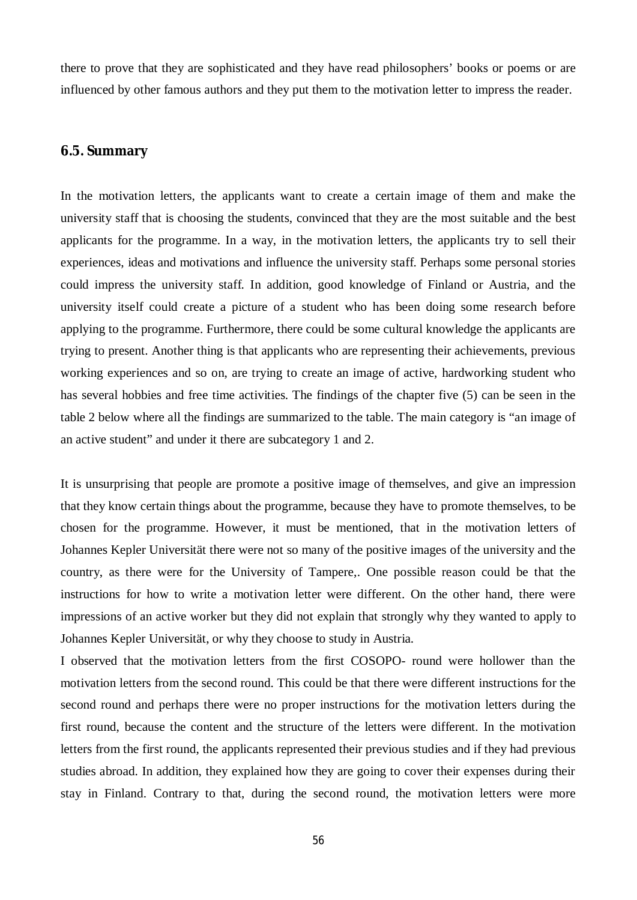there to prove that they are sophisticated and they have read philosophers' books or poems or are influenced by other famous authors and they put them to the motivation letter to impress the reader.

## <span id="page-59-0"></span>**6.5. Summary**

In the motivation letters, the applicants want to create a certain image of them and make the university staff that is choosing the students, convinced that they are the most suitable and the best applicants for the programme. In a way, in the motivation letters, the applicants try to sell their experiences, ideas and motivations and influence the university staff. Perhaps some personal stories could impress the university staff. In addition, good knowledge of Finland or Austria, and the university itself could create a picture of a student who has been doing some research before applying to the programme. Furthermore, there could be some cultural knowledge the applicants are trying to present. Another thing is that applicants who are representing their achievements, previous working experiences and so on, are trying to create an image of active, hardworking student who has several hobbies and free time activities. The findings of the chapter five (5) can be seen in the table 2 below where all the findings are summarized to the table. The main category is "an image of an active student" and under it there are subcategory 1 and 2.

It is unsurprising that people are promote a positive image of themselves, and give an impression that they know certain things about the programme, because they have to promote themselves, to be chosen for the programme. However, it must be mentioned, that in the motivation letters of Johannes Kepler Universität there were not so many of the positive images of the university and the country, as there were for the University of Tampere,. One possible reason could be that the instructions for how to write a motivation letter were different. On the other hand, there were impressions of an active worker but they did not explain that strongly why they wanted to apply to Johannes Kepler Universität, or why they choose to study in Austria.

I observed that the motivation letters from the first COSOPO- round were hollower than the motivation letters from the second round. This could be that there were different instructions for the second round and perhaps there were no proper instructions for the motivation letters during the first round, because the content and the structure of the letters were different. In the motivation letters from the first round, the applicants represented their previous studies and if they had previous studies abroad. In addition, they explained how they are going to cover their expenses during their stay in Finland. Contrary to that, during the second round, the motivation letters were more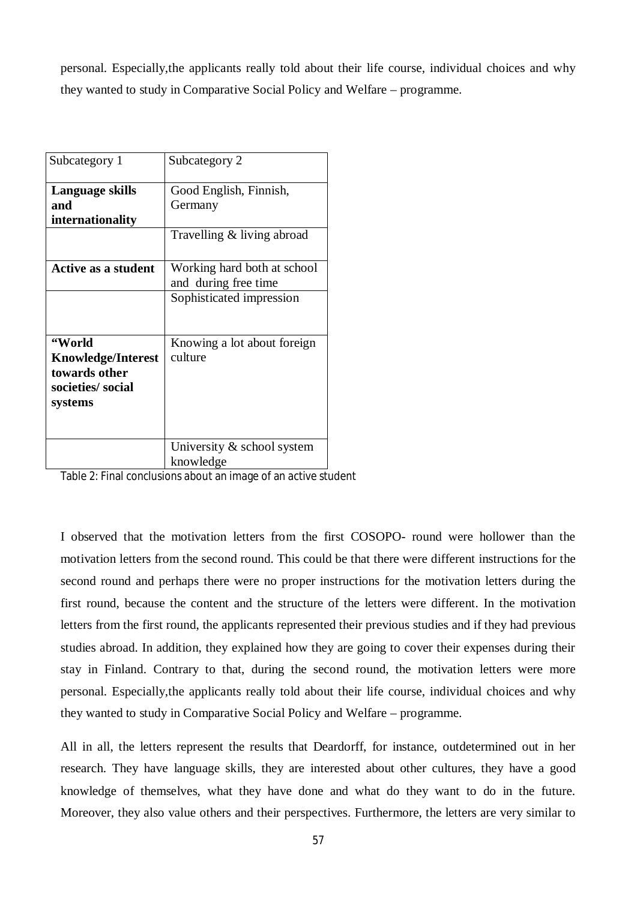personal. Especially,the applicants really told about their life course, individual choices and why they wanted to study in Comparative Social Policy and Welfare – programme.

| Subcategory 1              | Subcategory 2               |
|----------------------------|-----------------------------|
| Language skills            | Good English, Finnish,      |
| and                        | Germany                     |
| internationality           |                             |
|                            | Travelling & living abroad  |
| <b>Active as a student</b> | Working hard both at school |
|                            | and during free time        |
|                            | Sophisticated impression    |
|                            |                             |
| "World                     | Knowing a lot about foreign |
| <b>Knowledge/Interest</b>  | culture                     |
| towards other              |                             |
| societies/social           |                             |
| systems                    |                             |
|                            |                             |
|                            |                             |
|                            | University & school system  |
|                            | knowledge                   |

Table 2: Final conclusions about an image of an active student

I observed that the motivation letters from the first COSOPO- round were hollower than the motivation letters from the second round. This could be that there were different instructions for the second round and perhaps there were no proper instructions for the motivation letters during the first round, because the content and the structure of the letters were different. In the motivation letters from the first round, the applicants represented their previous studies and if they had previous studies abroad. In addition, they explained how they are going to cover their expenses during their stay in Finland. Contrary to that, during the second round, the motivation letters were more personal. Especially,the applicants really told about their life course, individual choices and why they wanted to study in Comparative Social Policy and Welfare – programme.

All in all, the letters represent the results that Deardorff, for instance, outdetermined out in her research. They have language skills, they are interested about other cultures, they have a good knowledge of themselves, what they have done and what do they want to do in the future. Moreover, they also value others and their perspectives. Furthermore, the letters are very similar to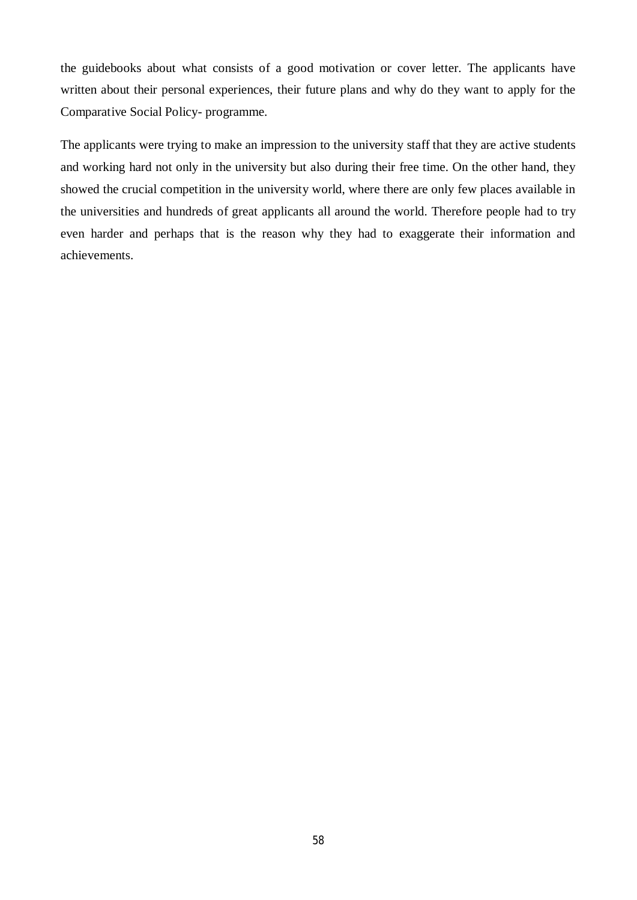the guidebooks about what consists of a good motivation or cover letter. The applicants have written about their personal experiences, their future plans and why do they want to apply for the Comparative Social Policy- programme.

The applicants were trying to make an impression to the university staff that they are active students and working hard not only in the university but also during their free time. On the other hand, they showed the crucial competition in the university world, where there are only few places available in the universities and hundreds of great applicants all around the world. Therefore people had to try even harder and perhaps that is the reason why they had to exaggerate their information and achievements.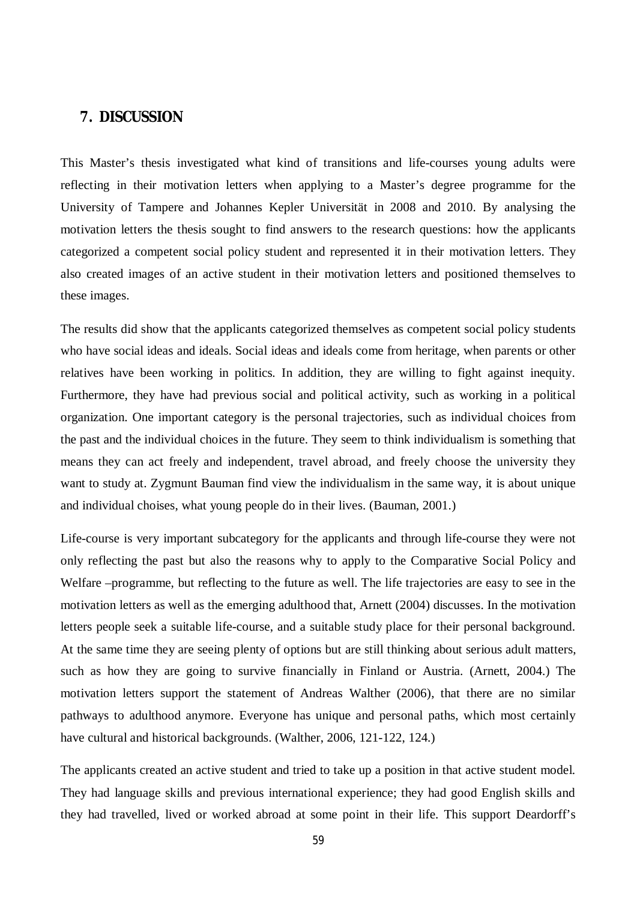## <span id="page-62-0"></span>**7. DISCUSSION**

This Master's thesis investigated what kind of transitions and life-courses young adults were reflecting in their motivation letters when applying to a Master's degree programme for the University of Tampere and Johannes Kepler Universität in 2008 and 2010. By analysing the motivation letters the thesis sought to find answers to the research questions: how the applicants categorized a competent social policy student and represented it in their motivation letters. They also created images of an active student in their motivation letters and positioned themselves to these images.

The results did show that the applicants categorized themselves as competent social policy students who have social ideas and ideals. Social ideas and ideals come from heritage, when parents or other relatives have been working in politics. In addition, they are willing to fight against inequity. Furthermore, they have had previous social and political activity, such as working in a political organization. One important category is the personal trajectories, such as individual choices from the past and the individual choices in the future. They seem to think individualism is something that means they can act freely and independent, travel abroad, and freely choose the university they want to study at. Zygmunt Bauman find view the individualism in the same way, it is about unique and individual choises, what young people do in their lives. (Bauman, 2001.)

Life-course is very important subcategory for the applicants and through life-course they were not only reflecting the past but also the reasons why to apply to the Comparative Social Policy and Welfare –programme, but reflecting to the future as well. The life trajectories are easy to see in the motivation letters as well as the emerging adulthood that, Arnett (2004) discusses. In the motivation letters people seek a suitable life-course, and a suitable study place for their personal background. At the same time they are seeing plenty of options but are still thinking about serious adult matters, such as how they are going to survive financially in Finland or Austria. (Arnett, 2004.) The motivation letters support the statement of Andreas Walther (2006), that there are no similar pathways to adulthood anymore. Everyone has unique and personal paths, which most certainly have cultural and historical backgrounds. (Walther, 2006, 121-122, 124.)

The applicants created an active student and tried to take up a position in that active student model. They had language skills and previous international experience; they had good English skills and they had travelled, lived or worked abroad at some point in their life. This support Deardorff's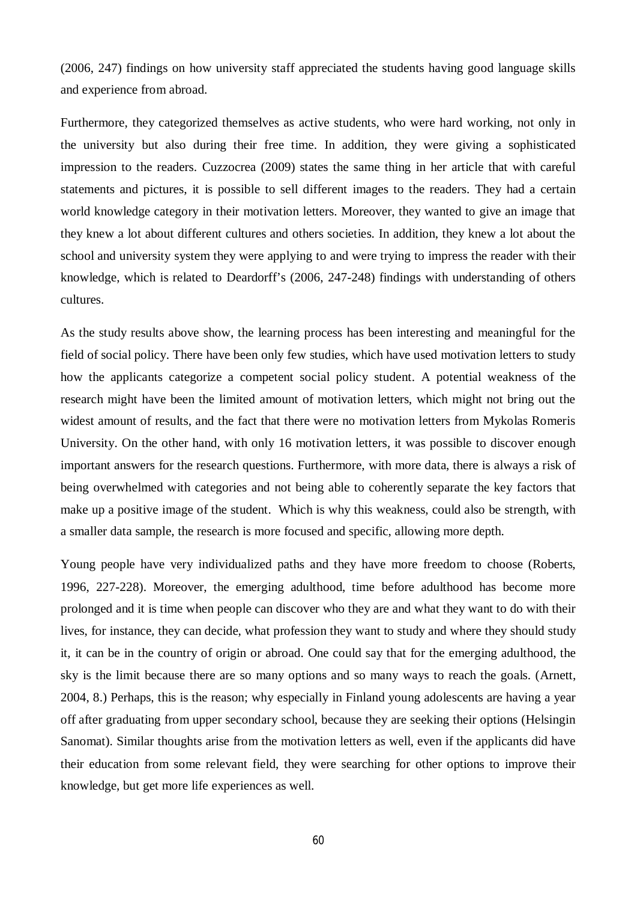(2006, 247) findings on how university staff appreciated the students having good language skills and experience from abroad.

Furthermore, they categorized themselves as active students, who were hard working, not only in the university but also during their free time. In addition, they were giving a sophisticated impression to the readers. Cuzzocrea (2009) states the same thing in her article that with careful statements and pictures, it is possible to sell different images to the readers. They had a certain world knowledge category in their motivation letters. Moreover, they wanted to give an image that they knew a lot about different cultures and others societies. In addition, they knew a lot about the school and university system they were applying to and were trying to impress the reader with their knowledge, which is related to Deardorff's (2006, 247-248) findings with understanding of others cultures.

As the study results above show, the learning process has been interesting and meaningful for the field of social policy. There have been only few studies, which have used motivation letters to study how the applicants categorize a competent social policy student. A potential weakness of the research might have been the limited amount of motivation letters, which might not bring out the widest amount of results, and the fact that there were no motivation letters from Mykolas Romeris University. On the other hand, with only 16 motivation letters, it was possible to discover enough important answers for the research questions. Furthermore, with more data, there is always a risk of being overwhelmed with categories and not being able to coherently separate the key factors that make up a positive image of the student. Which is why this weakness, could also be strength, with a smaller data sample, the research is more focused and specific, allowing more depth.

Young people have very individualized paths and they have more freedom to choose (Roberts, 1996, 227-228). Moreover, the emerging adulthood, time before adulthood has become more prolonged and it is time when people can discover who they are and what they want to do with their lives, for instance, they can decide, what profession they want to study and where they should study it, it can be in the country of origin or abroad. One could say that for the emerging adulthood, the sky is the limit because there are so many options and so many ways to reach the goals. (Arnett, 2004, 8.) Perhaps, this is the reason; why especially in Finland young adolescents are having a year off after graduating from upper secondary school, because they are seeking their options (Helsingin Sanomat). Similar thoughts arise from the motivation letters as well, even if the applicants did have their education from some relevant field, they were searching for other options to improve their knowledge, but get more life experiences as well.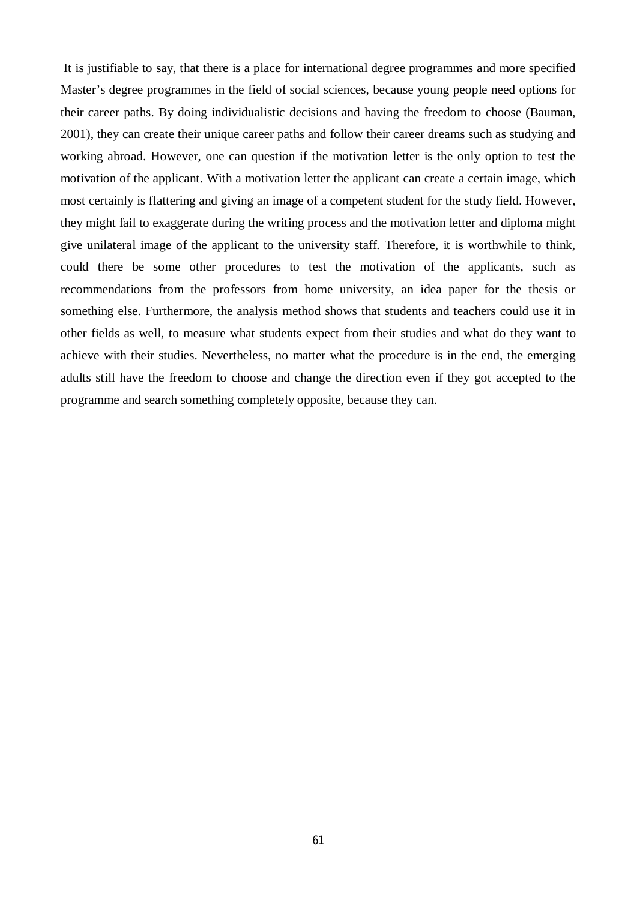It is justifiable to say, that there is a place for international degree programmes and more specified Master's degree programmes in the field of social sciences, because young people need options for their career paths. By doing individualistic decisions and having the freedom to choose (Bauman, 2001), they can create their unique career paths and follow their career dreams such as studying and working abroad. However, one can question if the motivation letter is the only option to test the motivation of the applicant. With a motivation letter the applicant can create a certain image, which most certainly is flattering and giving an image of a competent student for the study field. However, they might fail to exaggerate during the writing process and the motivation letter and diploma might give unilateral image of the applicant to the university staff. Therefore, it is worthwhile to think, could there be some other procedures to test the motivation of the applicants, such as recommendations from the professors from home university, an idea paper for the thesis or something else. Furthermore, the analysis method shows that students and teachers could use it in other fields as well, to measure what students expect from their studies and what do they want to achieve with their studies. Nevertheless, no matter what the procedure is in the end, the emerging adults still have the freedom to choose and change the direction even if they got accepted to the programme and search something completely opposite, because they can.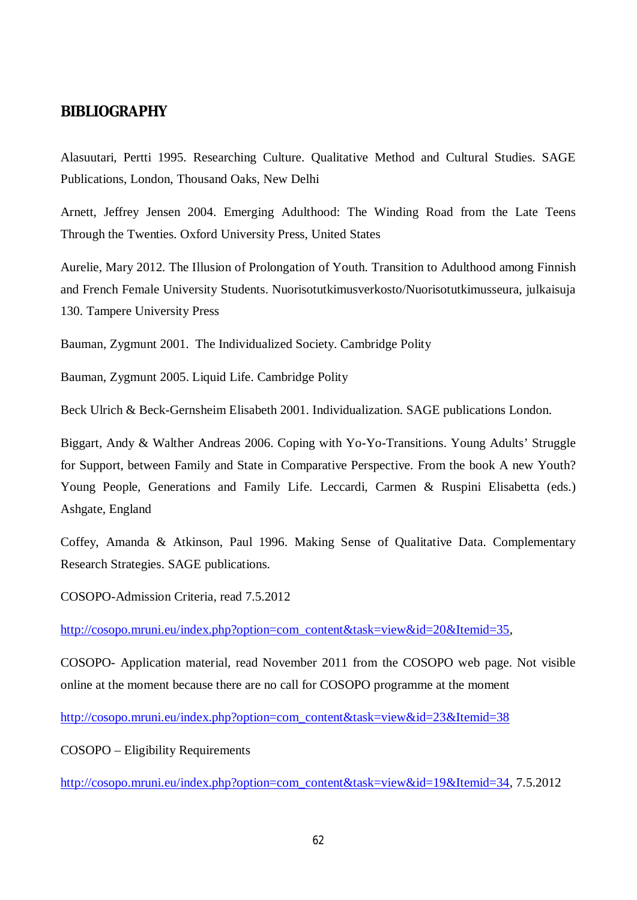## <span id="page-65-0"></span>**BIBLIOGRAPHY**

Alasuutari, Pertti 1995. Researching Culture. Qualitative Method and Cultural Studies. SAGE Publications, London, Thousand Oaks, New Delhi

Arnett, Jeffrey Jensen 2004. Emerging Adulthood: The Winding Road from the Late Teens Through the Twenties. Oxford University Press, United States

Aurelie, Mary 2012. The Illusion of Prolongation of Youth. Transition to Adulthood among Finnish and French Female University Students. Nuorisotutkimusverkosto/Nuorisotutkimusseura, julkaisuja 130. Tampere University Press

Bauman, Zygmunt 2001. The Individualized Society. Cambridge Polity

Bauman, Zygmunt 2005. Liquid Life. Cambridge Polity

Beck Ulrich & Beck-Gernsheim Elisabeth 2001. Individualization. SAGE publications London.

Biggart, Andy & Walther Andreas 2006. Coping with Yo-Yo-Transitions. Young Adults' Struggle for Support, between Family and State in Comparative Perspective. From the book A new Youth? Young People, Generations and Family Life. Leccardi, Carmen & Ruspini Elisabetta (eds.) Ashgate, England

Coffey, Amanda & Atkinson, Paul 1996. Making Sense of Qualitative Data. Complementary Research Strategies. SAGE publications.

COSOPO-Admission Criteria, read 7.5.2012

[http://cosopo.mruni.eu/index.php?option=com\\_content&task=view&id=20&Itemid=35](http://cosopo.mruni.eu/index.php?option=com_content&task=view&id=20&Itemid=35),

COSOPO- Application material, read November 2011 from the COSOPO web page. Not visible online at the moment because there are no call for COSOPO programme at the moment

[http://cosopo.mruni.eu/index.php?option=com\\_content&task=view&id=23&Itemid=38](http://cosopo.mruni.eu/index.php?option=com_content&task=view&id=23&Itemid=38)

COSOPO – Eligibility Requirements

[http://cosopo.mruni.eu/index.php?option=com\\_content&task=view&id=19&Itemid=34](http://cosopo.mruni.eu/index.php?option=com_content&task=view&id=19&Itemid=34), 7.5.2012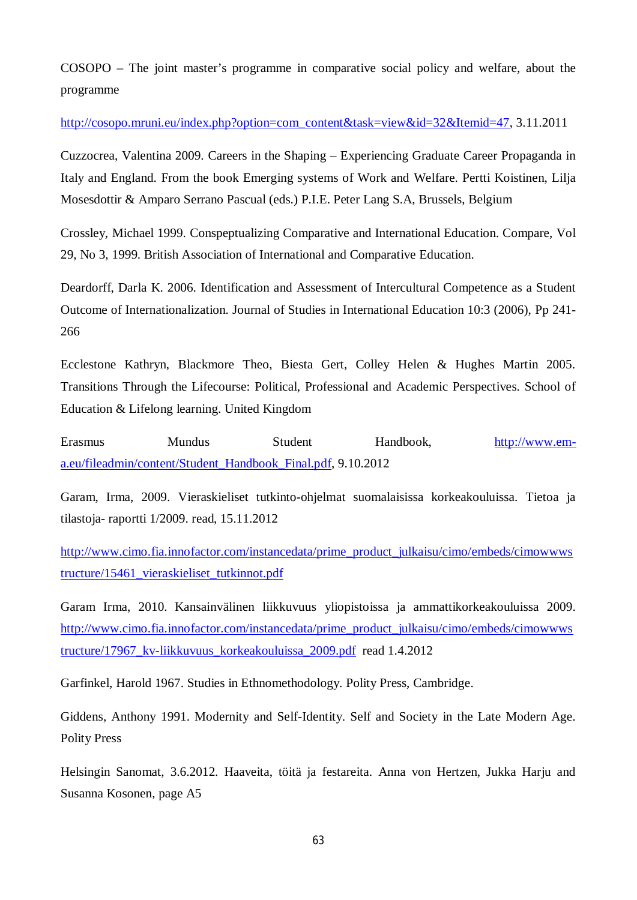COSOPO – The joint master's programme in comparative social policy and welfare, about the programme

[http://cosopo.mruni.eu/index.php?option=com\\_content&task=view&id=32&Itemid=47](http://cosopo.mruni.eu/index.php?option=com_content&task=view&id=32&Itemid=47), 3.11.2011

Cuzzocrea, Valentina 2009. Careers in the Shaping – Experiencing Graduate Career Propaganda in Italy and England. From the book Emerging systems of Work and Welfare. Pertti Koistinen, Lilja Mosesdottir & Amparo Serrano Pascual (eds.) P.I.E. Peter Lang S.A, Brussels, Belgium

Crossley, Michael 1999. Conspeptualizing Comparative and International Education. Compare, Vol 29, No 3, 1999. British Association of International and Comparative Education.

Deardorff, Darla K. 2006. Identification and Assessment of Intercultural Competence as a Student Outcome of Internationalization. Journal of Studies in International Education 10:3 (2006), Pp 241- 266

Ecclestone Kathryn, Blackmore Theo, Biesta Gert, Colley Helen & Hughes Martin 2005. Transitions Through the Lifecourse: Political, Professional and Academic Perspectives. School of Education & Lifelong learning. United Kingdom

Erasmus Mundus Student Handbook, [http://www.em](http://www.em-a.eu/fileadmin/content/Student_Handbook_Final.pdf)[a.eu/fileadmin/content/Student\\_Handbook\\_Final.pdf,](http://www.em-a.eu/fileadmin/content/Student_Handbook_Final.pdf) 9.10.2012

Garam, Irma, 2009. Vieraskieliset tutkinto-ohjelmat suomalaisissa korkeakouluissa. Tietoa ja tilastoja- raportti 1/2009. read, 15.11.2012

[http://www.cimo.fia.innofactor.com/instancedata/prime\\_product\\_julkaisu/cimo/embeds/cimowwws](http://www.cimo.fia.innofactor.com/instancedata/prime_product_julkaisu/cimo/embeds/cimowwwstructure/15461_vieraskieliset_tutkinnot.pdf) [tructure/15461\\_vieraskieliset\\_tutkinnot.pdf](http://www.cimo.fia.innofactor.com/instancedata/prime_product_julkaisu/cimo/embeds/cimowwwstructure/15461_vieraskieliset_tutkinnot.pdf) 

Garam Irma, 2010. Kansainvälinen liikkuvuus yliopistoissa ja ammattikorkeakouluissa 2009. [http://www.cimo.fia.innofactor.com/instancedata/prime\\_product\\_julkaisu/cimo/embeds/cimowwws](http://www.cimo.fia.innofactor.com/instancedata/prime_product_julkaisu/cimo/embeds/cimowwwstructure/17967_kv-liikkuvuus_korkeakouluissa_2009.pdf) [tructure/17967\\_kv-liikkuvuus\\_korkeakouluissa\\_2009.pdf](http://www.cimo.fia.innofactor.com/instancedata/prime_product_julkaisu/cimo/embeds/cimowwwstructure/17967_kv-liikkuvuus_korkeakouluissa_2009.pdf) read 1.4.2012

Garfinkel, Harold 1967. Studies in Ethnomethodology. Polity Press, Cambridge.

Giddens, Anthony 1991. Modernity and Self-Identity. Self and Society in the Late Modern Age. Polity Press

Helsingin Sanomat, 3.6.2012. Haaveita, töitä ja festareita. Anna von Hertzen, Jukka Harju and Susanna Kosonen, page A5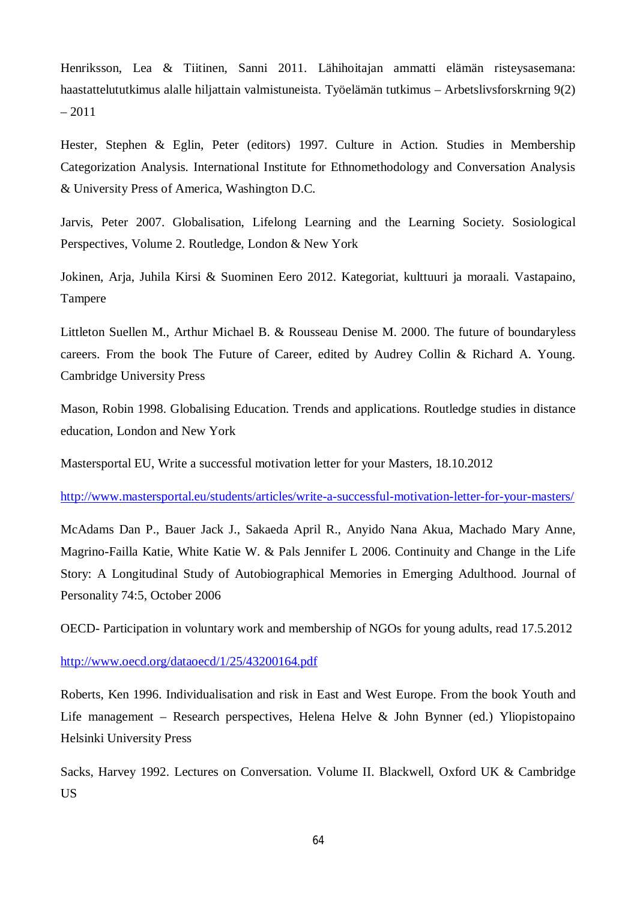Henriksson, Lea & Tiitinen, Sanni 2011. Lähihoitajan ammatti elämän risteysasemana: haastattelututkimus alalle hiljattain valmistuneista. Työelämän tutkimus – Arbetslivsforskrning 9(2) – 2011

Hester, Stephen & Eglin, Peter (editors) 1997. Culture in Action. Studies in Membership Categorization Analysis. International Institute for Ethnomethodology and Conversation Analysis & University Press of America, Washington D.C.

Jarvis, Peter 2007. Globalisation, Lifelong Learning and the Learning Society. Sosiological Perspectives, Volume 2. Routledge, London & New York

Jokinen, Arja, Juhila Kirsi & Suominen Eero 2012. Kategoriat, kulttuuri ja moraali. Vastapaino, Tampere

Littleton Suellen M., Arthur Michael B. & Rousseau Denise M. 2000. The future of boundaryless careers. From the book The Future of Career, edited by Audrey Collin & Richard A. Young. Cambridge University Press

Mason, Robin 1998. Globalising Education. Trends and applications. Routledge studies in distance education, London and New York

Mastersportal EU, Write a successful motivation letter for your Masters, 18.10.2012

<http://www.mastersportal.eu/students/articles/write-a-successful-motivation-letter-for-your-masters/>

McAdams Dan P., Bauer Jack J., Sakaeda April R., Anyido Nana Akua, Machado Mary Anne, Magrino-Failla Katie, White Katie W. & Pals Jennifer L 2006. Continuity and Change in the Life Story: A Longitudinal Study of Autobiographical Memories in Emerging Adulthood. Journal of Personality 74:5, October 2006

OECD- Participation in voluntary work and membership of NGOs for young adults, read 17.5.2012

## <http://www.oecd.org/dataoecd/1/25/43200164.pdf>

Roberts, Ken 1996. Individualisation and risk in East and West Europe. From the book Youth and Life management – Research perspectives, Helena Helve & John Bynner (ed.) Yliopistopaino Helsinki University Press

Sacks, Harvey 1992. Lectures on Conversation. Volume II. Blackwell, Oxford UK & Cambridge US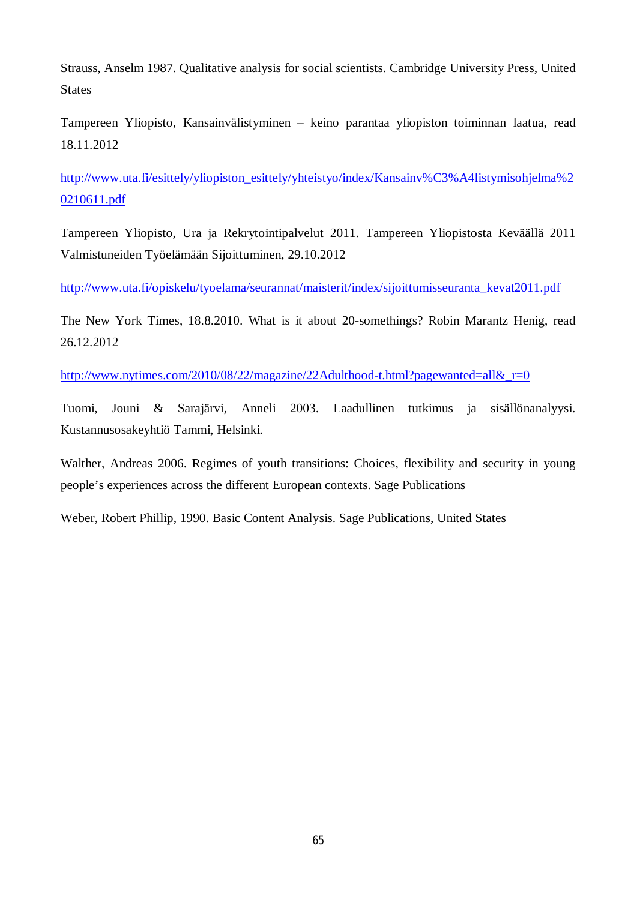Strauss, Anselm 1987. Qualitative analysis for social scientists. Cambridge University Press, United **States** 

Tampereen Yliopisto, Kansainvälistyminen – keino parantaa yliopiston toiminnan laatua, read 18.11.2012

[http://www.uta.fi/esittely/yliopiston\\_esittely/yhteistyo/index/Kansainv%C3%A4listymisohjelma%2](http://www.uta.fi/esittely/yliopiston_esittely/yhteistyo/index/Kansainv%C3%A4listymisohjelma%20210611.pdf) [0210611.pdf](http://www.uta.fi/esittely/yliopiston_esittely/yhteistyo/index/Kansainv%C3%A4listymisohjelma%20210611.pdf) 

Tampereen Yliopisto, Ura ja Rekrytointipalvelut 2011. Tampereen Yliopistosta Keväällä 2011 Valmistuneiden Työelämään Sijoittuminen, 29.10.2012

[http://www.uta.fi/opiskelu/tyoelama/seurannat/maisterit/index/sijoittumisseuranta\\_kevat2011.pdf](http://www.uta.fi/opiskelu/tyoelama/seurannat/maisterit/index/sijoittumisseuranta_kevat2011.pdf)

The New York Times, 18.8.2010. What is it about 20-somethings? Robin Marantz Henig, read 26.12.2012

http://www.nytimes.com/2010/08/22/magazine/22Adulthood-t.html?pagewanted=all& r=0

Tuomi, Jouni & Sarajärvi, Anneli 2003. Laadullinen tutkimus ja sisällönanalyysi. Kustannusosakeyhtiö Tammi, Helsinki.

Walther, Andreas 2006. Regimes of youth transitions: Choices, flexibility and security in young people's experiences across the different European contexts. Sage Publications

Weber, Robert Phillip, 1990. Basic Content Analysis. Sage Publications, United States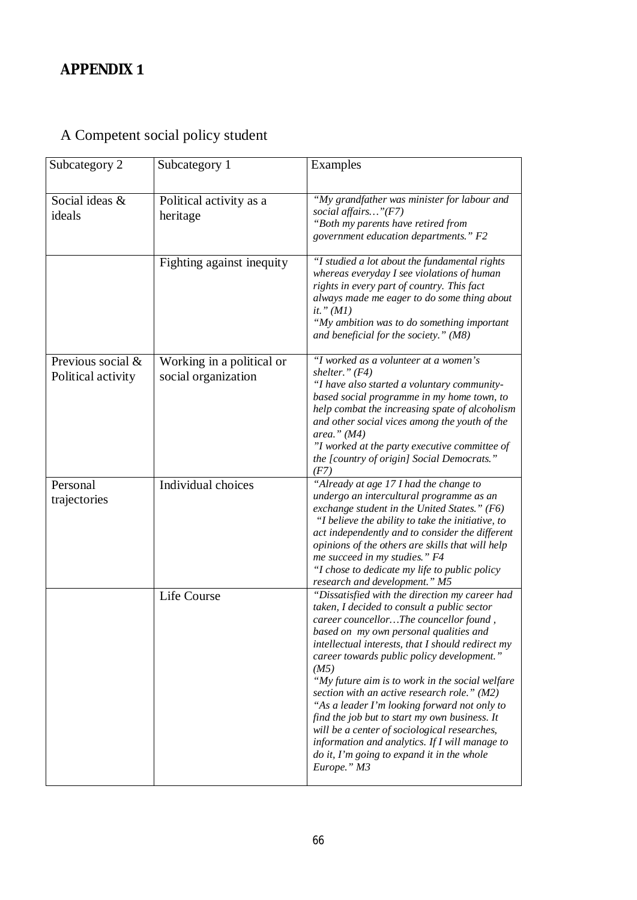# <span id="page-69-0"></span>A Competent social policy student

| Subcategory 2                           | Subcategory 1                                    | Examples                                                                                                                                                                                                                                                                                                                                                                                                                                                                                                                                                                                                                                                       |
|-----------------------------------------|--------------------------------------------------|----------------------------------------------------------------------------------------------------------------------------------------------------------------------------------------------------------------------------------------------------------------------------------------------------------------------------------------------------------------------------------------------------------------------------------------------------------------------------------------------------------------------------------------------------------------------------------------------------------------------------------------------------------------|
| Social ideas &<br>ideals                | Political activity as a<br>heritage              | "My grandfather was minister for labour and<br>social affairs" $(F7)$<br>"Both my parents have retired from<br>government education departments." F2                                                                                                                                                                                                                                                                                                                                                                                                                                                                                                           |
|                                         | Fighting against inequity                        | "I studied a lot about the fundamental rights<br>whereas everyday I see violations of human<br>rights in every part of country. This fact<br>always made me eager to do some thing about<br>it." $(MI)$<br>"My ambition was to do something important<br>and beneficial for the society." (M8)                                                                                                                                                                                                                                                                                                                                                                 |
| Previous social &<br>Political activity | Working in a political or<br>social organization | "I worked as a volunteer at a women's<br>shelter." $(F4)$<br>"I have also started a voluntary community-<br>based social programme in my home town, to<br>help combat the increasing spate of alcoholism<br>and other social vices among the youth of the<br>area." $(M4)$<br>"I worked at the party executive committee of<br>the [country of origin] Social Democrats."<br>(F7)                                                                                                                                                                                                                                                                              |
| Personal<br>trajectories                | Individual choices                               | "Already at age 17 I had the change to<br>undergo an intercultural programme as an<br>exchange student in the United States." $(F6)$<br>"I believe the ability to take the initiative, to<br>act independently and to consider the different<br>opinions of the others are skills that will help<br>me succeed in my studies." F4<br>"I chose to dedicate my life to public policy<br>research and development." M5                                                                                                                                                                                                                                            |
|                                         | Life Course                                      | "Dissatisfied with the direction my career had<br>taken, I decided to consult a public sector<br>career councellorThe councellor found,<br>based on my own personal qualities and<br>intellectual interests, that I should redirect my<br>career towards public policy development."<br>(M5)<br>"My future aim is to work in the social welfare<br>section with an active research role." (M2)<br>"As a leader I'm looking forward not only to<br>find the job but to start my own business. It<br>will be a center of sociological researches,<br>information and analytics. If I will manage to<br>do it, I'm going to expand it in the whole<br>Europe." M3 |